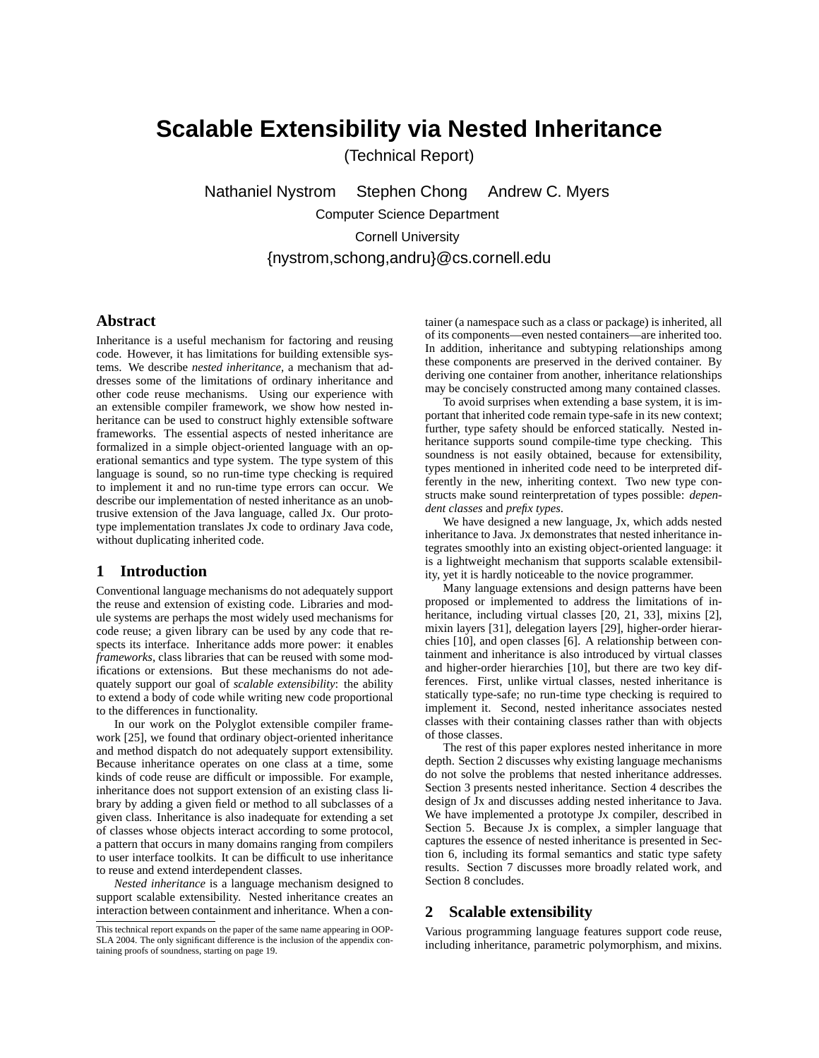# **Scalable Extensibility via Nested Inheritance**

(Technical Report)

Nathaniel Nystrom Stephen Chong Andrew C. Myers Computer Science Department Cornell University {nystrom,schong,andru}@cs.cornell.edu

# **Abstract**

Inheritance is a useful mechanism for factoring and reusing code. However, it has limitations for building extensible systems. We describe *nested inheritance*, a mechanism that addresses some of the limitations of ordinary inheritance and other code reuse mechanisms. Using our experience with an extensible compiler framework, we show how nested inheritance can be used to construct highly extensible software frameworks. The essential aspects of nested inheritance are formalized in a simple object-oriented language with an operational semantics and type system. The type system of this language is sound, so no run-time type checking is required to implement it and no run-time type errors can occur. We describe our implementation of nested inheritance as an unobtrusive extension of the Java language, called Jx. Our prototype implementation translates Jx code to ordinary Java code, without duplicating inherited code.

# **1 Introduction**

Conventional language mechanisms do not adequately support the reuse and extension of existing code. Libraries and module systems are perhaps the most widely used mechanisms for code reuse; a given library can be used by any code that respects its interface. Inheritance adds more power: it enables *frameworks*, class libraries that can be reused with some modifications or extensions. But these mechanisms do not adequately support our goal of *scalable extensibility*: the ability to extend a body of code while writing new code proportional to the differences in functionality.

In our work on the Polyglot extensible compiler framework [25], we found that ordinary object-oriented inheritance and method dispatch do not adequately support extensibility. Because inheritance operates on one class at a time, some kinds of code reuse are difficult or impossible. For example, inheritance does not support extension of an existing class library by adding a given field or method to all subclasses of a given class. Inheritance is also inadequate for extending a set of classes whose objects interact according to some protocol, a pattern that occurs in many domains ranging from compilers to user interface toolkits. It can be difficult to use inheritance to reuse and extend interdependent classes.

*Nested inheritance* is a language mechanism designed to support scalable extensibility. Nested inheritance creates an interaction between containment and inheritance. When a container (a namespace such as a class or package) is inherited, all of its components—even nested containers—are inherited too. In addition, inheritance and subtyping relationships among these components are preserved in the derived container. By deriving one container from another, inheritance relationships may be concisely constructed among many contained classes.

To avoid surprises when extending a base system, it is important that inherited code remain type-safe in its new context; further, type safety should be enforced statically. Nested inheritance supports sound compile-time type checking. This soundness is not easily obtained, because for extensibility, types mentioned in inherited code need to be interpreted differently in the new, inheriting context. Two new type constructs make sound reinterpretation of types possible: *dependent classes* and *prefix types*.

We have designed a new language, Jx, which adds nested inheritance to Java. Jx demonstrates that nested inheritance integrates smoothly into an existing object-oriented language: it is a lightweight mechanism that supports scalable extensibility, yet it is hardly noticeable to the novice programmer.

Many language extensions and design patterns have been proposed or implemented to address the limitations of inheritance, including virtual classes [20, 21, 33], mixins [2], mixin layers [31], delegation layers [29], higher-order hierarchies [10], and open classes [6]. A relationship between containment and inheritance is also introduced by virtual classes and higher-order hierarchies [10], but there are two key differences. First, unlike virtual classes, nested inheritance is statically type-safe; no run-time type checking is required to implement it. Second, nested inheritance associates nested classes with their containing classes rather than with objects of those classes.

The rest of this paper explores nested inheritance in more depth. Section 2 discusses why existing language mechanisms do not solve the problems that nested inheritance addresses. Section 3 presents nested inheritance. Section 4 describes the design of Jx and discusses adding nested inheritance to Java. We have implemented a prototype Jx compiler, described in Section 5. Because Jx is complex, a simpler language that captures the essence of nested inheritance is presented in Section 6, including its formal semantics and static type safety results. Section 7 discusses more broadly related work, and Section 8 concludes.

# **2 Scalable extensibility**

Various programming language features support code reuse, including inheritance, parametric polymorphism, and mixins.

This technical report expands on the paper of the same name appearing in OOP-SLA 2004. The only significant difference is the inclusion of the appendix containing proofs of soundness, starting on page 19.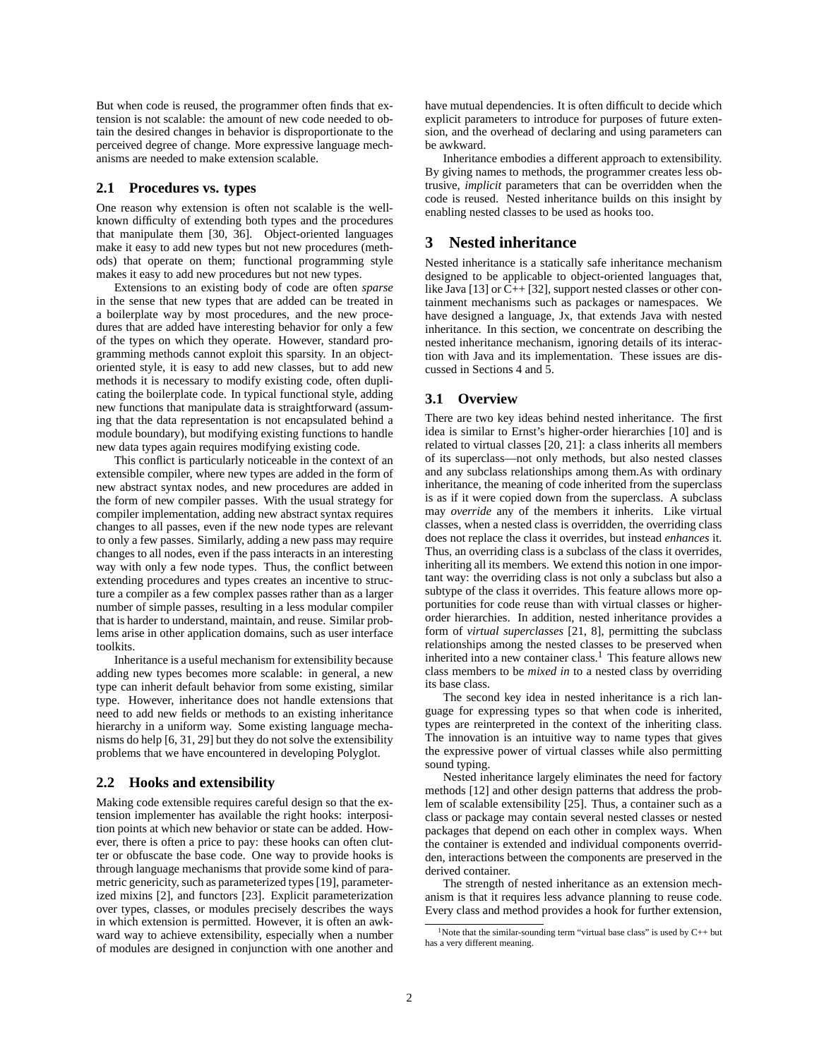But when code is reused, the programmer often finds that extension is not scalable: the amount of new code needed to obtain the desired changes in behavior is disproportionate to the perceived degree of change. More expressive language mechanisms are needed to make extension scalable.

## **2.1 Procedures vs. types**

One reason why extension is often not scalable is the wellknown difficulty of extending both types and the procedures that manipulate them [30, 36]. Object-oriented languages make it easy to add new types but not new procedures (methods) that operate on them; functional programming style makes it easy to add new procedures but not new types.

Extensions to an existing body of code are often *sparse* in the sense that new types that are added can be treated in a boilerplate way by most procedures, and the new procedures that are added have interesting behavior for only a few of the types on which they operate. However, standard programming methods cannot exploit this sparsity. In an objectoriented style, it is easy to add new classes, but to add new methods it is necessary to modify existing code, often duplicating the boilerplate code. In typical functional style, adding new functions that manipulate data is straightforward (assuming that the data representation is not encapsulated behind a module boundary), but modifying existing functions to handle new data types again requires modifying existing code.

This conflict is particularly noticeable in the context of an extensible compiler, where new types are added in the form of new abstract syntax nodes, and new procedures are added in the form of new compiler passes. With the usual strategy for compiler implementation, adding new abstract syntax requires changes to all passes, even if the new node types are relevant to only a few passes. Similarly, adding a new pass may require changes to all nodes, even if the pass interacts in an interesting way with only a few node types. Thus, the conflict between extending procedures and types creates an incentive to structure a compiler as a few complex passes rather than as a larger number of simple passes, resulting in a less modular compiler that is harder to understand, maintain, and reuse. Similar problems arise in other application domains, such as user interface toolkits.

Inheritance is a useful mechanism for extensibility because adding new types becomes more scalable: in general, a new type can inherit default behavior from some existing, similar type. However, inheritance does not handle extensions that need to add new fields or methods to an existing inheritance hierarchy in a uniform way. Some existing language mechanisms do help [6, 31, 29] but they do not solve the extensibility problems that we have encountered in developing Polyglot.

#### **2.2 Hooks and extensibility**

Making code extensible requires careful design so that the extension implementer has available the right hooks: interposition points at which new behavior or state can be added. However, there is often a price to pay: these hooks can often clutter or obfuscate the base code. One way to provide hooks is through language mechanisms that provide some kind of parametric genericity, such as parameterized types [19], parameterized mixins [2], and functors [23]. Explicit parameterization over types, classes, or modules precisely describes the ways in which extension is permitted. However, it is often an awkward way to achieve extensibility, especially when a number of modules are designed in conjunction with one another and

have mutual dependencies. It is often difficult to decide which explicit parameters to introduce for purposes of future extension, and the overhead of declaring and using parameters can be awkward.

Inheritance embodies a different approach to extensibility. By giving names to methods, the programmer creates less obtrusive, *implicit* parameters that can be overridden when the code is reused. Nested inheritance builds on this insight by enabling nested classes to be used as hooks too.

# **3 Nested inheritance**

Nested inheritance is a statically safe inheritance mechanism designed to be applicable to object-oriented languages that, like Java [13] or C<sub>++</sub> [32], support nested classes or other containment mechanisms such as packages or namespaces. We have designed a language, Jx, that extends Java with nested inheritance. In this section, we concentrate on describing the nested inheritance mechanism, ignoring details of its interaction with Java and its implementation. These issues are discussed in Sections 4 and 5.

#### **3.1 Overview**

There are two key ideas behind nested inheritance. The first idea is similar to Ernst's higher-order hierarchies [10] and is related to virtual classes [20, 21]: a class inherits all members of its superclass—not only methods, but also nested classes and any subclass relationships among them.As with ordinary inheritance, the meaning of code inherited from the superclass is as if it were copied down from the superclass. A subclass may *override* any of the members it inherits. Like virtual classes, when a nested class is overridden, the overriding class does not replace the class it overrides, but instead *enhances* it. Thus, an overriding class is a subclass of the class it overrides, inheriting all its members. We extend this notion in one important way: the overriding class is not only a subclass but also a subtype of the class it overrides. This feature allows more opportunities for code reuse than with virtual classes or higherorder hierarchies. In addition, nested inheritance provides a form of *virtual superclasses* [21, 8], permitting the subclass relationships among the nested classes to be preserved when inherited into a new container class.<sup>1</sup> This feature allows new class members to be *mixed in* to a nested class by overriding its base class.

The second key idea in nested inheritance is a rich language for expressing types so that when code is inherited, types are reinterpreted in the context of the inheriting class. The innovation is an intuitive way to name types that gives the expressive power of virtual classes while also permitting sound typing.

Nested inheritance largely eliminates the need for factory methods [12] and other design patterns that address the problem of scalable extensibility [25]. Thus, a container such as a class or package may contain several nested classes or nested packages that depend on each other in complex ways. When the container is extended and individual components overridden, interactions between the components are preserved in the derived container.

The strength of nested inheritance as an extension mechanism is that it requires less advance planning to reuse code. Every class and method provides a hook for further extension,

<sup>&</sup>lt;sup>1</sup>Note that the similar-sounding term "virtual base class" is used by  $C_{++}$  but has a very different meaning.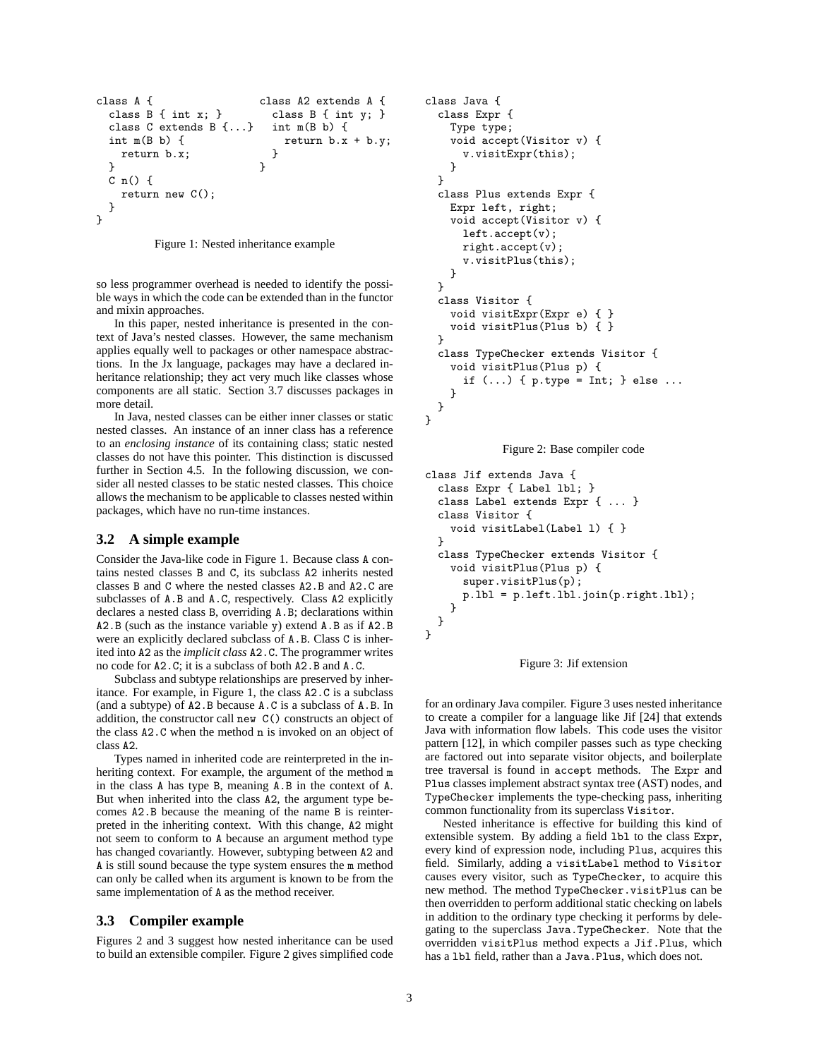```
class A {
  class B { int x; }
  class C extends B {...}
  int m(B b) {
    return b.x;
  }
 C n() freturn new C();
 }
}
                           class A2 extends A {
                             class B { int y; }
                             int m(B b) {
                              return b.x + b.y;
                             }
                           }
```
Figure 1: Nested inheritance example

so less programmer overhead is needed to identify the possible ways in which the code can be extended than in the functor and mixin approaches.

In this paper, nested inheritance is presented in the context of Java's nested classes. However, the same mechanism applies equally well to packages or other namespace abstractions. In the Jx language, packages may have a declared inheritance relationship; they act very much like classes whose components are all static. Section 3.7 discusses packages in more detail.

In Java, nested classes can be either inner classes or static nested classes. An instance of an inner class has a reference to an *enclosing instance* of its containing class; static nested classes do not have this pointer. This distinction is discussed further in Section 4.5. In the following discussion, we consider all nested classes to be static nested classes. This choice allows the mechanism to be applicable to classes nested within packages, which have no run-time instances.

## **3.2 A simple example**

Consider the Java-like code in Figure 1. Because class A contains nested classes B and C, its subclass A2 inherits nested classes B and C where the nested classes A2.B and A2.C are subclasses of A.B and A.C, respectively. Class A2 explicitly declares a nested class B, overriding A.B; declarations within A2.B (such as the instance variable y) extend A.B as if A2.B were an explicitly declared subclass of A.B. Class C is inherited into A2 as the *implicit class* A2.C. The programmer writes no code for A2.C; it is a subclass of both A2.B and A.C.

Subclass and subtype relationships are preserved by inheritance. For example, in Figure 1, the class A2.C is a subclass (and a subtype) of A2.B because A.C is a subclass of A.B. In addition, the constructor call new C() constructs an object of the class A2.C when the method n is invoked on an object of class A2.

Types named in inherited code are reinterpreted in the inheriting context. For example, the argument of the method m in the class A has type B, meaning A.B in the context of A. But when inherited into the class A2, the argument type becomes A2.B because the meaning of the name B is reinterpreted in the inheriting context. With this change, A2 might not seem to conform to A because an argument method type has changed covariantly. However, subtyping between A2 and A is still sound because the type system ensures the m method can only be called when its argument is known to be from the same implementation of A as the method receiver.

#### **3.3 Compiler example**

Figures 2 and 3 suggest how nested inheritance can be used to build an extensible compiler. Figure 2 gives simplified code

```
class Java {
 class Expr {
    Type type;
    void accept(Visitor v) {
      v.visitExpr(this);
    }
 }
 class Plus extends Expr {
    Expr left, right;
    void accept(Visitor v) {
      left.accept(v);
      right.accept(v);
      v.visitPlus(this);
    }
 }
  class Visitor {
    void visitExpr(Expr e) { }
    void visitPlus(Plus b) { }
 }
  class TypeChecker extends Visitor {
    void visitPlus(Plus p) {
      if (...) { p.type = Int; } else ...
    }
 }
}
```


```
class Jif extends Java {
  class Expr { Label lbl; }
  class Label extends Expr { ... }
  class Visitor {
    void visitLabel(Label l) { }
 }
 class TypeChecker extends Visitor {
    void visitPlus(Plus p) {
      super.visitPlus(p);
      p.lbl = p.left.lbl.join(p.right.lbl);
    }
 }
}
```
Figure 3: Jif extension

for an ordinary Java compiler. Figure 3 uses nested inheritance to create a compiler for a language like Jif [24] that extends Java with information flow labels. This code uses the visitor pattern [12], in which compiler passes such as type checking are factored out into separate visitor objects, and boilerplate tree traversal is found in accept methods. The Expr and Plus classes implement abstract syntax tree (AST) nodes, and TypeChecker implements the type-checking pass, inheriting common functionality from its superclass Visitor.

Nested inheritance is effective for building this kind of extensible system. By adding a field lbl to the class Expr, every kind of expression node, including Plus, acquires this field. Similarly, adding a visitLabel method to Visitor causes every visitor, such as TypeChecker, to acquire this new method. The method TypeChecker.visitPlus can be then overridden to perform additional static checking on labels in addition to the ordinary type checking it performs by delegating to the superclass Java.TypeChecker. Note that the overridden visitPlus method expects a Jif.Plus, which has a lbl field, rather than a Java.Plus, which does not.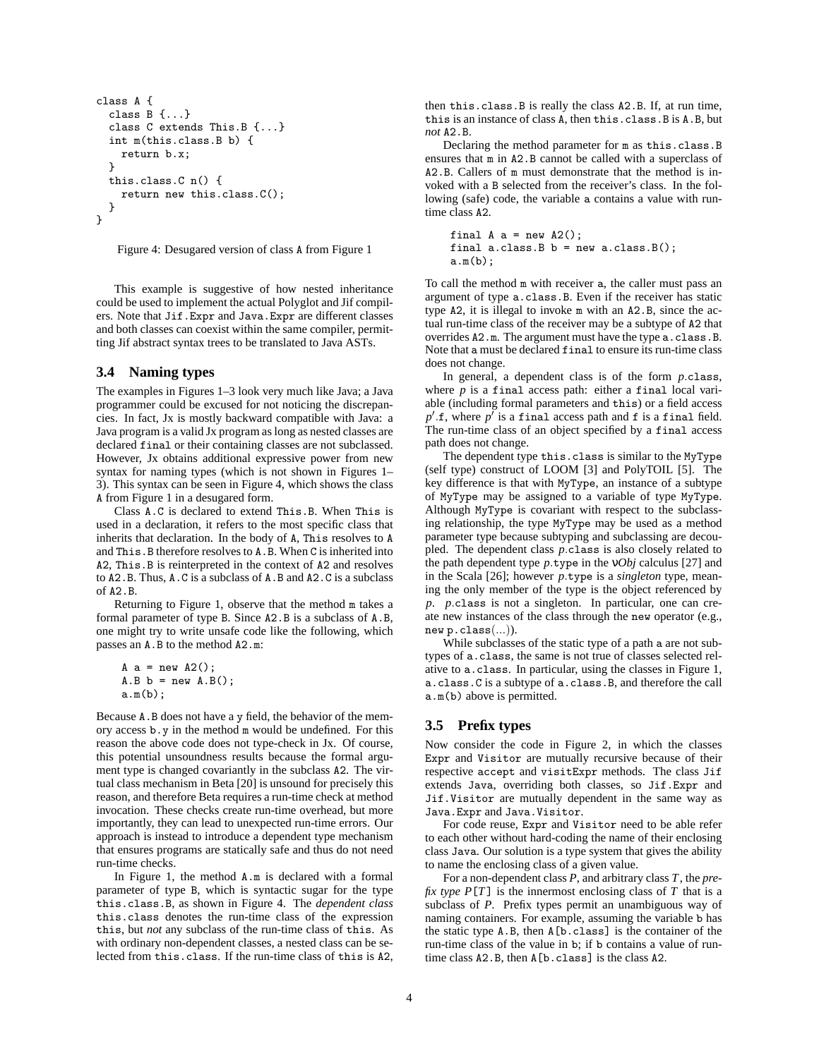```
class A {
  class B {...}
  class C extends This.B {...}
  int m(this.class.B b) {
    return b.x;
  }
 this.class.C n() {
   return new this.class.C();
 }
}
```
Figure 4: Desugared version of class A from Figure 1

This example is suggestive of how nested inheritance could be used to implement the actual Polyglot and Jif compilers. Note that Jif.Expr and Java.Expr are different classes and both classes can coexist within the same compiler, permitting Jif abstract syntax trees to be translated to Java ASTs.

## **3.4 Naming types**

The examples in Figures 1–3 look very much like Java; a Java programmer could be excused for not noticing the discrepancies. In fact, Jx is mostly backward compatible with Java: a Java program is a valid Jx program as long as nested classes are declared final or their containing classes are not subclassed. However, Jx obtains additional expressive power from new syntax for naming types (which is not shown in Figures 1– 3). This syntax can be seen in Figure 4, which shows the class A from Figure 1 in a desugared form.

Class A.C is declared to extend This.B. When This is used in a declaration, it refers to the most specific class that inherits that declaration. In the body of A, This resolves to A and This. B therefore resolves to A.B. When C is inherited into A2, This.B is reinterpreted in the context of A2 and resolves to A2.B. Thus, A.C is a subclass of A.B and A2.C is a subclass of A2.B.

Returning to Figure 1, observe that the method m takes a formal parameter of type B. Since A2.B is a subclass of A.B, one might try to write unsafe code like the following, which passes an A.B to the method A2.m:

```
A = new A2();
A.B b = new A.B();a.m(b):
```
Because A.B does not have a y field, the behavior of the memory access b.y in the method m would be undefined. For this reason the above code does not type-check in Jx. Of course, this potential unsoundness results because the formal argument type is changed covariantly in the subclass A2. The virtual class mechanism in Beta [20] is unsound for precisely this reason, and therefore Beta requires a run-time check at method invocation. These checks create run-time overhead, but more importantly, they can lead to unexpected run-time errors. Our approach is instead to introduce a dependent type mechanism that ensures programs are statically safe and thus do not need run-time checks.

In Figure 1, the method A.m is declared with a formal parameter of type B, which is syntactic sugar for the type this.class.B, as shown in Figure 4. The *dependent class* this.class denotes the run-time class of the expression this, but *not* any subclass of the run-time class of this. As with ordinary non-dependent classes, a nested class can be selected from this.class. If the run-time class of this is A2,

then this.class.B is really the class A2.B. If, at run time, this is an instance of class A, then this.class.B is A.B, but *not* A2.B.

Declaring the method parameter for m as this.class.B ensures that m in A2.B cannot be called with a superclass of A2.B. Callers of m must demonstrate that the method is invoked with a B selected from the receiver's class. In the following (safe) code, the variable a contains a value with runtime class A2.

```
final A = new A2();
final a.class.B b = new a.class.B();
a.m(b);
```
To call the method m with receiver a, the caller must pass an argument of type a.class.B. Even if the receiver has static type A2, it is illegal to invoke m with an A2.B, since the actual run-time class of the receiver may be a subtype of A2 that overrides A2.m. The argument must have the type a.class.B. Note that a must be declared final to ensure its run-time class does not change.

In general, a dependent class is of the form *p*.class, where  $p$  is a final access path: either a final local variable (including formal parameters and this) or a field access  $p'$ .f, where  $p'$  is a final access path and f is a final field. The run-time class of an object specified by a final access path does not change.

The dependent type this.class is similar to the MyType (self type) construct of LOOM [3] and PolyTOIL [5]. The key difference is that with MyType, an instance of a subtype of MyType may be assigned to a variable of type MyType. Although MyType is covariant with respect to the subclassing relationship, the type MyType may be used as a method parameter type because subtyping and subclassing are decoupled. The dependent class *p*.class is also closely related to the path dependent type *p*.type in the ν*Obj* calculus [27] and in the Scala [26]; however *p*.type is a *singleton* type, meaning the only member of the type is the object referenced by *p*. *p*.class is not a singleton. In particular, one can create new instances of the class through the new operator (e.g.,  $new p.class(...).$ 

While subclasses of the static type of a path a are not subtypes of a.class, the same is not true of classes selected relative to a.class. In particular, using the classes in Figure 1, a.class.C is a subtype of a.class.B, and therefore the call a.m(b) above is permitted.

## **3.5 Prefix types**

Now consider the code in Figure 2, in which the classes Expr and Visitor are mutually recursive because of their respective accept and visitExpr methods. The class Jif extends Java, overriding both classes, so Jif.Expr and Jif.Visitor are mutually dependent in the same way as Java. Expr and Java. Visitor.

For code reuse, Expr and Visitor need to be able refer to each other without hard-coding the name of their enclosing class Java. Our solution is a type system that gives the ability to name the enclosing class of a given value.

For a non-dependent class *P*, and arbitrary class *T*, the *prefix type P*[*T*] is the innermost enclosing class of *T* that is a subclass of *P*. Prefix types permit an unambiguous way of naming containers. For example, assuming the variable b has the static type A.B, then A[b.class] is the container of the run-time class of the value in b; if b contains a value of runtime class A2.B, then A[b.class] is the class A2.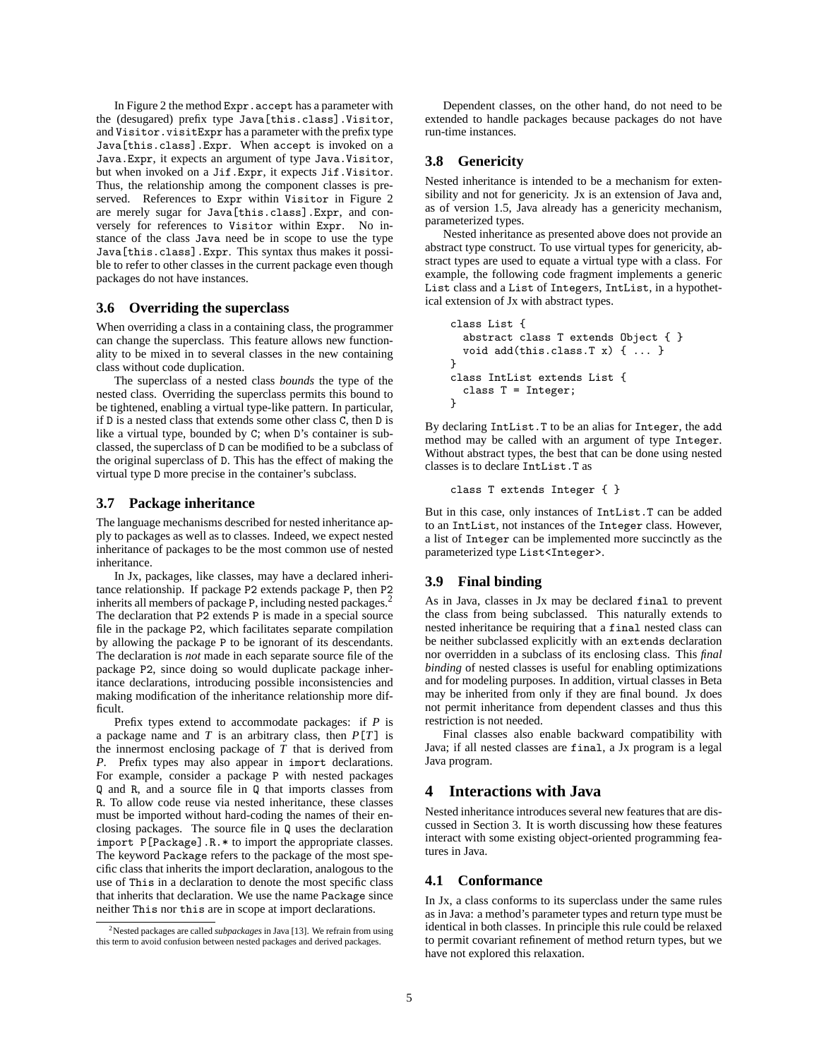In Figure 2 the method Expr.accept has a parameter with the (desugared) prefix type Java[this.class].Visitor, and Visitor. visitExpr has a parameter with the prefix type Java[this.class].Expr. When accept is invoked on a Java.Expr, it expects an argument of type Java.Visitor, but when invoked on a Jif.Expr, it expects Jif.Visitor. Thus, the relationship among the component classes is preserved. References to Expr within Visitor in Figure 2 are merely sugar for Java[this.class].Expr, and conversely for references to Visitor within Expr. No instance of the class Java need be in scope to use the type Java[this.class].Expr. This syntax thus makes it possible to refer to other classes in the current package even though packages do not have instances.

# **3.6 Overriding the superclass**

When overriding a class in a containing class, the programmer can change the superclass. This feature allows new functionality to be mixed in to several classes in the new containing class without code duplication.

The superclass of a nested class *bounds* the type of the nested class. Overriding the superclass permits this bound to be tightened, enabling a virtual type-like pattern. In particular, if D is a nested class that extends some other class C, then D is like a virtual type, bounded by C; when D's container is subclassed, the superclass of D can be modified to be a subclass of the original superclass of D. This has the effect of making the virtual type D more precise in the container's subclass.

## **3.7 Package inheritance**

The language mechanisms described for nested inheritance apply to packages as well as to classes. Indeed, we expect nested inheritance of packages to be the most common use of nested inheritance.

In Jx, packages, like classes, may have a declared inheritance relationship. If package P2 extends package P, then P2 inherits all members of package P, including nested packages.<sup>2</sup> The declaration that P2 extends P is made in a special source file in the package P2, which facilitates separate compilation by allowing the package P to be ignorant of its descendants. The declaration is *not* made in each separate source file of the package P2, since doing so would duplicate package inheritance declarations, introducing possible inconsistencies and making modification of the inheritance relationship more difficult.

Prefix types extend to accommodate packages: if *P* is a package name and *T* is an arbitrary class, then *P*[*T*] is the innermost enclosing package of *T* that is derived from *P*. Prefix types may also appear in import declarations. For example, consider a package P with nested packages Q and R, and a source file in Q that imports classes from R. To allow code reuse via nested inheritance, these classes must be imported without hard-coding the names of their enclosing packages. The source file in Q uses the declaration import P[Package].R.\* to import the appropriate classes. The keyword Package refers to the package of the most specific class that inherits the import declaration, analogous to the use of This in a declaration to denote the most specific class that inherits that declaration. We use the name Package since neither This nor this are in scope at import declarations.

Dependent classes, on the other hand, do not need to be extended to handle packages because packages do not have run-time instances.

## **3.8 Genericity**

Nested inheritance is intended to be a mechanism for extensibility and not for genericity. Jx is an extension of Java and, as of version 1.5, Java already has a genericity mechanism, parameterized types.

Nested inheritance as presented above does not provide an abstract type construct. To use virtual types for genericity, abstract types are used to equate a virtual type with a class. For example, the following code fragment implements a generic List class and a List of Integers, IntList, in a hypothetical extension of Jx with abstract types.

```
class List {
 abstract class T extends Object { }
 void add(this.class.T x) { ... }
}
class IntList extends List {
  class T = Integer;
}
```
By declaring IntList.T to be an alias for Integer, the add method may be called with an argument of type Integer. Without abstract types, the best that can be done using nested classes is to declare IntList.T as

```
class T extends Integer { }
```
But in this case, only instances of IntList.T can be added to an IntList, not instances of the Integer class. However, a list of Integer can be implemented more succinctly as the parameterized type List<Integer>.

## **3.9 Final binding**

As in Java, classes in Jx may be declared final to prevent the class from being subclassed. This naturally extends to nested inheritance be requiring that a final nested class can be neither subclassed explicitly with an extends declaration nor overridden in a subclass of its enclosing class. This *final binding* of nested classes is useful for enabling optimizations and for modeling purposes. In addition, virtual classes in Beta may be inherited from only if they are final bound. Jx does not permit inheritance from dependent classes and thus this restriction is not needed.

Final classes also enable backward compatibility with Java; if all nested classes are final, a Jx program is a legal Java program.

# **4 Interactions with Java**

Nested inheritance introduces several new features that are discussed in Section 3. It is worth discussing how these features interact with some existing object-oriented programming features in Java.

# **4.1 Conformance**

In Jx, a class conforms to its superclass under the same rules as in Java: a method's parameter types and return type must be identical in both classes. In principle this rule could be relaxed to permit covariant refinement of method return types, but we have not explored this relaxation.

<sup>2</sup>Nested packages are called *subpackages* in Java [13]. We refrain from using this term to avoid confusion between nested packages and derived packages.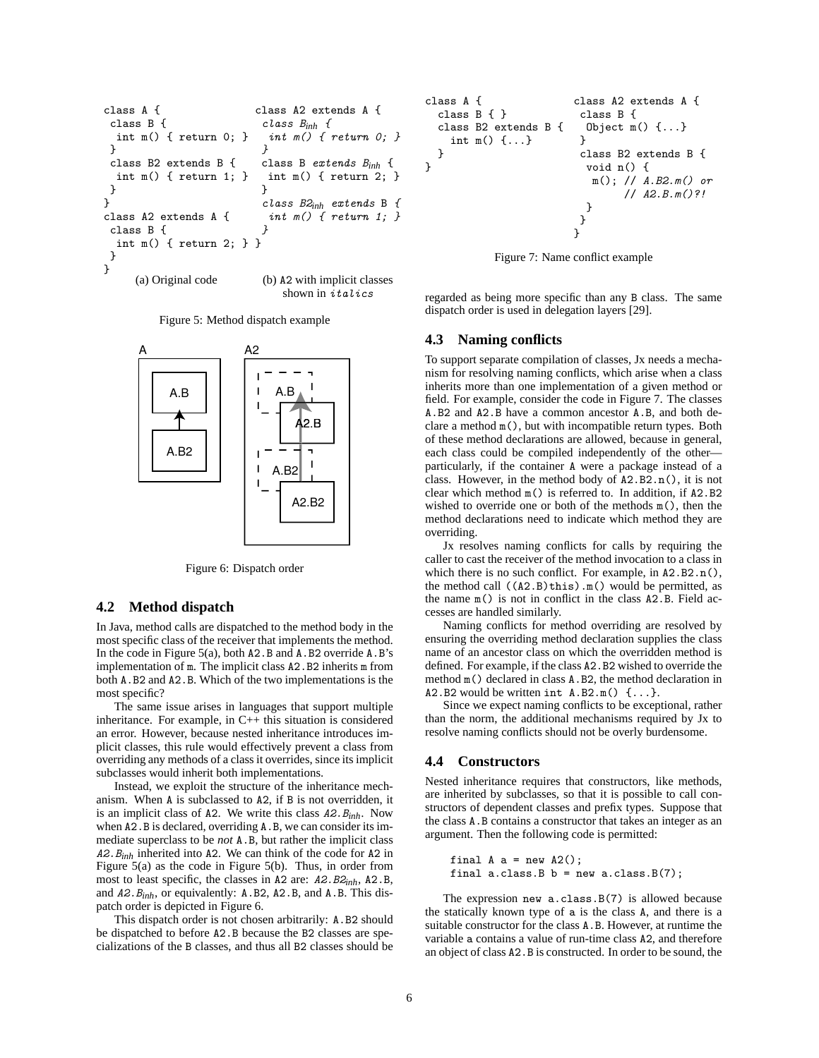```
class A {
 class B {
 int m() { return 0; }
 }
 class B2 extends B {
  int m() { return 1; }
 }
}
class A2 extends A {
class B {
  int m() { return 2; }
}
}
                         class A2 extends A {
                           class Binh {
                            int m() { return 0; }
                           }
                          class B extends Binh {
                            int m() { return 2; }
                          }
                           class B2inh extends B {
                            int m() { return 1; }
                           }
                         }
     (a) Original code (b) A2 with implicit classes
```
shown in  $i$ talics

Figure 5: Method dispatch example



Figure 6: Dispatch order

## **4.2 Method dispatch**

In Java, method calls are dispatched to the method body in the most specific class of the receiver that implements the method. In the code in Figure 5(a), both  $A2.B$  and  $A.B2$  override  $A.B$ 's implementation of m. The implicit class A2.B2 inherits m from both A.B2 and A2.B. Which of the two implementations is the most specific?

The same issue arises in languages that support multiple inheritance. For example, in C++ this situation is considered an error. However, because nested inheritance introduces implicit classes, this rule would effectively prevent a class from overriding any methods of a class it overrides, since its implicit subclasses would inherit both implementations.

Instead, we exploit the structure of the inheritance mechanism. When A is subclassed to A2, if B is not overridden, it is an implicit class of A2. We write this class A2.B*inh*. Now when A2.B is declared, overriding A.B, we can consider its immediate superclass to be *not* A.B, but rather the implicit class A2.B*inh* inherited into A2. We can think of the code for A2 in Figure 5(a) as the code in Figure 5(b). Thus, in order from most to least specific, the classes in A2 are: A2.B2*inh*, A2.B, and A2.B*inh*, or equivalently: A.B2, A2.B, and A.B. This dispatch order is depicted in Figure 6.

This dispatch order is not chosen arbitrarily: A.B2 should be dispatched to before A2.B because the B2 classes are specializations of the B classes, and thus all B2 classes should be

class A { class B { } class B2 extends B { int m() {...} } } class A2 extends A { class B { Object m() {...} } class B2 extends B { void n() { m(); // A.B2.m() or // A2.B.m()?! } } }



regarded as being more specific than any B class. The same dispatch order is used in delegation layers [29].

# **4.3 Naming conflicts**

To support separate compilation of classes, Jx needs a mechanism for resolving naming conflicts, which arise when a class inherits more than one implementation of a given method or field. For example, consider the code in Figure 7. The classes A.B2 and A2.B have a common ancestor A.B, and both declare a method m(), but with incompatible return types. Both of these method declarations are allowed, because in general, each class could be compiled independently of the other particularly, if the container A were a package instead of a class. However, in the method body of A2.B2.n(), it is not clear which method m() is referred to. In addition, if A2.B2 wished to override one or both of the methods m(), then the method declarations need to indicate which method they are overriding.

Jx resolves naming conflicts for calls by requiring the caller to cast the receiver of the method invocation to a class in which there is no such conflict. For example, in  $A2.B2.n()$ , the method call  $((A2.B)this) . m()$  would be permitted, as the name m() is not in conflict in the class A2.B. Field accesses are handled similarly.

Naming conflicts for method overriding are resolved by ensuring the overriding method declaration supplies the class name of an ancestor class on which the overridden method is defined. For example, if the class A2.B2 wished to override the method m() declared in class A.B2, the method declaration in A2.B2 would be written int  $A.B2.m() \{... \}$ .

Since we expect naming conflicts to be exceptional, rather than the norm, the additional mechanisms required by Jx to resolve naming conflicts should not be overly burdensome.

## **4.4 Constructors**

Nested inheritance requires that constructors, like methods, are inherited by subclasses, so that it is possible to call constructors of dependent classes and prefix types. Suppose that the class A.B contains a constructor that takes an integer as an argument. Then the following code is permitted:

final  $A = new A2()$ ; final a.class.B  $b = new a.class.B(7);$ 

The expression new a.class.B(7) is allowed because the statically known type of a is the class A, and there is a suitable constructor for the class A.B. However, at runtime the variable a contains a value of run-time class A2, and therefore an object of class A2.B is constructed. In order to be sound, the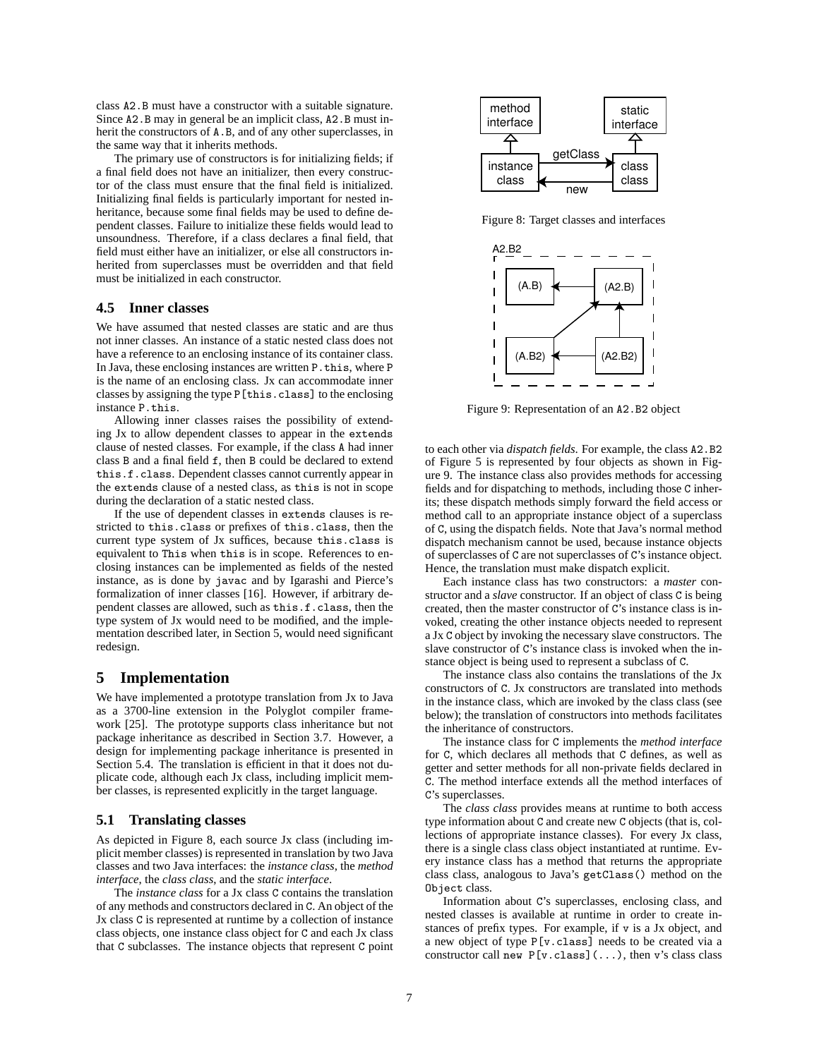class A2.B must have a constructor with a suitable signature. Since A2.B may in general be an implicit class, A2.B must inherit the constructors of A.B, and of any other superclasses, in the same way that it inherits methods.

The primary use of constructors is for initializing fields; if a final field does not have an initializer, then every constructor of the class must ensure that the final field is initialized. Initializing final fields is particularly important for nested inheritance, because some final fields may be used to define dependent classes. Failure to initialize these fields would lead to unsoundness. Therefore, if a class declares a final field, that field must either have an initializer, or else all constructors inherited from superclasses must be overridden and that field must be initialized in each constructor.

# **4.5 Inner classes**

We have assumed that nested classes are static and are thus not inner classes. An instance of a static nested class does not have a reference to an enclosing instance of its container class. In Java, these enclosing instances are written P.this, where P is the name of an enclosing class. Jx can accommodate inner classes by assigning the type P[this.class] to the enclosing instance P.this.

Allowing inner classes raises the possibility of extending Jx to allow dependent classes to appear in the extends clause of nested classes. For example, if the class A had inner class B and a final field f, then B could be declared to extend this.f.class. Dependent classes cannot currently appear in the extends clause of a nested class, as this is not in scope during the declaration of a static nested class.

If the use of dependent classes in extends clauses is restricted to this.class or prefixes of this.class, then the current type system of Jx suffices, because this.class is equivalent to This when this is in scope. References to enclosing instances can be implemented as fields of the nested instance, as is done by javac and by Igarashi and Pierce's formalization of inner classes [16]. However, if arbitrary dependent classes are allowed, such as this.f.class, then the type system of Jx would need to be modified, and the implementation described later, in Section 5, would need significant redesign.

# **5 Implementation**

We have implemented a prototype translation from Jx to Java as a 3700-line extension in the Polyglot compiler framework [25]. The prototype supports class inheritance but not package inheritance as described in Section 3.7. However, a design for implementing package inheritance is presented in Section 5.4. The translation is efficient in that it does not duplicate code, although each Jx class, including implicit member classes, is represented explicitly in the target language.

## **5.1 Translating classes**

As depicted in Figure 8, each source Jx class (including implicit member classes) is represented in translation by two Java classes and two Java interfaces: the *instance class*, the *method interface*, the *class class*, and the *static interface*.

The *instance class* for a Jx class C contains the translation of any methods and constructors declared in C. An object of the Jx class C is represented at runtime by a collection of instance class objects, one instance class object for C and each Jx class that C subclasses. The instance objects that represent C point



Figure 8: Target classes and interfaces



Figure 9: Representation of an A2.B2 object

to each other via *dispatch fields*. For example, the class A2.B2 of Figure 5 is represented by four objects as shown in Figure 9. The instance class also provides methods for accessing fields and for dispatching to methods, including those C inherits; these dispatch methods simply forward the field access or method call to an appropriate instance object of a superclass of C, using the dispatch fields. Note that Java's normal method dispatch mechanism cannot be used, because instance objects of superclasses of C are not superclasses of C's instance object. Hence, the translation must make dispatch explicit.

Each instance class has two constructors: a *master* constructor and a *slave* constructor. If an object of class C is being created, then the master constructor of C's instance class is invoked, creating the other instance objects needed to represent a Jx C object by invoking the necessary slave constructors. The slave constructor of C's instance class is invoked when the instance object is being used to represent a subclass of C.

The instance class also contains the translations of the Jx constructors of C. Jx constructors are translated into methods in the instance class, which are invoked by the class class (see below); the translation of constructors into methods facilitates the inheritance of constructors.

The instance class for C implements the *method interface* for C, which declares all methods that C defines, as well as getter and setter methods for all non-private fields declared in C. The method interface extends all the method interfaces of C's superclasses.

The *class class* provides means at runtime to both access type information about C and create new C objects (that is, collections of appropriate instance classes). For every Jx class, there is a single class class object instantiated at runtime. Every instance class has a method that returns the appropriate class class, analogous to Java's getClass() method on the Object class.

Information about C's superclasses, enclosing class, and nested classes is available at runtime in order to create instances of prefix types. For example, if v is a Jx object, and a new object of type P[v.class] needs to be created via a constructor call new  $P[v.class](\ldots)$ , then v's class class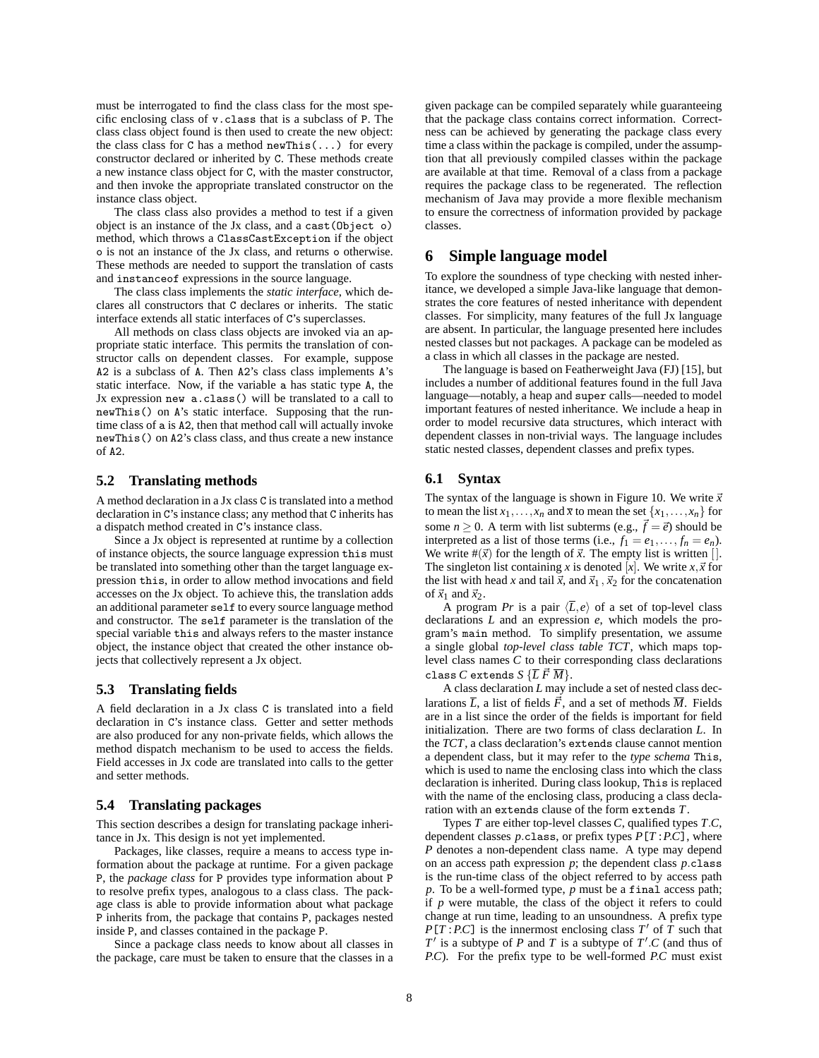must be interrogated to find the class class for the most specific enclosing class of v.class that is a subclass of P. The class class object found is then used to create the new object: the class class for C has a method newThis $(...)$  for every constructor declared or inherited by C. These methods create a new instance class object for C, with the master constructor, and then invoke the appropriate translated constructor on the instance class object.

The class class also provides a method to test if a given object is an instance of the Jx class, and a cast(Object o) method, which throws a ClassCastException if the object o is not an instance of the Jx class, and returns o otherwise. These methods are needed to support the translation of casts and instanceof expressions in the source language.

The class class implements the *static interface*, which declares all constructors that C declares or inherits. The static interface extends all static interfaces of C's superclasses.

All methods on class class objects are invoked via an appropriate static interface. This permits the translation of constructor calls on dependent classes. For example, suppose A2 is a subclass of A. Then A2's class class implements A's static interface. Now, if the variable a has static type A, the Jx expression new a.class() will be translated to a call to newThis() on A's static interface. Supposing that the runtime class of a is A2, then that method call will actually invoke newThis() on A2's class class, and thus create a new instance of A2.

## **5.2 Translating methods**

A method declaration in a Jx class C is translated into a method declaration in C's instance class; any method that C inherits has a dispatch method created in C's instance class.

Since a Jx object is represented at runtime by a collection of instance objects, the source language expression this must be translated into something other than the target language expression this, in order to allow method invocations and field accesses on the Jx object. To achieve this, the translation adds an additional parameter self to every source language method and constructor. The self parameter is the translation of the special variable this and always refers to the master instance object, the instance object that created the other instance objects that collectively represent a Jx object.

## **5.3 Translating fields**

A field declaration in a Jx class C is translated into a field declaration in C's instance class. Getter and setter methods are also produced for any non-private fields, which allows the method dispatch mechanism to be used to access the fields. Field accesses in Jx code are translated into calls to the getter and setter methods.

## **5.4 Translating packages**

This section describes a design for translating package inheritance in Jx. This design is not yet implemented.

Packages, like classes, require a means to access type information about the package at runtime. For a given package P, the *package class* for P provides type information about P to resolve prefix types, analogous to a class class. The package class is able to provide information about what package P inherits from, the package that contains P, packages nested inside P, and classes contained in the package P.

Since a package class needs to know about all classes in the package, care must be taken to ensure that the classes in a

given package can be compiled separately while guaranteeing that the package class contains correct information. Correctness can be achieved by generating the package class every time a class within the package is compiled, under the assumption that all previously compiled classes within the package are available at that time. Removal of a class from a package requires the package class to be regenerated. The reflection mechanism of Java may provide a more flexible mechanism to ensure the correctness of information provided by package classes.

# **6 Simple language model**

To explore the soundness of type checking with nested inheritance, we developed a simple Java-like language that demonstrates the core features of nested inheritance with dependent classes. For simplicity, many features of the full Jx language are absent. In particular, the language presented here includes nested classes but not packages. A package can be modeled as a class in which all classes in the package are nested.

The language is based on Featherweight Java (FJ) [15], but includes a number of additional features found in the full Java language—notably, a heap and super calls—needed to model important features of nested inheritance. We include a heap in order to model recursive data structures, which interact with dependent classes in non-trivial ways. The language includes static nested classes, dependent classes and prefix types.

## **6.1 Syntax**

The syntax of the language is shown in Figure 10. We write  $\vec{x}$ to mean the list  $x_1, \ldots, x_n$  and  $\bar{x}$  to mean the set  $\{x_1, \ldots, x_n\}$  for some  $n \ge 0$ . A term with list subterms (e.g.,  $\vec{f} = \vec{e}$ ) should be interpreted as a list of those terms (i.e.,  $f_1 = e_1, \ldots, f_n = e_n$ ). We write  $\#(\vec{x})$  for the length of  $\vec{x}$ . The empty list is written []. The singleton list containing *x* is denoted [*x*]. We write *x*,  $\vec{x}$  for the list with head *x* and tail  $\vec{x}$ , and  $\vec{x}_1$ ,  $\vec{x}_2$  for the concatenation of  $\vec{x}_1$  and  $\vec{x}_2$ .

A program *Pr* is a pair  $\langle \overline{L}, e \rangle$  of a set of top-level class declarations *L* and an expression *e*, which models the program's main method. To simplify presentation, we assume a single global *top-level class table TCT*, which maps toplevel class names *C* to their corresponding class declarations class *C* extends  $S \{\overline{L} \vec{F} \,\overline{M}\}.$ 

A class declaration *L* may include a set of nested class declarations  $\overline{L}$ , a list of fields  $\overrightarrow{F}$ , and a set of methods  $\overline{M}$ . Fields are in a list since the order of the fields is important for field initialization. There are two forms of class declaration *L*. In the *TCT*, a class declaration's extends clause cannot mention a dependent class, but it may refer to the *type schema* This, which is used to name the enclosing class into which the class declaration is inherited. During class lookup, This is replaced with the name of the enclosing class, producing a class declaration with an extends clause of the form extends *T*.

Types *T* are either top-level classes *C*, qualified types *T*.*C*, dependent classes *p*.class, or prefix types *P*[*T* :*P*.*C*], where *P* denotes a non-dependent class name. A type may depend on an access path expression *p*; the dependent class *p*.class is the run-time class of the object referred to by access path *p*. To be a well-formed type, *p* must be a final access path; if *p* were mutable, the class of the object it refers to could change at run time, leading to an unsoundness. A prefix type  $P[T : P.C]$  is the innermost enclosing class  $T'$  of  $\overline{T}$  such that  $T'$  is a subtype of *P* and *T* is a subtype of  $T'.C$  (and thus of *P*.*C*). For the prefix type to be well-formed *P*.*C* must exist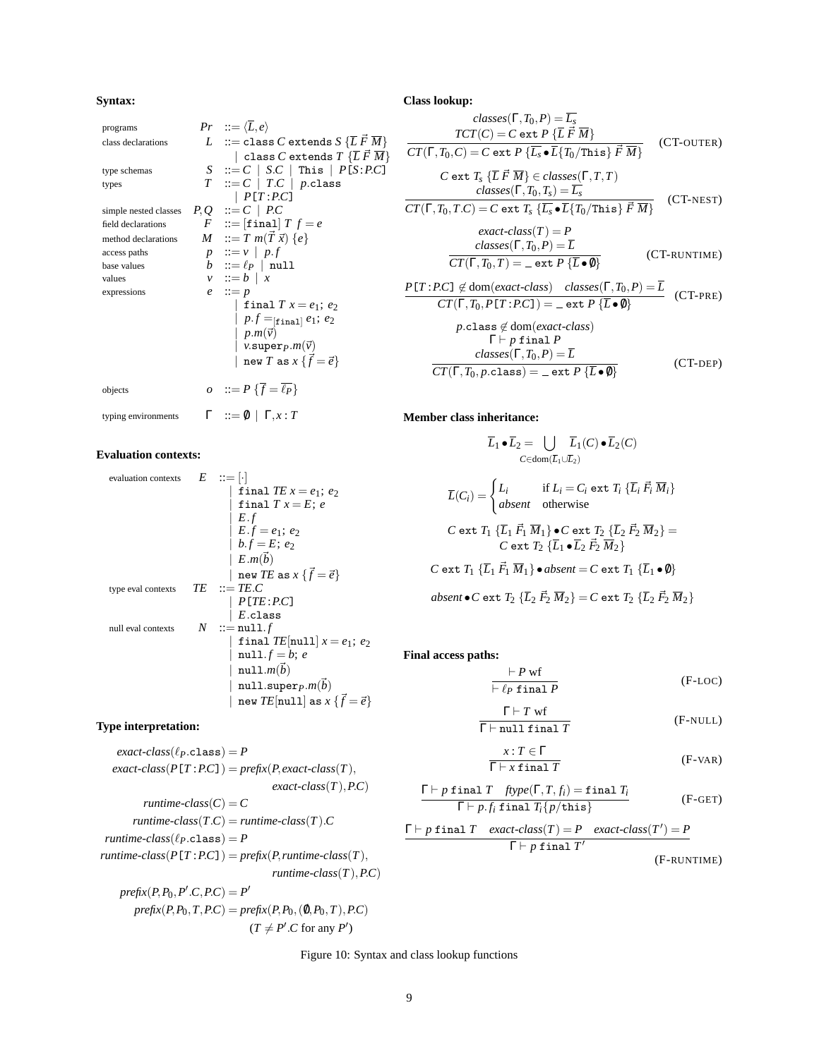# **Syntax:**

| programs                                     | $Pr$ ::= $\langle \overline{L}, e \rangle$                                                                                                                                           |
|----------------------------------------------|--------------------------------------------------------------------------------------------------------------------------------------------------------------------------------------|
| class declarations                           | L ::= class C extends $S\{\overline{L}\ \overline{F}\ \overline{M}\}\$                                                                                                               |
| type schemas<br>types                        | $\mid \texttt{ class }C \texttt{ extends }T \text{ } \{\overline{L}\ \vec{F}\ \overline{M}\}$<br>$S$ ::= $C$   S.C   This   $P[S:PC]$<br>$T$ := $C$   $T.C$   $p.class$<br> P[T:P.C] |
| simple nested classes $P, Q$ ::= $C$   $P.C$ |                                                                                                                                                                                      |
| field declarations                           | $F$ := [final] $T f = e$                                                                                                                                                             |
| method declarations                          | $M$ ::= T $m(\vec{T} \vec{x})$ {e}                                                                                                                                                   |
| access paths                                 | $p ::= v   p.f$                                                                                                                                                                      |
| base values                                  | b ::= $\ell_P$   null                                                                                                                                                                |
| values                                       | $v ::= b \mid x$                                                                                                                                                                     |
| expressions                                  | $e$ : $p$                                                                                                                                                                            |
|                                              | final $T x = e_1$ ; $e_2$<br>$  p.f =_{[final]} e_1; e_2$<br>  p.m( $\vec{v}$ )<br>  $v.\texttt{super}_{P}.m(\vec{v})$<br>  new T as $x \{ \vec{f} = \vec{e} \}$                     |
| objects                                      | $o$ := $P \{ \overline{f} = \overline{\ell_P} \}$                                                                                                                                    |

typing environments  $\Gamma$  ::= 0 |  $\Gamma, x : T$ 

#### **Evaluation contexts:**

| evaluation contexts                            | $E$                 | ::= [·]    |
|------------------------------------------------|---------------------|------------|
| final $TE x = e_1$ ; $e_2$                     |                     |            |
| final $T x = E$ ; $e$                          |                     |            |
| $E.f$                                          | $E.f = e_1$ ; $e_2$ |            |
| $ b.f = E$ ; $e_2$                             |                     |            |
| $ E.m(\vec{b}) $                               |                     |            |
| new $TE$ as $x \{ \vec{f} = \vec{e} \}$        |                     |            |
| type eval contexts                             | $TE$                | ::= $TE.C$ |
| $ P[TE:PC]$                                    |                     |            |
| full eval contexts                             | $N$                 | ::= null.f |
| final $TE$ [null] $x = e_1$ ; $e_2$            |                     |            |
| null.f = b; e                                  |                     |            |
| null.m(\vec{b})                                |                     |            |
| null.support.m(\vec{b})                        |                     |            |
| new $TE$ [null] as $x \{ \vec{f} = \vec{e} \}$ |                     |            |

# **Type interpretation:**

$$
exact-class(\ell_P.class) = P
$$
  
exact-class(P[T:P.C]) = prefix(P, exact-class(T),  
exact-class(T),PC)

 *runtime-class*(*C*) = *C*  
\n *runtime-class*(*T*.*C*) =  *runtime-class*(*T*).*C*  
\n *runtime-class*(
$$
\ell_P
$$
.class) = *P*  
\n *runtime-class*( $\ell_T$ .*T*.*C*)] = *prefix*( $P$ ,  *runtime-class*(*T*),  
\n *runtime-class*( $T$ ).*P*.*C*)

 $\mathit{prefix}(P, P_0, P'.C, P.C) = P'$  $\mathit{prefix}(P, P_0, T, P.C) = \mathit{prefix}(P, P_0, (\emptyset, P_0, T), P.C)$  $(T \neq P'.C$  for any  $P'$ )

# **Class lookup:**

$$
classes(\Gamma, T_0, P) = \overline{L_s}
$$
  
\n
$$
\overline{CT(\Gamma, T_0, C)} = C \text{ ext } P \{\overline{L} \overline{F} \overline{M}\}
$$
 (CT-OUTER)  
\n
$$
\overline{CT(\Gamma, T_0, C)} = C \text{ ext } P \{\overline{L_s} \bullet \overline{L} \{T_0/T \text{his}\} \overline{F} \overline{M}\}
$$
 (CT-OUTER)  
\n
$$
C \text{ ext } T_s \{\overline{L} \overline{F} \overline{M}\} \in classes(\Gamma, T, T)
$$
  
\n
$$
classes(\Gamma, T_0, T_s) = \overline{L_s}
$$
  
\n
$$
\overline{CT(\Gamma, T_0, T, C)} = C \text{ ext } T_s \{\overline{L_s} \bullet \overline{L} \{T_0/T \text{his}\} \overline{F} \overline{M}\}
$$
 (CT-NEST)  
\n
$$
exact-class(T) = P
$$
  
\n
$$
classes(\Gamma, T_0, P) = \overline{L}
$$
  
\n
$$
\overline{CT(\Gamma, T_0, T)} = - \text{ ext } P \{\overline{L} \bullet 0\}
$$
 (CT-RUNTIME)  
\n
$$
P[T : PC] \notin dom(exact-class) \quad classes(\Gamma, T_0, P) = \overline{L}
$$
  
\n
$$
\overline{CT(\Gamma, T_0, P[T : PC])} = - \text{ ext } P \{\overline{L} \bullet 0\}
$$
  
\n
$$
p.class \notin dom(exact-class)
$$
  
\n
$$
\Gamma \vdash p \text{ final } P
$$
  
\n
$$
classes(\Gamma, T_0, P) = \overline{L}
$$
 (CT-DEF)  
\n
$$
\overline{CT(\Gamma, T_0, p.class)} = - \text{ ext } P \{\overline{L} \bullet 0\}
$$
 (CT-DEF)

**Member class inheritance:**

$$
\overline{L}_1 \bullet \overline{L}_2 = \bigcup_{C \in \text{dom}(\overline{L}_1 \cup \overline{L}_2)} \overline{L}_1(C) \bullet \overline{L}_2(C)
$$

$$
\overline{L}(C_i) = \begin{cases} L_i & \text{if } L_i = C_i \text{ ext } T_i \ \{\overline{L}_i \ \overline{F}_i \ \overline{M}_i\} \\ absent & \text{otherwise} \end{cases}
$$
\n
$$
C \text{ ext } T_1 \ \{\overline{L}_1 \ \overline{F}_1 \ \overline{M}_1\} \bullet C \text{ ext } T_2 \ \{\overline{L}_2 \ \overline{F}_2 \ \overline{M}_2\} =
$$
\n
$$
C \text{ ext } T_2 \ \{\overline{L}_1 \bullet \overline{L}_2 \ \overline{F}_2 \ \overline{M}_2\}
$$

 $C$  ext  $T_1$   $\{\overline{L}_1 \ \overline{F}_1 \ \overline{M}_1\} \bullet absent = C$  ext  $T_1$   $\{\overline{L}_1 \bullet \emptyset\}$ 

$$
\mathit{absent} \bullet C \mathrel{\mathbf{ext}} T_2 \{\overline{L}_2 \ \overline{F}_2 \ \overline{M}_2\} = C \mathrel{\mathbf{ext}} T_2 \{\overline{L}_2 \ \overline{F}_2 \ \overline{M}_2\}
$$

# **Final access paths:**

$$
\frac{\vdash P \text{ wf}}{\vdash \ell_P \text{ final } P} \tag{F-LOC}
$$

$$
\frac{\Gamma \vdash T \text{ wf}}{\Gamma \vdash \text{null final } T}
$$
 (F-NULL)

$$
\frac{x: T \in \Gamma}{\Gamma \vdash x \text{ final } T} \tag{F-VAR}
$$

$$
\frac{\Gamma \vdash p \text{ final } T \quad \text{ftype}(\Gamma, T, f_i) = \text{final } T_i}{\Gamma \vdash p.f_i \text{ final } T_i\{p/\text{this}\}} \tag{F-GET}
$$

$$
\frac{\Gamma \vdash p \text{ final } T \quad exact-class(T) = P \quad exact-class(T') = P}{\Gamma \vdash p \text{ final } T'}
$$
\n(F-RUNTIME)

Figure 10: Syntax and class lookup functions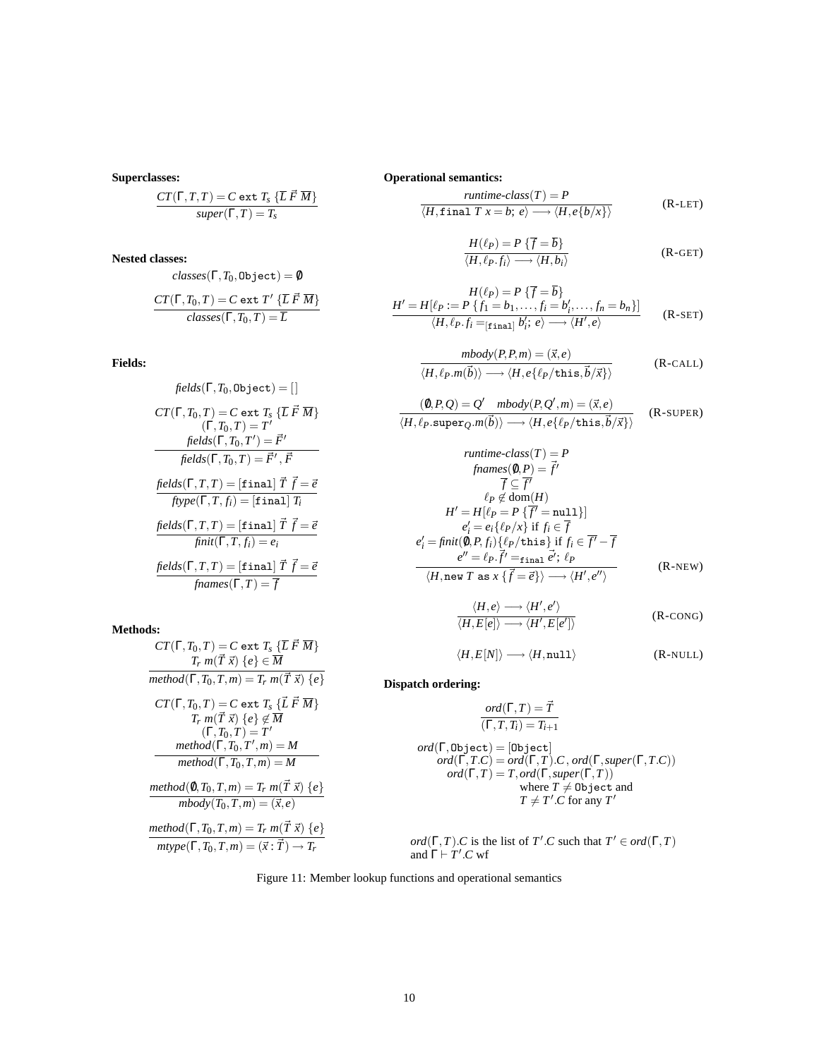**Superclasses:**

$$
\frac{CT(\Gamma,T,T)=C \text{ ext }T_s\;\{\overline{L}\;\vec{F}\;\overline{M}\}}{\text{super}(\Gamma,T)=T_s}
$$

**Nested classes:**

$$
classes(\Gamma, T_0, \text{Object}) = \emptyset
$$
  

$$
\underbrace{CT(\Gamma, T_0, T) = C \text{ ext } T' \{ \overline{L} \overline{F} \ \overline{M} \}}_{classes(\Gamma, T_0, T) = \overline{L}}
$$

## **Fields:**

$$
fields(\Gamma, T_0, \text{Object}) = []
$$
\n
$$
CT(\Gamma, T_0, T) = C \text{ ext } T_s \{\overline{L} \overline{F} \overline{M}\}
$$
\n
$$
(T, T_0, T) = T'
$$
\n
$$
fields(\Gamma, T_0, T') = \overline{F'}
$$
\n
$$
fields(\Gamma, T_0, T) = \overline{F'}, \overline{F}
$$
\n
$$
fields(\Gamma, T, T) = [\text{final}] \overline{T} \overline{f} = \overline{e}
$$
\n
$$
ftype(\Gamma, T, f_i) = [\text{final}] \overline{T} \overline{f} = \overline{e}
$$
\n
$$
find(\Gamma, T, f_i) = e_i
$$
\n
$$
fields(\Gamma, T, T) = [\text{final}] \overline{T} \overline{f} = \overline{e}
$$
\n
$$
find(\Gamma, T, T) = [\text{final}] \overline{T} \overline{f} = \overline{e}
$$
\n
$$
frames(\Gamma, T) = \overline{f}
$$

## **Methods:**

$$
CT(\Gamma, T_0, T) = C \text{ ext } T_s \{\overline{L} \overline{F} \overline{M}\}
$$
  
\n
$$
T_r m(\overline{T} \overline{x}) \{e\} \in \overline{M}
$$
  
\nmethod $(\Gamma, T_0, T, m) = T_r m(\overline{T} \overline{x}) \{e\}$   
\n
$$
CT(\Gamma, T_0, T) = C \text{ ext } T_s \{\overline{L} \overline{F} \overline{M}\}
$$
  
\n
$$
T_r m(\overline{T} \overline{x}) \{e\} \notin \overline{M}
$$
  
\n
$$
(\Gamma, T_0, T) = T'
$$
  
\n
$$
method(\Gamma, T_0, T', m) = M
$$
  
\nmethod $(\Gamma, T_0, T, m) = M$   
\nmethod $(0, T_0, T, m) = T_r m(\overline{T} \overline{x}) \{e\}$   
\nmethod $(T_0, T, m) = (\overline{x}, e)$   
\nmethod $(\Gamma, T_0, T, m) = T_r m(\overline{T} \overline{x}) \{e\}$   
\nmethod $(\Gamma, T_0, T, m) = T_r m(\overline{T} \overline{x}) \{e\}$   
\n
$$
mtype(\Gamma, T_0, T, m) = (\overline{x} \cdot \overline{T}) \rightarrow T_r
$$

**Operational semantics:**

 *runtime-class*(*T*) = *P*  
\n
$$
\langle H, \text{final } T \ x = b; e \rangle \longrightarrow \langle H, e\{b/x\} \rangle
$$
\n(R-LET)

$$
\frac{H(\ell_P) = P\{\overline{f} = \overline{b}\}}{\langle H, \ell_P, f_i \rangle \longrightarrow \langle H, b_i \rangle} \tag{R-GET}
$$

$$
H(\ell_P) = P\{\overline{f} = \overline{b}\}
$$
  
\n
$$
H' = H[\ell_P := P\{f_1 = b_1, \dots, f_i = b'_i, \dots, f_n = b_n\}]
$$
  
\n
$$
\langle H, \ell_P. f_i = [\text{final}] \ b'_i; e \rangle \longrightarrow \langle H', e \rangle
$$
 (R-SET)

$$
\frac{mbody(P, P, m) = (\vec{x}, e)}{\langle H, \ell_P.m(\vec{b}) \rangle \longrightarrow \langle H, e\{\ell_P/\text{this}, \vec{b}/\vec{x}\}\rangle}
$$
 (R-CALL)

$$
\frac{(\mathbf{0}, P, Q) = Q' \quad \text{mbody}(P, Q', m) = (\vec{x}, e)}{\langle H, \ell_P. \text{super}_{Q}.m(\vec{b}) \rangle \longrightarrow \langle H, e\{\ell_P/\text{this}, \vec{b}/\vec{x}\}\rangle} \quad (\text{R-SUPER})
$$

 *runtime-class*(*T*) = *P*  
\n*frames*(0, *P*) = 
$$
\vec{f}'
$$
  
\n $\vec{f} \subseteq \vec{f}'$   
\n $\ell_P \notin \text{dom}(H)$   
\n $H' = H[\ell_P = P \{\vec{f}' = \text{null}\}]$   
\n $e'_i = e_i \{\ell_P/x\} \text{ if } f_i \in \vec{f}$   
\n $e'_i = \text{finit}(0, P, f_i) \{\ell_P/\text{this}\} \text{ if } f_i \in \vec{f}' - \vec{f}$   
\n $e'' = \ell_P \cdot \vec{f}' = \text{final } e' ; \ell_P$   
\n $\langle H, \text{new } T \text{ as } x \{\vec{f} = \vec{e}\} \rangle \longrightarrow \langle H', e'' \rangle$  (R-NEW)

$$
\frac{\langle H, e \rangle \longrightarrow \langle H', e' \rangle}{\langle H, E[e] \rangle \longrightarrow \langle H', E[e'] \rangle} \tag{R-CONG}
$$

$$
\langle H, E[N] \rangle \longrightarrow \langle H, \text{null} \rangle \tag{R-NULL}
$$

## **Dispatch ordering:**

$$
ord(\Gamma, T) = \vec{T}
$$
  
\n
$$
\overline{(\Gamma, T, T_i)} = \vec{T}_{i+1}
$$
  
\n
$$
ord(\Gamma, \text{Object}) = [\text{Object}]
$$
  
\n
$$
ord(\Gamma, T.C) = ord(\Gamma, T).C, ord(\Gamma, super(\Gamma, T.C))
$$
  
\n
$$
ord(\Gamma, T) = T, ord(\Gamma, super(\Gamma, T))
$$
  
\nwhere  $T \neq \text{Object}$  and  
\n
$$
T \neq T'.C \text{ for any } T'
$$

*ord*( $\Gamma$ ,*T*).*C* is the list of *T'*.*C* such that  $T' \in ord(\Gamma, T)$ and  $\Gamma \vdash T'.C$  wf

Figure 11: Member lookup functions and operational semantics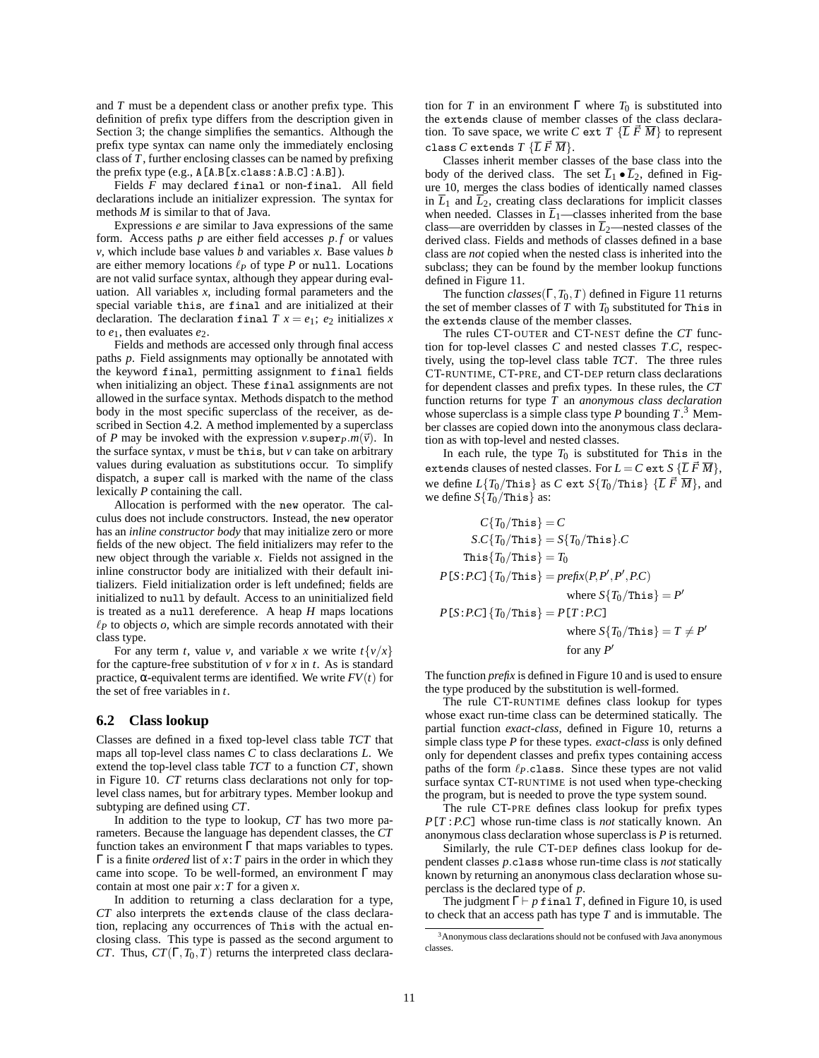and *T* must be a dependent class or another prefix type. This definition of prefix type differs from the description given in Section 3; the change simplifies the semantics. Although the prefix type syntax can name only the immediately enclosing class of *T*, further enclosing classes can be named by prefixing the prefix type  $(e.g., A[A.B[x.class:A.B.C]:A.B]).$ 

Fields *F* may declared final or non-final. All field declarations include an initializer expression. The syntax for methods *M* is similar to that of Java.

Expressions *e* are similar to Java expressions of the same form. Access paths  $p$  are either field accesses  $p.f$  or values *v*, which include base values *b* and variables *x*. Base values *b* are either memory locations  $\ell_P$  of type  $P$  or null. Locations are not valid surface syntax, although they appear during evaluation. All variables *x*, including formal parameters and the special variable this, are final and are initialized at their declaration. The declaration final  $T x = e_1$ ;  $e_2$  initializes x to  $e_1$ , then evaluates  $e_2$ .

Fields and methods are accessed only through final access paths *p*. Field assignments may optionally be annotated with the keyword final, permitting assignment to final fields when initializing an object. These final assignments are not allowed in the surface syntax. Methods dispatch to the method body in the most specific superclass of the receiver, as described in Section 4.2. A method implemented by a superclass of *P* may be invoked with the expression  $v.\text{super}_{P}.m(\vec{v})$ . In the surface syntax, *v* must be this, but *v* can take on arbitrary values during evaluation as substitutions occur. To simplify dispatch, a super call is marked with the name of the class lexically *P* containing the call.

Allocation is performed with the new operator. The calculus does not include constructors. Instead, the new operator has an *inline constructor body* that may initialize zero or more fields of the new object. The field initializers may refer to the new object through the variable *x*. Fields not assigned in the inline constructor body are initialized with their default initializers. Field initialization order is left undefined; fields are initialized to null by default. Access to an uninitialized field is treated as a null dereference. A heap *H* maps locations  $\ell_P$  to objects  $o$ , which are simple records annotated with their class type.

For any term *t*, value *v*, and variable *x* we write  $t\{v/x\}$ for the capture-free substitution of  $v$  for  $x$  in  $t$ . As is standard practice, α-equivalent terms are identified. We write *FV*(*t*) for the set of free variables in *t*.

## **6.2 Class lookup**

Classes are defined in a fixed top-level class table *TCT* that maps all top-level class names *C* to class declarations *L*. We extend the top-level class table *TCT* to a function *CT*, shown in Figure 10. *CT* returns class declarations not only for toplevel class names, but for arbitrary types. Member lookup and subtyping are defined using *CT*.

In addition to the type to lookup, *CT* has two more parameters. Because the language has dependent classes, the *CT* function takes an environment  $\Gamma$  that maps variables to types. Γ is a finite *ordered* list of *x*:*T* pairs in the order in which they came into scope. To be well-formed, an environment  $\Gamma$  may contain at most one pair *x* :*T* for a given *x*.

In addition to returning a class declaration for a type, *CT* also interprets the extends clause of the class declaration, replacing any occurrences of This with the actual enclosing class. This type is passed as the second argument to *CT*. Thus,  $CT(\Gamma, T_0, T)$  returns the interpreted class declaration for *T* in an environment  $\Gamma$  where  $T_0$  is substituted into the extends clause of member classes of the class declaration. To save space, we write *C* ext *T*  $\{\overline{L} \vec{F} \ \overline{M}\}\$ to represent class *C* extends  $T \{\overline{L} \vec{F} \,\overline{M}\}.$ 

Classes inherit member classes of the base class into the body of the derived class. The set  $\overline{L}_1 \bullet \overline{L}_2$ , defined in Figure 10, merges the class bodies of identically named classes in  $\overline{L}_1$  and  $\overline{L}_2$ , creating class declarations for implicit classes when needed. Classes in  $\overline{L}_1$ —classes inherited from the base class—are overridden by classes in  $\overline{L}_2$ —nested classes of the derived class. Fields and methods of classes defined in a base class are *not* copied when the nested class is inherited into the subclass; they can be found by the member lookup functions defined in Figure 11.

The function *classes*(Γ,*T*0,*T*) defined in Figure 11 returns the set of member classes of  $T$  with  $T_0$  substituted for This in the extends clause of the member classes.

The rules CT-OUTER and CT-NEST define the *CT* function for top-level classes *C* and nested classes *T*.*C*, respectively, using the top-level class table *TCT*. The three rules CT-RUNTIME, CT-PRE, and CT-DEP return class declarations for dependent classes and prefix types. In these rules, the *CT* function returns for type *T* an *anonymous class declaration* whose superclass is a simple class type  $P$  bounding  $T$ .<sup>3</sup> Member classes are copied down into the anonymous class declaration as with top-level and nested classes.

In each rule, the type  $T_0$  is substituted for This in the extends clauses of nested classes. For  $L = C$  ext  $S \{\overline{L} \vec{F} \,\overline{M}\},$ we define  $L\{T_0/\text{This}\}$  as *C* ext  $S\{T_0/\text{This}\}$   $\{\overline{L} \ \overline{F} \ \overline{M}\}$ , and we define  $S\{T_0/\text{This}\}\$  as:

$$
C\{T_0/\text{This}\} = C
$$
  
\n
$$
S.C\{T_0/\text{This}\} = S\{T_0/\text{This}\}.C
$$
  
\n
$$
\text{This}\{T_0/\text{This}\} = T_0
$$
  
\n
$$
P[S:PC]\{T_0/\text{This}\} = prefix(P, P', P', PC)
$$
  
\n
$$
\text{where } S\{T_0/\text{This}\} = P'
$$
  
\n
$$
P[S:PC]\{T_0/\text{This}\} = P[T:PC]
$$
  
\n
$$
\text{where } S\{T_0/\text{This}\} = T \neq P'
$$
  
\nfor any P'

The function *prefix* is defined in Figure 10 and is used to ensure the type produced by the substitution is well-formed.

The rule CT-RUNTIME defines class lookup for types whose exact run-time class can be determined statically. The partial function *exact*-*class*, defined in Figure 10, returns a simple class type *P* for these types. *exact*-*class* is only defined only for dependent classes and prefix types containing access paths of the form  $\ell_P$ .class. Since these types are not valid surface syntax CT-RUNTIME is not used when type-checking the program, but is needed to prove the type system sound.

The rule CT-PRE defines class lookup for prefix types *P*[*T* :*P*.*C*] whose run-time class is *not* statically known. An anonymous class declaration whose superclass is *P* is returned.

Similarly, the rule CT-DEP defines class lookup for dependent classes *p*.class whose run-time class is *not* statically known by returning an anonymous class declaration whose superclass is the declared type of *p*.

The judgment  $\Gamma \vdash p$  final *T*, defined in Figure 10, is used to check that an access path has type *T* and is immutable. The

<sup>3</sup>Anonymous class declarations should not be confused with Java anonymous classes.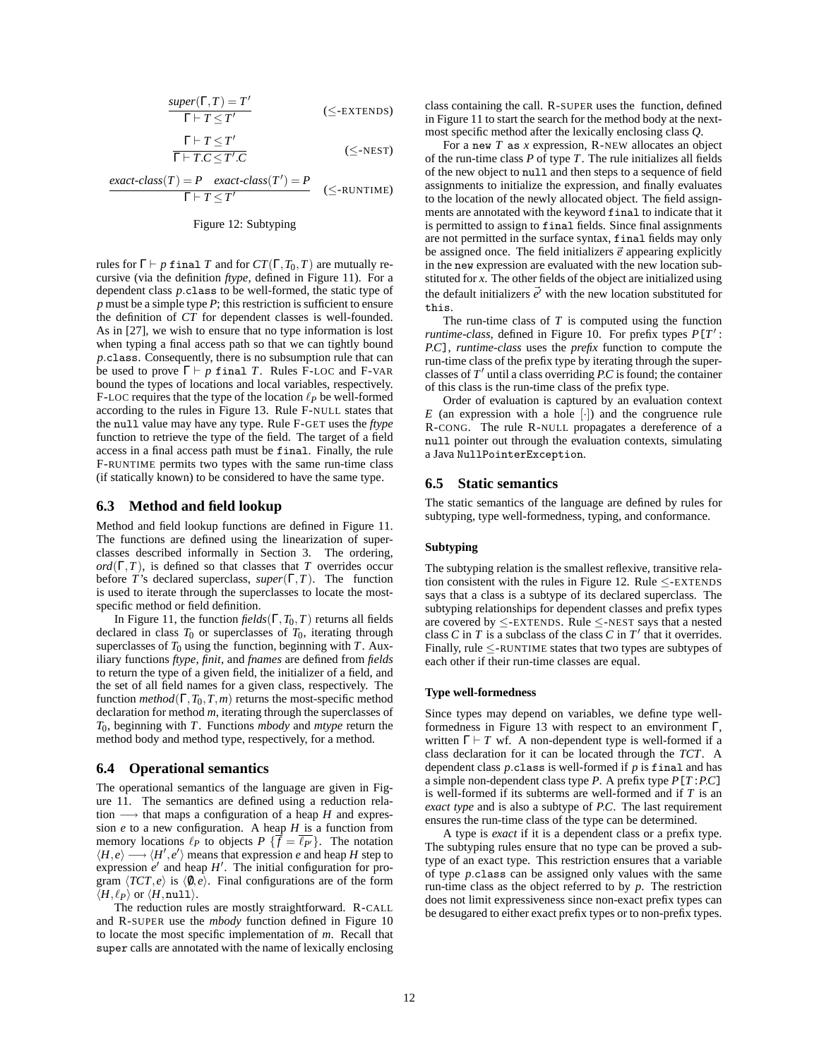$$
\frac{super(\Gamma, T) = T'}{\Gamma \vdash T \leq T'} \qquad \qquad (\leq\text{-extends})
$$

$$
\frac{\Gamma \vdash T \leq T'}{\Gamma \vdash T.C \leq T'.C}
$$
 (≤-NEST)

$$
\frac{exact\text{-}class(T) = P \quad exact\text{-}class(T') = P}{\Gamma \vdash T \leq T'} \quad (\leq\text{-RUNTIME})
$$

#### Figure 12: Subtyping

rules for  $\Gamma \vdash p$  final *T* and for  $CT(\Gamma, T_0, T)$  are mutually recursive (via the definition *ftype*, defined in Figure 11). For a dependent class *p*.class to be well-formed, the static type of *p* must be a simple type *P*; this restriction is sufficient to ensure the definition of *CT* for dependent classes is well-founded. As in [27], we wish to ensure that no type information is lost when typing a final access path so that we can tightly bound *p*.class. Consequently, there is no subsumption rule that can be used to prove  $\Gamma \vdash p$  final *T*. Rules F-LOC and F-VAR bound the types of locations and local variables, respectively. F-LOC requires that the type of the location  $\ell_p$  be well-formed according to the rules in Figure 13. Rule F-NULL states that the null value may have any type. Rule F-GET uses the *ftype* function to retrieve the type of the field. The target of a field access in a final access path must be final. Finally, the rule F-RUNTIME permits two types with the same run-time class (if statically known) to be considered to have the same type.

## **6.3 Method and field lookup**

Method and field lookup functions are defined in Figure 11. The functions are defined using the linearization of superclasses described informally in Section 3. The ordering,  $ord(\Gamma, T)$ , is defined so that classes that *T* overrides occur before  $\overline{T}$ 's declared superclass, *super*( $\Gamma$ , $\overline{T}$ ). The function is used to iterate through the superclasses to locate the mostspecific method or field definition.

In Figure 11, the function  $\frac{fields(\Gamma, T_0, T)}{T_0}$  returns all fields declared in class  $T_0$  or superclasses of  $T_0$ , iterating through superclasses of  $T_0$  using the function, beginning with  $T$ . Auxiliary functions *ftype*, *finit*, and *fnames* are defined from *fields* to return the type of a given field, the initializer of a field, and the set of all field names for a given class, respectively. The function  $method(\Gamma, T_0, T, m)$  returns the most-specific method declaration for method *m*, iterating through the superclasses of *T*0, beginning with *T*. Functions *mbody* and *mtype* return the method body and method type, respectively, for a method.

#### **6.4 Operational semantics**

The operational semantics of the language are given in Figure 11. The semantics are defined using a reduction relation  $\longrightarrow$  that maps a configuration of a heap *H* and expression *e* to a new configuration. A heap *H* is a function from memory locations  $\ell_P$  to objects  $P \{ \overline{f} = \overline{\ell_{P'}} \}$ . The notation  $\langle H, e \rangle \longrightarrow \langle H', e' \rangle$  means that expression *e* and heap *H* step to expression  $e'$  and heap  $H'$ . The initial configuration for program  $\langle TCT, e \rangle$  is  $\langle \emptyset, e \rangle$ . Final configurations are of the form  $\langle H, \ell_P \rangle$  or  $\langle H, \text{null} \rangle$ .

The reduction rules are mostly straightforward. R-CALL and R-SUPER use the *mbody* function defined in Figure 10 to locate the most specific implementation of *m*. Recall that super calls are annotated with the name of lexically enclosing class containing the call. R-SUPER uses the function, defined in Figure 11 to start the search for the method body at the nextmost specific method after the lexically enclosing class *Q*.

For a new *T* as *x* expression, R-NEW allocates an object of the run-time class *P* of type *T*. The rule initializes all fields of the new object to null and then steps to a sequence of field assignments to initialize the expression, and finally evaluates to the location of the newly allocated object. The field assignments are annotated with the keyword final to indicate that it is permitted to assign to final fields. Since final assignments are not permitted in the surface syntax, final fields may only be assigned once. The field initializers  $\vec{e}$  appearing explicitly in the new expression are evaluated with the new location substituted for *x*. The other fields of the object are initialized using the default initializers  $\vec{e}$ <sup>'</sup> with the new location substituted for this.

The run-time class of *T* is computed using the function *runtime-class*, defined in Figure 10. For prefix types  $P[T']$ : *P*.*C*], *runtime*-*class* uses the *prefix* function to compute the run-time class of the prefix type by iterating through the superclasses of  $T'$  until a class overriding  $P.C$  is found; the container of this class is the run-time class of the prefix type.

Order of evaluation is captured by an evaluation context  $E$  (an expression with a hole  $[\cdot]$ ) and the congruence rule R-CONG. The rule R-NULL propagates a dereference of a null pointer out through the evaluation contexts, simulating a Java NullPointerException.

# **6.5 Static semantics**

The static semantics of the language are defined by rules for subtyping, type well-formedness, typing, and conformance.

#### **Subtyping**

The subtyping relation is the smallest reflexive, transitive relation consistent with the rules in Figure 12. Rule  $\leq$ -EXTENDS says that a class is a subtype of its declared superclass. The subtyping relationships for dependent classes and prefix types are covered by  $\leq$ -EXTENDS. Rule  $\leq$ -NEST says that a nested class *C* in *T* is a subclass of the class *C* in  $T'$  that it overrides. Finally, rule ≤-RUNTIME states that two types are subtypes of each other if their run-time classes are equal.

#### **Type well-formedness**

Since types may depend on variables, we define type wellformedness in Figure 13 with respect to an environment Γ, written  $\Gamma \vdash T$  wf. A non-dependent type is well-formed if a class declaration for it can be located through the *TCT*. A dependent class *p*.class is well-formed if *p* is final and has a simple non-dependent class type *P*. A prefix type *P*[*T* :*P*.*C*] is well-formed if its subterms are well-formed and if *T* is an *exact type* and is also a subtype of *P*.*C*. The last requirement ensures the run-time class of the type can be determined.

A type is *exact* if it is a dependent class or a prefix type. The subtyping rules ensure that no type can be proved a subtype of an exact type. This restriction ensures that a variable of type *p*.class can be assigned only values with the same run-time class as the object referred to by *p*. The restriction does not limit expressiveness since non-exact prefix types can be desugared to either exact prefix types or to non-prefix types.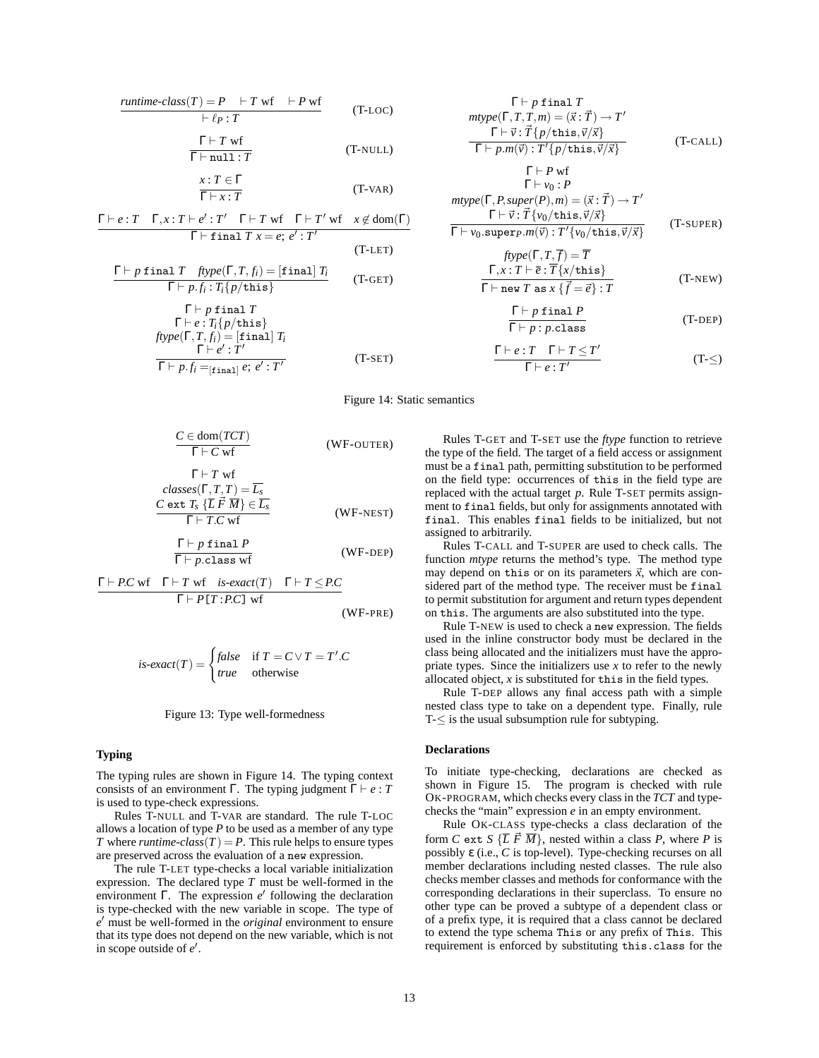*runtime-class*(
$$
T
$$
) =  $P$  +  $T$  wf +  $P$  wf  
+  $\ell_P$  :  $T$  (T-LOC)

$$
\frac{\Gamma \vdash T \text{ wf}}{\Gamma \vdash \text{null}:T}
$$
 (T-NULL)

$$
\frac{x: T \in \Gamma}{\Gamma \vdash x: T}
$$
 (T-VAR)

$$
\Gamma \vdash e : T \quad \Gamma, x : T \vdash e' : T' \quad \Gamma \vdash T \text{ wf} \quad \Gamma \vdash T' \text{ wf} \quad x \notin \text{dom}(\Gamma)
$$
\n
$$
\Gamma \vdash \text{final } T \ x = e; \ e' : T'
$$
\n
$$
\Gamma \vdash p \text{ final } T \quad \text{ftype}(\Gamma, T, f_i) = [\text{final}] \ T_i
$$
\n
$$
\Gamma \vdash p \text{ final } T \quad \text{ftype}(\Gamma, T, f_i) = [\text{final}] \ T_i
$$
\n
$$
\Gamma \vdash \text{GEF}
$$

$$
\Gamma \vdash p.f_i : T_i\{p/\text{this}\}\
$$
\n
$$
\Gamma \vdash p \text{ final } T
$$
\n
$$
\Gamma \vdash e : T_i\{p/\text{this}\}\
$$
\n
$$
ftype(\Gamma, T, f_i) = [\text{final}] T_i
$$
\n
$$
\frac{\Gamma \vdash e' : T'}{\Gamma \vdash p.f_i = [\text{final}] e; e' : T'}
$$
\n(T-SET)

$$
\Gamma \vdash p \text{ final } T
$$
\n
$$
mtype(\Gamma, T, T, m) = (\vec{x} : \vec{T}) \to T'
$$
\n
$$
\Gamma \vdash \vec{v} : \vec{T} \{ p/\text{this}, \vec{v}/\vec{x} \}
$$
\n
$$
\Gamma \vdash p.m(\vec{v}) : T' \{ p/\text{this}, \vec{v}/\vec{x} \}
$$
\n
$$
(T-CALL)
$$

$$
\Gamma \vdash P \text{ wf}\Gamma \vdash v_0 : P
$$

$$
mtype(\Gamma, P, super(P), m) = (\vec{x} : \vec{T}) \rightarrow T'
$$
  
\n
$$
\Gamma \vdash \vec{v} : \vec{T} \{v_0 / \text{this}, \vec{v}/\vec{x}\}
$$
  
\n
$$
\Gamma \vdash v_0.\text{super}_{P}.m(\vec{v}) : T' \{v_0 / \text{this}, \vec{v}/\vec{x}\}
$$
 (T-SUPER)

$$
ftype(\Gamma, T, \overline{f}) = \overline{T}
$$
  
\n
$$
\Gamma, x : T \vdash \overline{e} : \overline{T} \{x/\text{this}\}
$$
  
\n
$$
\Gamma \vdash \text{new } T \text{ as } x \{ \overline{f} = \overline{e} \} : T
$$
 (T-NEW)

$$
\frac{\Gamma \vdash p \text{ final } P}{\Gamma \vdash p : p \text{.class}} \tag{T-DEF}
$$

$$
\frac{\Gamma \vdash e : T \quad \Gamma \vdash T \leq T'}{\Gamma \vdash e : T'}
$$
 (T- $\le$ )

#### Figure 14: Static semantics

$$
\frac{C \in \text{dom}(TCT)}{\Gamma \vdash C \text{ wf}}
$$
 (WF-OUTER)  

$$
\Gamma \vdash T \text{ wf}
$$

$$
classes(\Gamma, T, T) = \overline{L_s}
$$
\n
$$
C \text{ ext } T_s \{\overline{L} \overline{F} \overline{M}\} \in \overline{L_s}
$$
\n
$$
\Gamma \vdash T.C \text{ wf}
$$
\n(WF-NEST)

$$
\frac{\Gamma \vdash p \text{ final } P}{\Gamma \vdash p \text{.class wf}} \qquad (WF\text{-DEP})
$$

$$
\frac{\Gamma \vdash P.C \text{ wf} \quad \Gamma \vdash T \text{ wf} \quad \text{is-exact}(T) \quad \Gamma \vdash T \leq P.C}{\Gamma \vdash P[T:P.C] \text{ wf}}
$$

(WF-PRE)

$$
is\text{-}exact(T) = \begin{cases} false & \text{if } T = C \vee T = T'.C\\ true & \text{otherwise} \end{cases}
$$

Figure 13: Type well-formedness

## **Typing**

The typing rules are shown in Figure 14. The typing context consists of an environment Γ. The typing judgment  $\Gamma \vdash e : T$ is used to type-check expressions.

Rules T-NULL and T-VAR are standard. The rule T-LOC allows a location of type *P* to be used as a member of any type *T* where *runtime-class* $(T) = P$ . This rule helps to ensure types are preserved across the evaluation of a new expression.

The rule T-LET type-checks a local variable initialization expression. The declared type *T* must be well-formed in the environment  $\Gamma$ . The expression  $e'$  following the declaration is type-checked with the new variable in scope. The type of *e* <sup>0</sup> must be well-formed in the *original* environment to ensure that its type does not depend on the new variable, which is not in scope outside of  $e'$ .

Rules T-GET and T-SET use the *ftype* function to retrieve the type of the field. The target of a field access or assignment must be a final path, permitting substitution to be performed on the field type: occurrences of this in the field type are replaced with the actual target *p*. Rule T-SET permits assignment to final fields, but only for assignments annotated with final. This enables final fields to be initialized, but not assigned to arbitrarily.

Rules T-CALL and T-SUPER are used to check calls. The function *mtype* returns the method's type. The method type may depend on this or on its parameters  $\vec{x}$ , which are considered part of the method type. The receiver must be final to permit substitution for argument and return types dependent on this. The arguments are also substituted into the type.

Rule T-NEW is used to check a new expression. The fields used in the inline constructor body must be declared in the class being allocated and the initializers must have the appropriate types. Since the initializers use *x* to refer to the newly allocated object, *x* is substituted for this in the field types.

Rule T-DEP allows any final access path with a simple nested class type to take on a dependent type. Finally, rule  $T \leq$  is the usual subsumption rule for subtyping.

#### **Declarations**

To initiate type-checking, declarations are checked as shown in Figure 15. The program is checked with rule OK-PROGRAM, which checks every class in the *TCT* and typechecks the "main" expression *e* in an empty environment.

Rule OK-CLASS type-checks a class declaration of the form *C* ext *S*  $\{\overline{L} \ \overline{F} \ \overline{M}\}$ , nested within a class *P*, where *P* is possibly  $\varepsilon$  (i.e.,  $C$  is top-level). Type-checking recurses on all member declarations including nested classes. The rule also checks member classes and methods for conformance with the corresponding declarations in their superclass. To ensure no other type can be proved a subtype of a dependent class or of a prefix type, it is required that a class cannot be declared to extend the type schema This or any prefix of This. This requirement is enforced by substituting this.class for the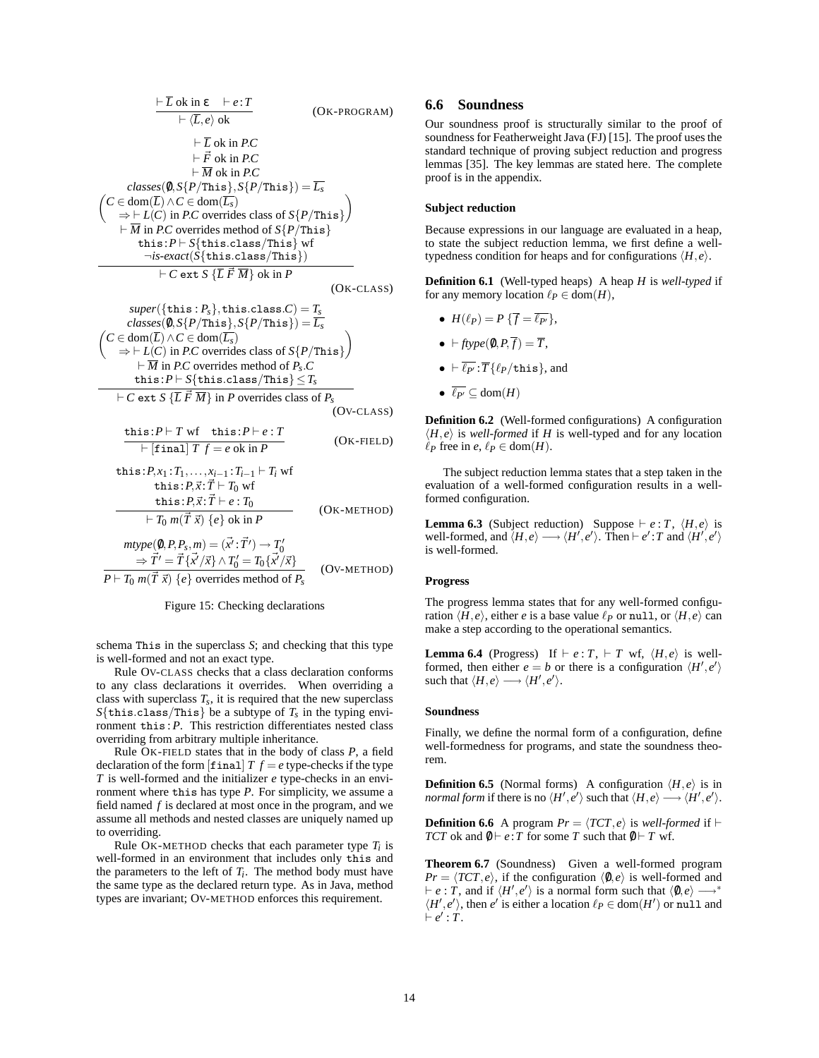$$
\frac{\vdash L \text{ ok in } \varepsilon \quad \vdash e:T}{\vdash \langle \overline{L}, e \rangle \text{ ok}} \qquad \qquad \text{(OK-PROGRAM)}
$$
\n
$$
\frac{\vdash L \text{ ok in } P.C}{\vdash \overline{K} \text{ ok in } P.C}
$$
\n
$$
\frac{\vdash \overline{B} \text{ ok in } P.C}{\vdash \overline{M} \text{ ok in } P.C}
$$
\n
$$
\text{classes}(0, S\{P/\text{This}\}, S\{P/\text{This}\}) = \overline{L_s}
$$
\n
$$
\left(C \in \text{dom}(\overline{L}) \land C \in \text{dom}(\overline{L_s})
$$
\n
$$
\Rightarrow \vdash L(C) \text{ in } P.C \text{ overrides class of } S\{P/\text{This}\}
$$
\n
$$
\vdash \overline{M} \text{ in } P.C \text{ overrides method of } S\{P/\text{This}\}
$$
\n
$$
\text{his: } P \vdash S\{\text{this:class}/\text{This}\} \text{ of } \overline{L} \overline{F} \overline{M}\} \text{ ok in } P
$$
\n
$$
\vdash C \text{ ext } S\{\overline{L} \overline{F} \overline{M}\} \text{ ok in } P \qquad \text{(OK-CLASS)}
$$
\n
$$
\text{super}(\{\text{this}: P_s\}, \text{this:class}.C) = \overline{I_s}
$$
\n
$$
\text{classes}(0, S\{P/\text{This}\}, S\{P/\text{This}\}) = \overline{L_s}
$$

$$
\begin{aligned}\n\left(C \in \text{dom}(\overline{L}) \land C \in \text{dom}(\overline{L_s}) \\
&\Rightarrow \vdash L(C) \text{ in } P.C \text{ overrides class of } S\{P/\text{This}\} \\
&\quad \vdash \overline{M} \text{ in } P.C \text{ overrides method of } P_s.C \\
&\quad \text{this}: P \vdash S\{\text{this.class}/\text{This}\} \leq T_s \\
&\quad \vdash C \text{ ext } S\{\overline{L} \overline{F} \overline{M}\} \text{ in } P \text{ overrides class of } P_s\n\end{aligned}
$$

(OV-CLASS)

$$
\frac{\text{this}: P \vdash T \text{ wf } \text{ this}: P \vdash e : T}{\vdash [\text{final}] \, T \, f = e \, \text{ok in } P} \tag{OK-FIED}
$$

this: 
$$
P, x_1 : T_1, \ldots, x_{i-1} : T_{i-1} \vdash T_i
$$
 wf  
\nthis:  $P, \vec{x} : \vec{T} \vdash T_0$  wf  
\nthis:  $P, \vec{x} : \vec{T} \vdash e : T_0$   
\n $\vdash T_0$   $m(\vec{T} \ \vec{x}) \ \{e\}$  ok in P\n(CK-METHOD)

$$
mtype(0, P, P_s, m) = (\vec{x} : \vec{T}') \to T'_0
$$
  
\n
$$
\Rightarrow \vec{T}' = \vec{T} {\vec{x}}' / \vec{x} \land T'_0 = T_0 {\vec{x}}' / \vec{x}
$$
  
\n
$$
P \vdash T_0 m(\vec{T} \vec{x}) \{e\} \text{ overrides method of } P_s
$$
 (OV-METHOD)

Figure 15: Checking declarations

schema This in the superclass *S*; and checking that this type is well-formed and not an exact type.

Rule OV-CLASS checks that a class declaration conforms to any class declarations it overrides. When overriding a class with superclass  $T_s$ , it is required that the new superclass  $S\{\text{this.class}/\text{This}\}\$  be a subtype of  $T_s$  in the typing environment this : *P*. This restriction differentiates nested class overriding from arbitrary multiple inheritance.

Rule OK-FIELD states that in the body of class *P*, a field declaration of the form  $\left[\text{final}\right] T f = e$  type-checks if the type *T* is well-formed and the initializer *e* type-checks in an environment where this has type *P*. For simplicity, we assume a field named *f* is declared at most once in the program, and we assume all methods and nested classes are uniquely named up to overriding.

Rule OK-METHOD checks that each parameter type *Ti* is well-formed in an environment that includes only this and the parameters to the left of  $T_i$ . The method body must have the same type as the declared return type. As in Java, method types are invariant; OV-METHOD enforces this requirement.

## **6.6 Soundness**

Our soundness proof is structurally similar to the proof of soundness for Featherweight Java (FJ) [15]. The proof uses the standard technique of proving subject reduction and progress lemmas [35]. The key lemmas are stated here. The complete proof is in the appendix.

#### **Subject reduction**

Because expressions in our language are evaluated in a heap, to state the subject reduction lemma, we first define a welltypedness condition for heaps and for configurations  $\langle H, e \rangle$ .

**Definition 6.1** (Well-typed heaps) A heap *H* is *well-typed* if for any memory location  $\ell_P \in \text{dom}(H)$ ,

- $H(\ell_P) = P \{ \overline{f} = \overline{\ell_{P'}} \},\$
- $ftype(0, P, \overline{f}) = \overline{T}$ ,
- $\bullet \ \vdash \overline{\ell_{P'}} : \overline{T} {\{\ell_{P}/\texttt{this}\}}$ , and
- $\overline{\ell_{P'}} \subseteq \text{dom}(H)$

**Definition 6.2** (Well-formed configurations) A configuration  $\langle H, e \rangle$  is *well-formed* if *H* is well-typed and for any location  $\ell_P$  free in *e*,  $\ell_P \in \text{dom}(H)$ .

The subject reduction lemma states that a step taken in the evaluation of a well-formed configuration results in a wellformed configuration.

**Lemma 6.3** (Subject reduction) Suppose  $\vdash e : T$ ,  $\langle H, e \rangle$  is well-formed, and  $\langle H, e \rangle \longrightarrow \langle H', e' \rangle$ . Then  $\vdash e':T$  and  $\langle H', e' \rangle$ is well-formed.

#### **Progress**

The progress lemma states that for any well-formed configuration  $\langle H, e \rangle$ , either *e* is a base value  $\ell_P$  or null, or  $\langle H, e \rangle$  can make a step according to the operational semantics.

**Lemma 6.4** (Progress) If  $\vdash e : T$ ,  $\vdash T$  wf,  $\langle H, e \rangle$  is wellformed, then either  $e = b$  or there is a configuration  $\langle H', e' \rangle$ such that  $\langle H, e \rangle \longrightarrow \langle H', e' \rangle$ .

#### **Soundness**

Finally, we define the normal form of a configuration, define well-formedness for programs, and state the soundness theorem.

**Definition 6.5** (Normal forms) A configuration  $\langle H, e \rangle$  is in *normal form* if there is no  $\langle H', e' \rangle$  such that  $\langle H, e \rangle \longrightarrow \langle H', e' \rangle$ .

**Definition 6.6** A program  $Pr = \langle TCT, e \rangle$  is *well-formed* if  $\vdash$ *TCT* ok and  $\emptyset \vdash e$ : *T* for some *T* such that  $\emptyset \vdash T$  wf.

**Theorem 6.7** (Soundness) Given a well-formed program  $Pr = \langle TCT, e \rangle$ , if the configuration  $\langle 0, e \rangle$  is well-formed and  $\vdash e : T$ , and if  $\langle H', e' \rangle$  is a normal form such that  $\langle 0, e \rangle \longrightarrow^*$  $\langle H', e' \rangle$ , then *e*' is either a location  $\ell_P \in \text{dom}(H')$  or null and  $\vdash e'$ : *T*.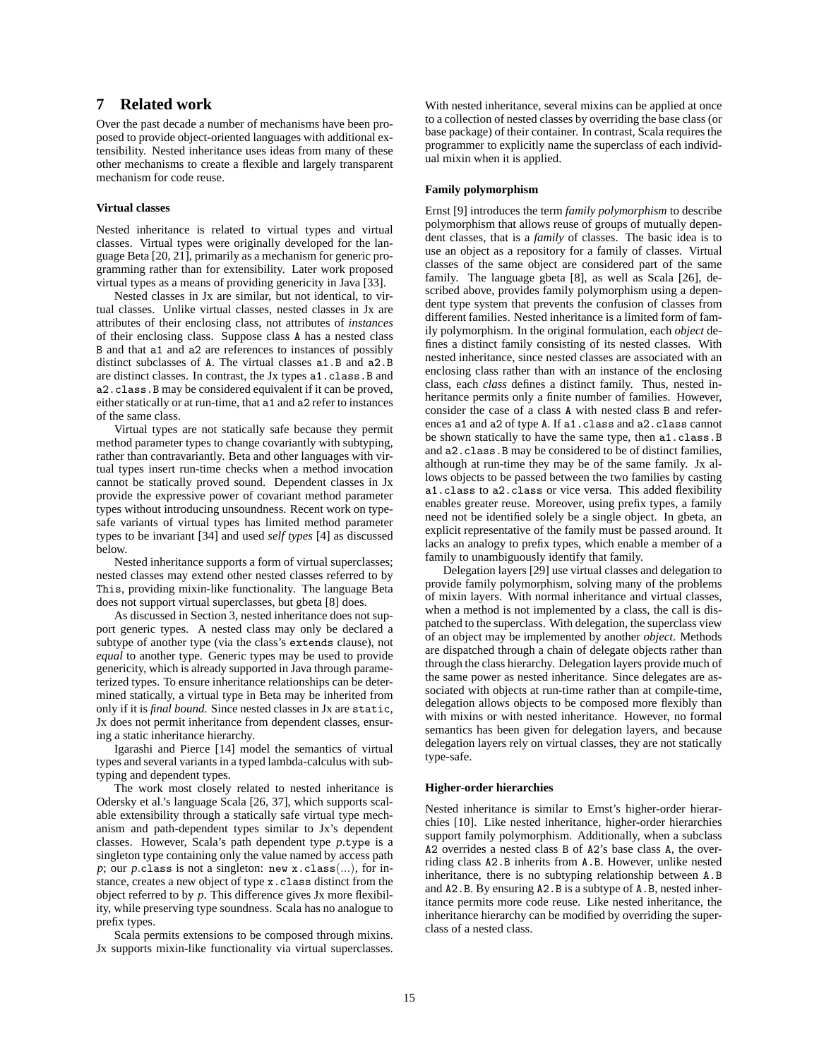# **7 Related work**

Over the past decade a number of mechanisms have been proposed to provide object-oriented languages with additional extensibility. Nested inheritance uses ideas from many of these other mechanisms to create a flexible and largely transparent mechanism for code reuse.

## **Virtual classes**

Nested inheritance is related to virtual types and virtual classes. Virtual types were originally developed for the language Beta [20, 21], primarily as a mechanism for generic programming rather than for extensibility. Later work proposed virtual types as a means of providing genericity in Java [33].

Nested classes in Jx are similar, but not identical, to virtual classes. Unlike virtual classes, nested classes in Jx are attributes of their enclosing class, not attributes of *instances* of their enclosing class. Suppose class A has a nested class B and that a1 and a2 are references to instances of possibly distinct subclasses of A. The virtual classes a1.B and a2.B are distinct classes. In contrast, the Jx types a1.class.B and a2.class.B may be considered equivalent if it can be proved, either statically or at run-time, that a1 and a2 refer to instances of the same class.

Virtual types are not statically safe because they permit method parameter types to change covariantly with subtyping, rather than contravariantly. Beta and other languages with virtual types insert run-time checks when a method invocation cannot be statically proved sound. Dependent classes in Jx provide the expressive power of covariant method parameter types without introducing unsoundness. Recent work on typesafe variants of virtual types has limited method parameter types to be invariant [34] and used *self types* [4] as discussed below.

Nested inheritance supports a form of virtual superclasses; nested classes may extend other nested classes referred to by This, providing mixin-like functionality. The language Beta does not support virtual superclasses, but gbeta [8] does.

As discussed in Section 3, nested inheritance does not support generic types. A nested class may only be declared a subtype of another type (via the class's extends clause), not *equal* to another type. Generic types may be used to provide genericity, which is already supported in Java through parameterized types. To ensure inheritance relationships can be determined statically, a virtual type in Beta may be inherited from only if it is *final bound*. Since nested classes in Jx are static, Jx does not permit inheritance from dependent classes, ensuring a static inheritance hierarchy.

Igarashi and Pierce [14] model the semantics of virtual types and several variants in a typed lambda-calculus with subtyping and dependent types.

The work most closely related to nested inheritance is Odersky et al.'s language Scala [26, 37], which supports scalable extensibility through a statically safe virtual type mechanism and path-dependent types similar to Jx's dependent classes. However, Scala's path dependent type *p*.type is a singleton type containing only the value named by access path *p*; our *p*.class is not a singleton: new x.class(...), for instance, creates a new object of type x.class distinct from the object referred to by *p*. This difference gives Jx more flexibility, while preserving type soundness. Scala has no analogue to prefix types.

Scala permits extensions to be composed through mixins. Jx supports mixin-like functionality via virtual superclasses.

With nested inheritance, several mixins can be applied at once to a collection of nested classes by overriding the base class (or base package) of their container. In contrast, Scala requires the programmer to explicitly name the superclass of each individual mixin when it is applied.

#### **Family polymorphism**

Ernst [9] introduces the term *family polymorphism* to describe polymorphism that allows reuse of groups of mutually dependent classes, that is a *family* of classes. The basic idea is to use an object as a repository for a family of classes. Virtual classes of the same object are considered part of the same family. The language gbeta [8], as well as Scala [26], described above, provides family polymorphism using a dependent type system that prevents the confusion of classes from different families. Nested inheritance is a limited form of family polymorphism. In the original formulation, each *object* defines a distinct family consisting of its nested classes. With nested inheritance, since nested classes are associated with an enclosing class rather than with an instance of the enclosing class, each *class* defines a distinct family. Thus, nested inheritance permits only a finite number of families. However, consider the case of a class A with nested class B and references a1 and a2 of type A. If a1.class and a2.class cannot be shown statically to have the same type, then  $a1.c1$ ass.B and a2.class.B may be considered to be of distinct families, although at run-time they may be of the same family. Jx allows objects to be passed between the two families by casting a1.class to a2.class or vice versa. This added flexibility enables greater reuse. Moreover, using prefix types, a family need not be identified solely be a single object. In gbeta, an explicit representative of the family must be passed around. It lacks an analogy to prefix types, which enable a member of a family to unambiguously identify that family.

Delegation layers [29] use virtual classes and delegation to provide family polymorphism, solving many of the problems of mixin layers. With normal inheritance and virtual classes, when a method is not implemented by a class, the call is dispatched to the superclass. With delegation, the superclass view of an object may be implemented by another *object*. Methods are dispatched through a chain of delegate objects rather than through the class hierarchy. Delegation layers provide much of the same power as nested inheritance. Since delegates are associated with objects at run-time rather than at compile-time, delegation allows objects to be composed more flexibly than with mixins or with nested inheritance. However, no formal semantics has been given for delegation layers, and because delegation layers rely on virtual classes, they are not statically type-safe.

#### **Higher-order hierarchies**

Nested inheritance is similar to Ernst's higher-order hierarchies [10]. Like nested inheritance, higher-order hierarchies support family polymorphism. Additionally, when a subclass A2 overrides a nested class B of A2's base class A, the overriding class A2.B inherits from A.B. However, unlike nested inheritance, there is no subtyping relationship between A.B and A2.B. By ensuring A2.B is a subtype of A.B, nested inheritance permits more code reuse. Like nested inheritance, the inheritance hierarchy can be modified by overriding the superclass of a nested class.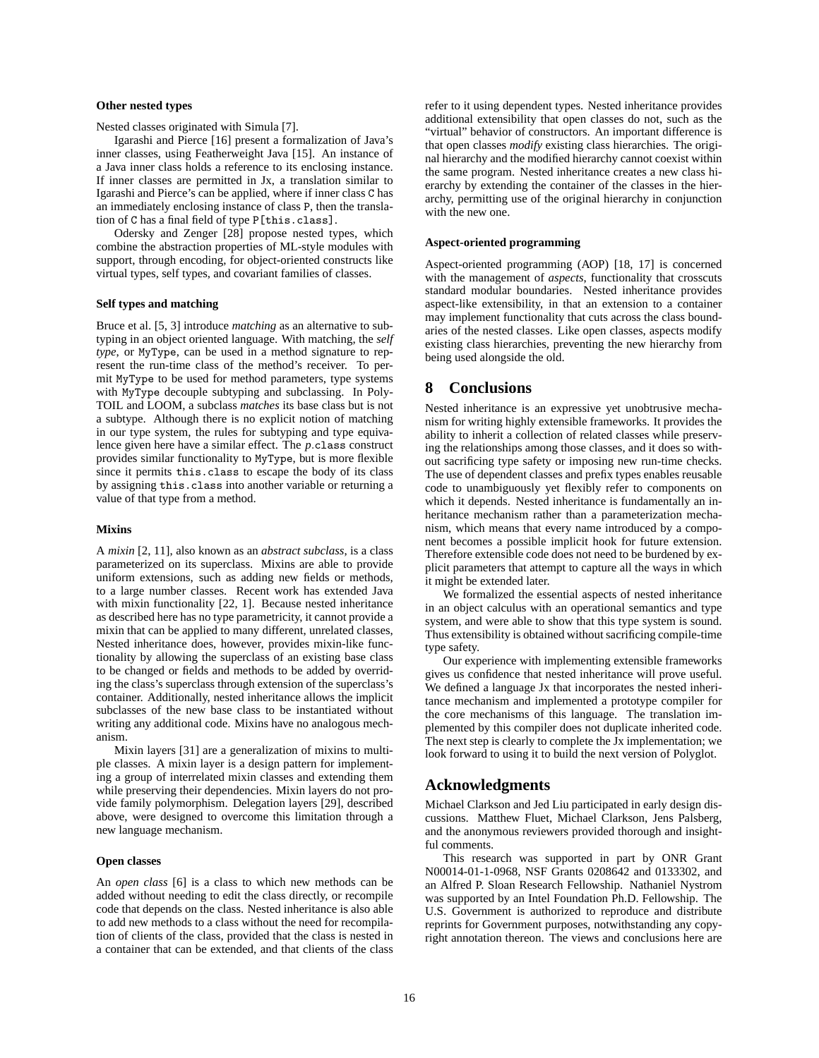#### **Other nested types**

Nested classes originated with Simula [7].

Igarashi and Pierce [16] present a formalization of Java's inner classes, using Featherweight Java [15]. An instance of a Java inner class holds a reference to its enclosing instance. If inner classes are permitted in Jx, a translation similar to Igarashi and Pierce's can be applied, where if inner class C has an immediately enclosing instance of class P, then the translation of C has a final field of type P[this.class].

Odersky and Zenger [28] propose nested types, which combine the abstraction properties of ML-style modules with support, through encoding, for object-oriented constructs like virtual types, self types, and covariant families of classes.

#### **Self types and matching**

Bruce et al. [5, 3] introduce *matching* as an alternative to subtyping in an object oriented language. With matching, the *self type*, or MyType, can be used in a method signature to represent the run-time class of the method's receiver. To permit MyType to be used for method parameters, type systems with MyType decouple subtyping and subclassing. In Poly-TOIL and LOOM, a subclass *matches* its base class but is not a subtype. Although there is no explicit notion of matching in our type system, the rules for subtyping and type equivalence given here have a similar effect. The *p*.class construct provides similar functionality to MyType, but is more flexible since it permits this.class to escape the body of its class by assigning this.class into another variable or returning a value of that type from a method.

#### **Mixins**

A *mixin* [2, 11], also known as an *abstract subclass*, is a class parameterized on its superclass. Mixins are able to provide uniform extensions, such as adding new fields or methods, to a large number classes. Recent work has extended Java with mixin functionality [22, 1]. Because nested inheritance as described here has no type parametricity, it cannot provide a mixin that can be applied to many different, unrelated classes, Nested inheritance does, however, provides mixin-like functionality by allowing the superclass of an existing base class to be changed or fields and methods to be added by overriding the class's superclass through extension of the superclass's container. Additionally, nested inheritance allows the implicit subclasses of the new base class to be instantiated without writing any additional code. Mixins have no analogous mechanism.

Mixin layers [31] are a generalization of mixins to multiple classes. A mixin layer is a design pattern for implementing a group of interrelated mixin classes and extending them while preserving their dependencies. Mixin layers do not provide family polymorphism. Delegation layers [29], described above, were designed to overcome this limitation through a new language mechanism.

#### **Open classes**

An *open class* [6] is a class to which new methods can be added without needing to edit the class directly, or recompile code that depends on the class. Nested inheritance is also able to add new methods to a class without the need for recompilation of clients of the class, provided that the class is nested in a container that can be extended, and that clients of the class

refer to it using dependent types. Nested inheritance provides additional extensibility that open classes do not, such as the "virtual" behavior of constructors. An important difference is that open classes *modify* existing class hierarchies. The original hierarchy and the modified hierarchy cannot coexist within the same program. Nested inheritance creates a new class hierarchy by extending the container of the classes in the hierarchy, permitting use of the original hierarchy in conjunction with the new one.

#### **Aspect-oriented programming**

Aspect-oriented programming (AOP) [18, 17] is concerned with the management of *aspects*, functionality that crosscuts standard modular boundaries. Nested inheritance provides aspect-like extensibility, in that an extension to a container may implement functionality that cuts across the class boundaries of the nested classes. Like open classes, aspects modify existing class hierarchies, preventing the new hierarchy from being used alongside the old.

# **8 Conclusions**

Nested inheritance is an expressive yet unobtrusive mechanism for writing highly extensible frameworks. It provides the ability to inherit a collection of related classes while preserving the relationships among those classes, and it does so without sacrificing type safety or imposing new run-time checks. The use of dependent classes and prefix types enables reusable code to unambiguously yet flexibly refer to components on which it depends. Nested inheritance is fundamentally an inheritance mechanism rather than a parameterization mechanism, which means that every name introduced by a component becomes a possible implicit hook for future extension. Therefore extensible code does not need to be burdened by explicit parameters that attempt to capture all the ways in which it might be extended later.

We formalized the essential aspects of nested inheritance in an object calculus with an operational semantics and type system, and were able to show that this type system is sound. Thus extensibility is obtained without sacrificing compile-time type safety.

Our experience with implementing extensible frameworks gives us confidence that nested inheritance will prove useful. We defined a language Jx that incorporates the nested inheritance mechanism and implemented a prototype compiler for the core mechanisms of this language. The translation implemented by this compiler does not duplicate inherited code. The next step is clearly to complete the Jx implementation; we look forward to using it to build the next version of Polyglot.

# **Acknowledgments**

Michael Clarkson and Jed Liu participated in early design discussions. Matthew Fluet, Michael Clarkson, Jens Palsberg, and the anonymous reviewers provided thorough and insightful comments.

This research was supported in part by ONR Grant N00014-01-1-0968, NSF Grants 0208642 and 0133302, and an Alfred P. Sloan Research Fellowship. Nathaniel Nystrom was supported by an Intel Foundation Ph.D. Fellowship. The U.S. Government is authorized to reproduce and distribute reprints for Government purposes, notwithstanding any copyright annotation thereon. The views and conclusions here are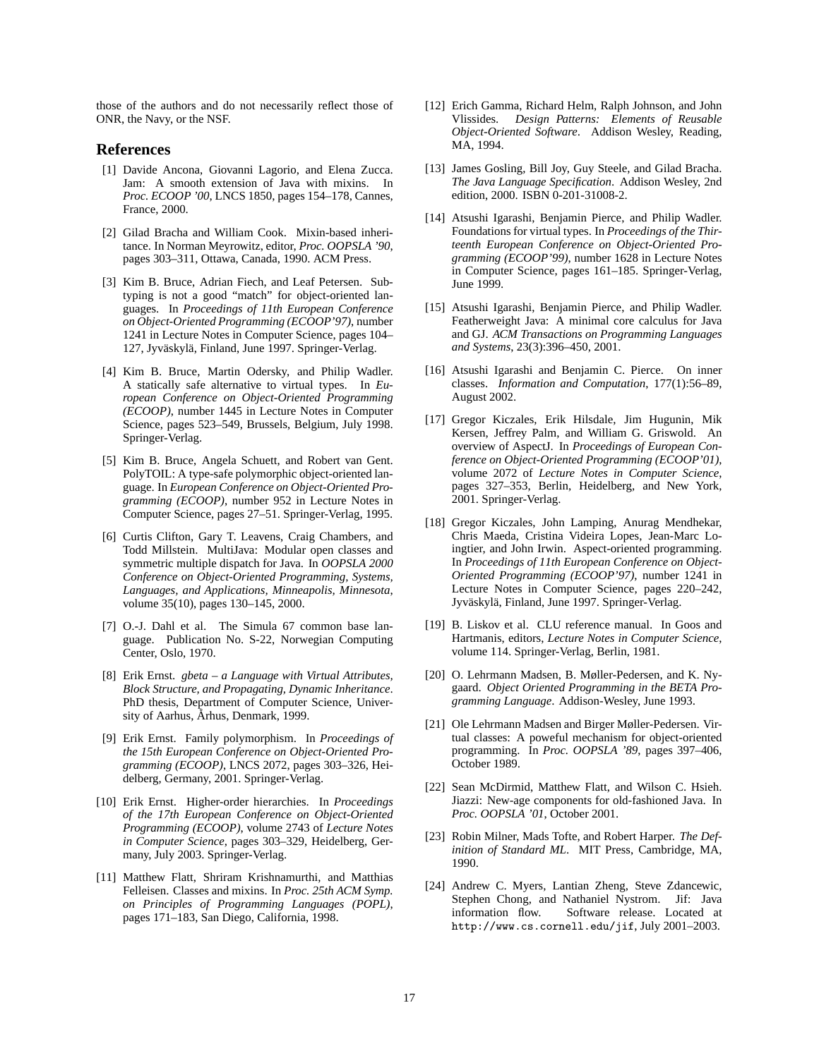those of the authors and do not necessarily reflect those of ONR, the Navy, or the NSF.

## **References**

- [1] Davide Ancona, Giovanni Lagorio, and Elena Zucca. Jam: A smooth extension of Java with mixins. In *Proc. ECOOP '00*, LNCS 1850, pages 154–178, Cannes, France, 2000.
- [2] Gilad Bracha and William Cook. Mixin-based inheritance. In Norman Meyrowitz, editor, *Proc. OOPSLA '90*, pages 303–311, Ottawa, Canada, 1990. ACM Press.
- [3] Kim B. Bruce, Adrian Fiech, and Leaf Petersen. Subtyping is not a good "match" for object-oriented languages. In *Proceedings of 11th European Conference on Object-Oriented Programming (ECOOP'97)*, number 1241 in Lecture Notes in Computer Science, pages 104– 127, Jyväskylä, Finland, June 1997. Springer-Verlag.
- [4] Kim B. Bruce, Martin Odersky, and Philip Wadler. A statically safe alternative to virtual types. In *European Conference on Object-Oriented Programming (ECOOP)*, number 1445 in Lecture Notes in Computer Science, pages 523–549, Brussels, Belgium, July 1998. Springer-Verlag.
- [5] Kim B. Bruce, Angela Schuett, and Robert van Gent. PolyTOIL: A type-safe polymorphic object-oriented language. In *European Conference on Object-Oriented Programming (ECOOP)*, number 952 in Lecture Notes in Computer Science, pages 27–51. Springer-Verlag, 1995.
- [6] Curtis Clifton, Gary T. Leavens, Craig Chambers, and Todd Millstein. MultiJava: Modular open classes and symmetric multiple dispatch for Java. In *OOPSLA 2000 Conference on Object-Oriented Programming, Systems, Languages, and Applications, Minneapolis, Minnesota*, volume 35(10), pages 130–145, 2000.
- [7] O.-J. Dahl et al. The Simula 67 common base language. Publication No. S-22, Norwegian Computing Center, Oslo, 1970.
- [8] Erik Ernst. *gbeta a Language with Virtual Attributes, Block Structure, and Propagating, Dynamic Inheritance*. PhD thesis, Department of Computer Science, University of Aarhus, Århus, Denmark, 1999.
- [9] Erik Ernst. Family polymorphism. In *Proceedings of the 15th European Conference on Object-Oriented Programming (ECOOP)*, LNCS 2072, pages 303–326, Heidelberg, Germany, 2001. Springer-Verlag.
- [10] Erik Ernst. Higher-order hierarchies. In *Proceedings of the 17th European Conference on Object-Oriented Programming (ECOOP)*, volume 2743 of *Lecture Notes in Computer Science*, pages 303–329, Heidelberg, Germany, July 2003. Springer-Verlag.
- [11] Matthew Flatt, Shriram Krishnamurthi, and Matthias Felleisen. Classes and mixins. In *Proc. 25th ACM Symp. on Principles of Programming Languages (POPL)*, pages 171–183, San Diego, California, 1998.
- [12] Erich Gamma, Richard Helm, Ralph Johnson, and John Vlissides. *Design Patterns: Elements of Reusable Object-Oriented Software*. Addison Wesley, Reading, MA, 1994.
- [13] James Gosling, Bill Joy, Guy Steele, and Gilad Bracha. *The Java Language Specification*. Addison Wesley, 2nd edition, 2000. ISBN 0-201-31008-2.
- [14] Atsushi Igarashi, Benjamin Pierce, and Philip Wadler. Foundations for virtual types. In *Proceedings of the Thirteenth European Conference on Object-Oriented Programming (ECOOP'99)*, number 1628 in Lecture Notes in Computer Science, pages 161–185. Springer-Verlag, June 1999.
- [15] Atsushi Igarashi, Benjamin Pierce, and Philip Wadler. Featherweight Java: A minimal core calculus for Java and GJ. *ACM Transactions on Programming Languages and Systems*, 23(3):396–450, 2001.
- [16] Atsushi Igarashi and Benjamin C. Pierce. On inner classes. *Information and Computation*, 177(1):56–89, August 2002.
- [17] Gregor Kiczales, Erik Hilsdale, Jim Hugunin, Mik Kersen, Jeffrey Palm, and William G. Griswold. An overview of AspectJ. In *Proceedings of European Conference on Object-Oriented Programming (ECOOP'01)*, volume 2072 of *Lecture Notes in Computer Science*, pages 327–353, Berlin, Heidelberg, and New York, 2001. Springer-Verlag.
- [18] Gregor Kiczales, John Lamping, Anurag Mendhekar, Chris Maeda, Cristina Videira Lopes, Jean-Marc Loingtier, and John Irwin. Aspect-oriented programming. In *Proceedings of 11th European Conference on Object-Oriented Programming (ECOOP'97)*, number 1241 in Lecture Notes in Computer Science, pages 220–242, Jyväskylä, Finland, June 1997. Springer-Verlag.
- [19] B. Liskov et al. CLU reference manual. In Goos and Hartmanis, editors, *Lecture Notes in Computer Science*, volume 114. Springer-Verlag, Berlin, 1981.
- [20] O. Lehrmann Madsen, B. Møller-Pedersen, and K. Nygaard. *Object Oriented Programming in the BETA Programming Language*. Addison-Wesley, June 1993.
- [21] Ole Lehrmann Madsen and Birger Møller-Pedersen. Virtual classes: A poweful mechanism for object-oriented programming. In *Proc. OOPSLA '89*, pages 397–406, October 1989.
- [22] Sean McDirmid, Matthew Flatt, and Wilson C. Hsieh. Jiazzi: New-age components for old-fashioned Java. In *Proc. OOPSLA '01*, October 2001.
- [23] Robin Milner, Mads Tofte, and Robert Harper. *The Definition of Standard ML*. MIT Press, Cambridge, MA, 1990.
- [24] Andrew C. Myers, Lantian Zheng, Steve Zdancewic, Stephen Chong, and Nathaniel Nystrom. Jif: Java information flow. Software release. Located at http://www.cs.cornell.edu/jif, July 2001–2003.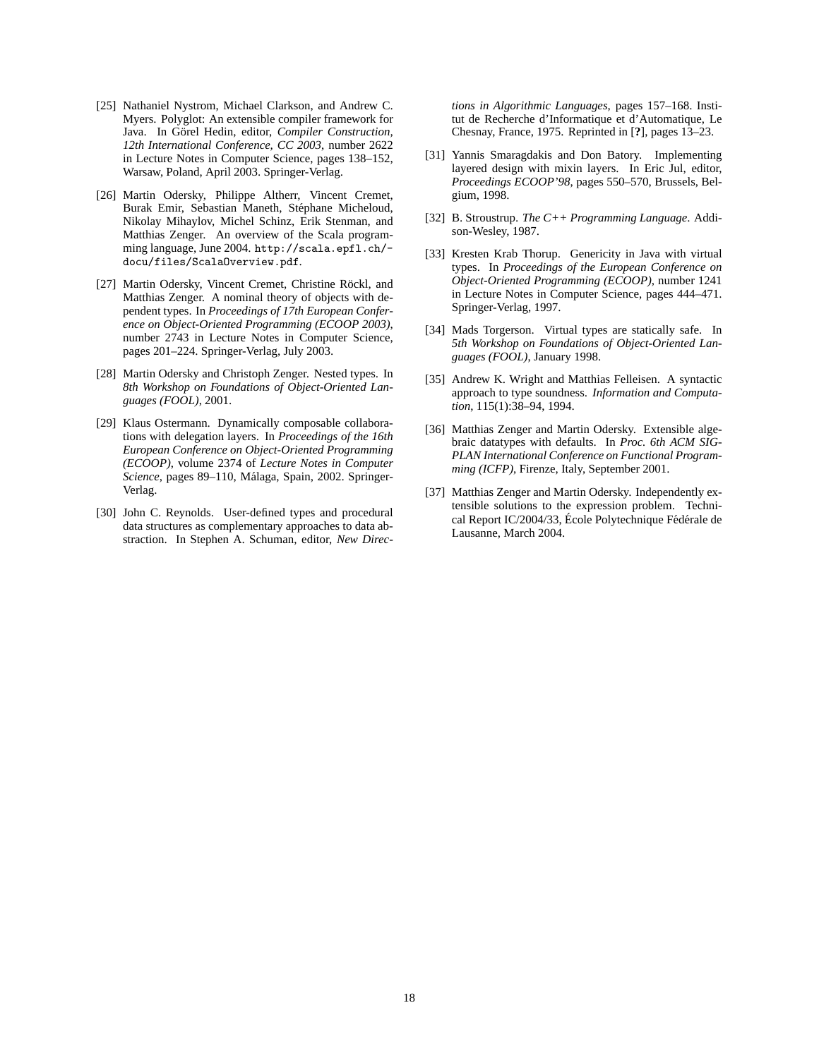- [25] Nathaniel Nystrom, Michael Clarkson, and Andrew C. Myers. Polyglot: An extensible compiler framework for Java. In Görel Hedin, editor, *Compiler Construction*, *12th International Conference, CC 2003*, number 2622 in Lecture Notes in Computer Science, pages 138–152, Warsaw, Poland, April 2003. Springer-Verlag.
- [26] Martin Odersky, Philippe Altherr, Vincent Cremet, Burak Emir, Sebastian Maneth, Stéphane Micheloud, Nikolay Mihaylov, Michel Schinz, Erik Stenman, and Matthias Zenger. An overview of the Scala programming language, June 2004. http://scala.epfl.ch/ docu/files/ScalaOverview.pdf.
- [27] Martin Odersky, Vincent Cremet, Christine Röckl, and Matthias Zenger. A nominal theory of objects with dependent types. In *Proceedings of 17th European Conference on Object-Oriented Programming (ECOOP 2003)*, number 2743 in Lecture Notes in Computer Science, pages 201–224. Springer-Verlag, July 2003.
- [28] Martin Odersky and Christoph Zenger. Nested types. In *8th Workshop on Foundations of Object-Oriented Languages (FOOL)*, 2001.
- [29] Klaus Ostermann. Dynamically composable collaborations with delegation layers. In *Proceedings of the 16th European Conference on Object-Oriented Programming (ECOOP)*, volume 2374 of *Lecture Notes in Computer Science*, pages 89–110, Malaga, Spain, 2002. Springer- ´ Verlag.
- [30] John C. Reynolds. User-defined types and procedural data structures as complementary approaches to data abstraction. In Stephen A. Schuman, editor, *New Direc-*

*tions in Algorithmic Languages*, pages 157–168. Institut de Recherche d'Informatique et d'Automatique, Le Chesnay, France, 1975. Reprinted in [**?**], pages 13–23.

- [31] Yannis Smaragdakis and Don Batory. Implementing layered design with mixin layers. In Eric Jul, editor, *Proceedings ECOOP'98*, pages 550–570, Brussels, Belgium, 1998.
- [32] B. Stroustrup. *The C++ Programming Language*. Addison-Wesley, 1987.
- [33] Kresten Krab Thorup. Genericity in Java with virtual types. In *Proceedings of the European Conference on Object-Oriented Programming (ECOOP)*, number 1241 in Lecture Notes in Computer Science, pages 444–471. Springer-Verlag, 1997.
- [34] Mads Torgerson. Virtual types are statically safe. In *5th Workshop on Foundations of Object-Oriented Languages (FOOL)*, January 1998.
- [35] Andrew K. Wright and Matthias Felleisen. A syntactic approach to type soundness. *Information and Computation*, 115(1):38–94, 1994.
- [36] Matthias Zenger and Martin Odersky. Extensible algebraic datatypes with defaults. In *Proc. 6th ACM SIG-PLAN International Conference on Functional Programming (ICFP)*, Firenze, Italy, September 2001.
- [37] Matthias Zenger and Martin Odersky. Independently extensible solutions to the expression problem. Technical Report IC/2004/33, École Polytechnique Fédérale de Lausanne, March 2004.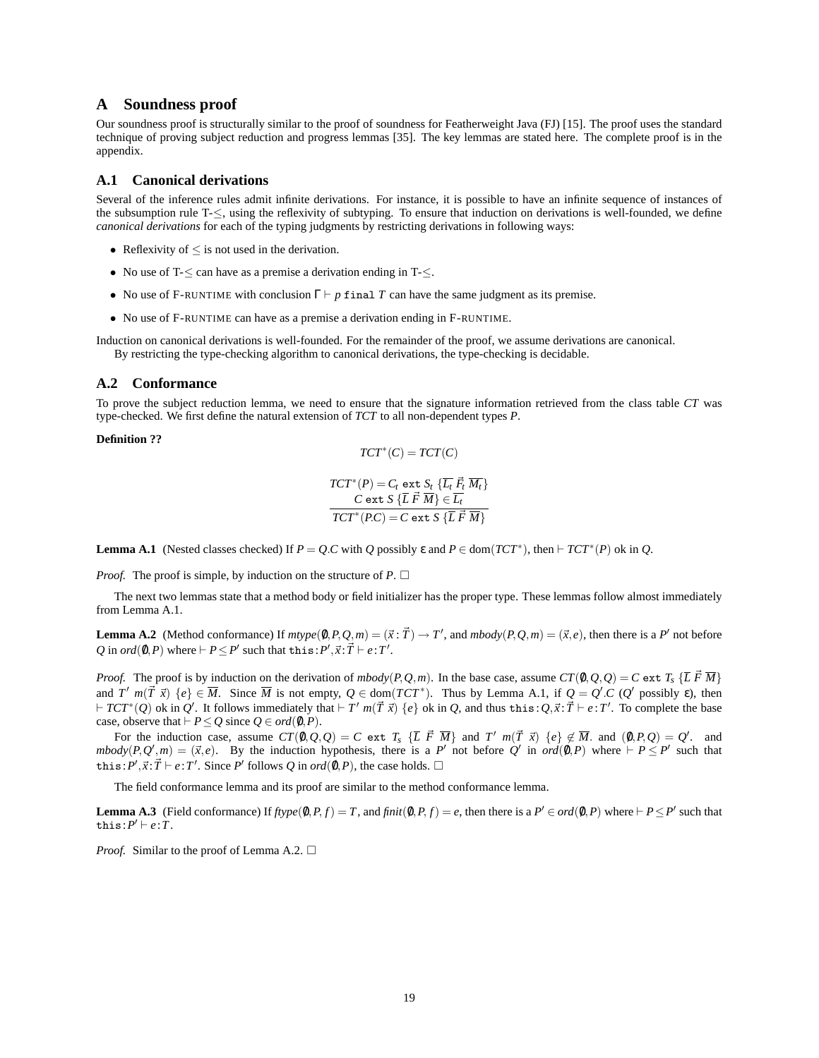# **A Soundness proof**

Our soundness proof is structurally similar to the proof of soundness for Featherweight Java (FJ) [15]. The proof uses the standard technique of proving subject reduction and progress lemmas [35]. The key lemmas are stated here. The complete proof is in the appendix.

## **A.1 Canonical derivations**

Several of the inference rules admit infinite derivations. For instance, it is possible to have an infinite sequence of instances of the subsumption rule T-≤, using the reflexivity of subtyping. To ensure that induction on derivations is well-founded, we define *canonical derivations* for each of the typing judgments by restricting derivations in following ways:

- Reflexivity of  $\leq$  is not used in the derivation.
- No use of T- $\leq$  can have as a premise a derivation ending in T- $\leq$ .
- No use of F-RUNTIME with conclusion  $\Gamma \vdash p$  final *T* can have the same judgment as its premise.
- No use of F-RUNTIME can have as a premise a derivation ending in F-RUNTIME.

Induction on canonical derivations is well-founded. For the remainder of the proof, we assume derivations are canonical. By restricting the type-checking algorithm to canonical derivations, the type-checking is decidable.

#### **A.2 Conformance**

To prove the subject reduction lemma, we need to ensure that the signature information retrieved from the class table *CT* was type-checked. We first define the natural extension of *TCT* to all non-dependent types *P*.

## **Definition ??**

$$
TCT^*(C) = TCT(C)
$$
  
\n
$$
TCT^*(P) = C_t \text{ ext } S_t \{ \overline{L_t} \ \overline{F_t} \ \overline{M_t} \}
$$
  
\n
$$
C \text{ ext } S \{ \overline{L} \ \overline{F} \ \overline{M} \} \in \overline{L_t}
$$
  
\n
$$
TCT^*(PC) = C \text{ ext } S \{ \overline{L} \ \overline{F} \ \overline{M} \}
$$

**Lemma A.1** (Nested classes checked) If  $P = Q.C$  with  $Q$  possibly  $\varepsilon$  and  $P \in \text{dom}(TCT^*)$ , then  $\vdash TCT^*(P)$  ok in  $Q$ .

*Proof.* The proof is simple, by induction on the structure of  $P$ .  $\Box$ 

The next two lemmas state that a method body or field initializer has the proper type. These lemmas follow almost immediately from Lemma A.1.

**Lemma A.2** (Method conformance) If  $mtype(0, P, Q, m) = (\vec{x} : \vec{T}) \rightarrow T'$ , and  $mbody(P, Q, m) = (\vec{x}, e)$ , then there is a P' not before Q in  $ord(0, P)$  where  $\vdash P \leq P'$  such that this:  $P', \vec{x} : \vec{T} \vdash e : T'.$ 

*Proof.* The proof is by induction on the derivation of *mbody*(*P*,*Q*,*m*). In the base case, assume  $CT(\emptyset, Q, Q) = C$  ext  $T_s \{ \overline{L} \ \overline{F} \ \overline{M} \}$ and *T'*  $m(\vec{T} \ \vec{x}) \ \{e\} \in \overline{M}$ . Since  $\overline{M}$  is not empty,  $Q \in \text{dom}(TCT^*)$ . Thus by Lemma A.1, if  $Q = Q'.C (Q'$  possibly  $\varepsilon$ ), then  $\vdash TCT^*(Q)$  ok in  $Q'$ . It follows immediately that  $\vdash T'$  m( $\vec{T} \ \vec{x}$ )  $\{e\}$  ok in Q, and thus this:  $Q, \vec{x} : \vec{T} \vdash e : T'$ . To complete the base case, observe that  $\vdash P \leq Q$  since  $Q \in ord(0, P)$ .

For the induction case, assume  $CT(\emptyset, Q, Q) = C$  ext  $T_s \{ \overline{L} \ \overline{F} \ \overline{M} \}$  and  $T' \ m(\overline{T} \ \overline{x}) \{ e \} \notin \overline{M}$ . and  $(\emptyset, P, Q) = Q'$ . and  $mbody(P,Q',m) = (\vec{x},e)$ . By the induction hypothesis, there is a *P*<sup>'</sup> not before  $\hat{Q}'$  in  $ord(0,P)$  where  $\vdash P \leq P'$  such that this: $P', \vec{x} : \vec{T} \vdash e : T'$ . Since  $P'$  follows  $Q$  in  $ord(0, P)$ , the case holds.  $\Box$ 

The field conformance lemma and its proof are similar to the method conformance lemma.

**Lemma A.3** (Field conformance) If  $ftype(0, P, f) = T$ , and  $finit(0, P, f) = e$ , then there is a  $P' \in ord(0, P)$  where  $\vdash P \leq P'$  such that this:  $P' \vdash e : T$ .

*Proof.* Similar to the proof of Lemma A.2.  $\Box$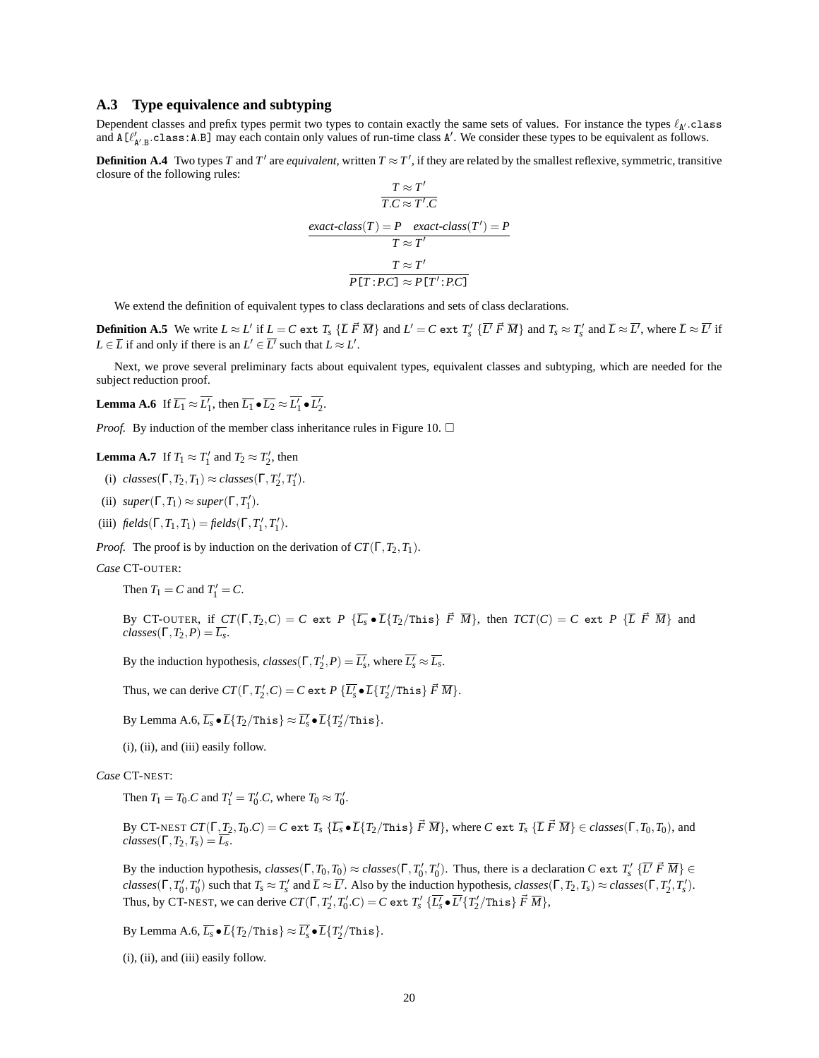## **A.3 Type equivalence and subtyping**

Dependent classes and prefix types permit two types to contain exactly the same sets of values. For instance the types  $\ell_{A'}$  class and  $A[\ell'_{A',B}$  class: A.B] may each contain only values of run-time class A'. We consider these types to be equivalent as follows.

**Definition A.4** Two types *T* and *T'* are *equivalent*, written  $T \approx T'$ , if they are related by the smallest reflexive, symmetric, transitive closure of the following rules:

$$
\frac{T \approx T'}{T.C \approx T'.C}
$$
  
exact-class(T) = P exact-class(T') = P  

$$
T \approx T'
$$
  

$$
T \approx T'
$$
  

$$
P[T'.PC] \approx P[T':PC]
$$

We extend the definition of equivalent types to class declarations and sets of class declarations.

**Definition A.5** We write  $L \approx L'$  if  $L = C$  ext  $T_s$   $\{\overline{L} \ \vec{F} \ \overline{M}\}$  and  $L' = C$  ext  $T_s'$   $\{\overline{L'} \ \vec{F} \ \overline{M}\}$  and  $T_s \approx T_s'$  and  $\overline{L} \approx \overline{L'}$ , where  $\overline{L} \approx \overline{L'}$  if *L* ∈ *L* if and only if there is an *L*<sup> $\prime$ </sup> ∈  $\overline{L}$ <sup>*T*</sup> such that *L* ≈ *L*<sup> $\prime$ </sup>.

Next, we prove several preliminary facts about equivalent types, equivalent classes and subtyping, which are needed for the subject reduction proof.

**Lemma A.6** If  $\overline{L_1} \approx \overline{L'_1}$ , then  $\overline{L_1} \bullet \overline{L_2} \approx \overline{L'_1} \bullet \overline{L'_2}$ .

*Proof.* By induction of the member class inheritance rules in Figure 10.  $\Box$ 

**Lemma A.7** If  $T_1 \approx T_1'$  and  $T_2 \approx T_2'$ , then

- (i)  $classes(\Gamma, T_2, T_1) \approx classes(\Gamma, T'_2, T'_1).$
- (ii)  $super(\Gamma, T_1) \approx super(\Gamma, T'_1)$ .
- (iii)  $\text{fields}(\Gamma, T_1, T_1) = \text{fields}(\Gamma, T_1', T_1').$

*Proof.* The proof is by induction on the derivation of  $CT(\Gamma, T_2, T_1)$ .

*Case* CT-OUTER:

Then  $T_1 = C$  and  $T_1' = C$ .

By CT-OUTER, if  $CT(\Gamma, T_2, C) = C$  ext  $P \{ \overline{L_s} \bullet \overline{L} \{ T_2 / \text{This} \} \overline{F} \overline{M} \}$ , then  $TCT(C) = C$  ext  $P \{ \overline{L} \overline{F} \overline{M} \}$  and  $classes(\Gamma, T_2, P) = \overline{L_s}.$ 

By the induction hypothesis, *classes*( $\Gamma$ ,  $T'_{2}$ ,  $P$ ) =  $\overline{L'_{s}}$ , where  $\overline{L'_{s}} \approx \overline{L_{s}}$ .

Thus, we can derive  $CT(\Gamma, T'_2, C) = C$  ext  $P \{\overline{L'_s} \bullet \overline{L} \{T'_2 / \text{This}\} \overline{F} \ \overline{M}\}.$ 

By Lemma A.6,  $\overline{L_s} \bullet \overline{L} \{ T_2 / \text{This} \} \approx \overline{L_s'} \bullet \overline{L} \{ T_2' / \text{This} \}.$ 

(i), (ii), and (iii) easily follow.

*Case* CT-NEST:

Then  $T_1 = T_0.C$  and  $T_1' = T_0'.C$ , where  $T_0 \approx T_0'.$ 

By CT-NEST  $CT(\Gamma, T_2, T_0.C) = C$  ext  $T_s \{\overline{L_s} \bullet \overline{L} \{T_2 / \text{This}\}\ \vec{F} \ \overline{M}\}$ , where  $C$  ext  $T_s \{\overline{L} \ \vec{F} \ \overline{M}\} \in classes(\Gamma, T_0, T_0)$ , and  $classes(\Gamma, T_2, T_s) = \overline{L_s}.$ 

By the induction hypothesis,  $classes(\Gamma, T_0, T_0) \approx classes(\Gamma, T'_0, T'_0)$ . Thus, there is a declaration *C* ext  $T'_s \{ \overline{L'} \vec{F} \ \overline{M} \} \in$ classes  $(\Gamma, T'_0, T'_0)$  such that  $T_s \approx T'_s$  and  $\overline{L} \approx \overline{L'}$ . Also by the induction hypothesis, classes  $(\Gamma, T_2, T_s) \approx \text{classes}(\Gamma, T'_2, T'_s)$ . Thus, by CT-NEST, we can derive  $CT(\Gamma, T'_2, T'_0.C) = C$  ext  $T'_s \left\{ \overline{L'_s} \bullet \overline{L'} \{ T'_2 / \text{This} \} \right\} \vec{F} \ \overline{M} \right\}$ ,

By Lemma A.6,  $\overline{L_s} \bullet \overline{L} \{ T_2 / \text{This} \} \approx \overline{L_s'} \bullet \overline{L} \{ T_2' / \text{This} \}.$ 

(i), (ii), and (iii) easily follow.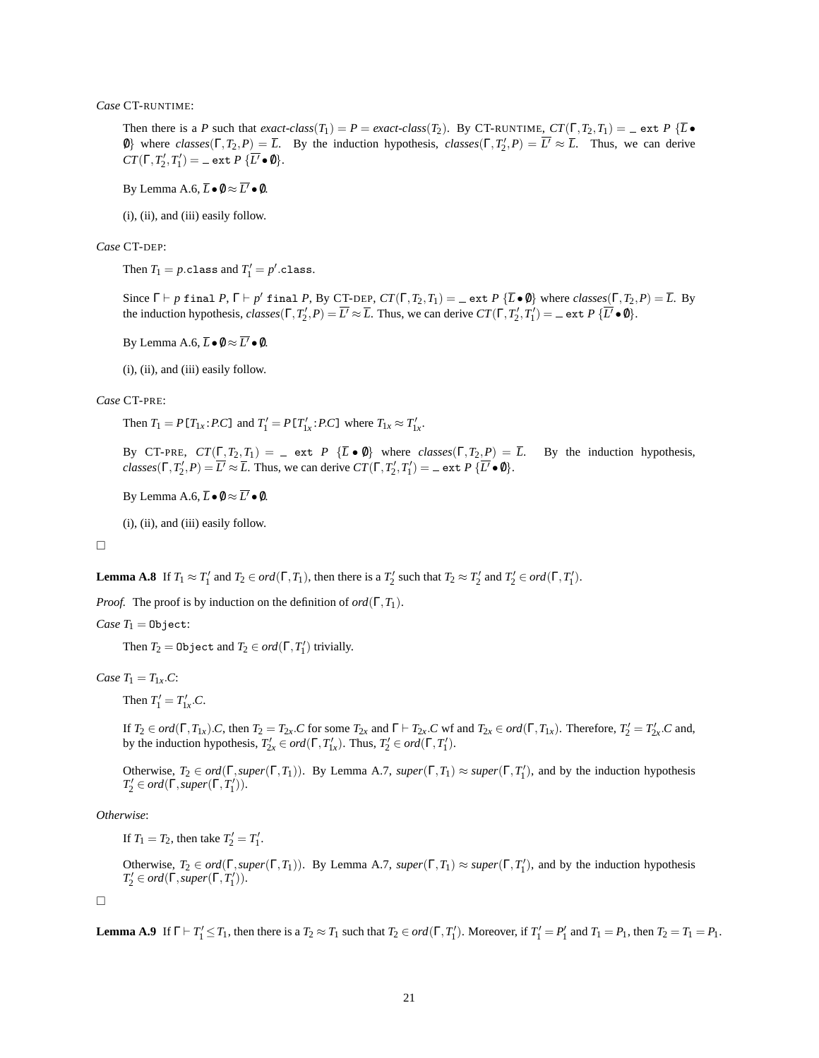*Case* CT-RUNTIME:

Then there is a *P* such that  $exact\text{-}class(T_1) = P = exact\text{-}class(T_2)$ . By CT-RUNTIME,  $CT(\Gamma, T_2, T_1) = \text{-}ext P \{ \overline{L} \bullet \text{ } S = \text{-}ext P \}$ 0} where *classes*(Γ,  $T_2$ ,  $P$ ) =  $\overline{L}$ . By the induction hypothesis, *classes*(Γ,  $T'_2$ ,  $P$ ) =  $\overline{L'} \approx \overline{L}$ . Thus, we can derive  $CT(\Gamma, T'_2, T'_1) = \text{ or } P \{\overline{L'} \bullet \emptyset\}.$ 

By Lemma A.6,  $\overline{L}\bullet \emptyset \approx \overline{L'}\bullet \emptyset.$ 

(i), (ii), and (iii) easily follow.

*Case* CT-DEP:

Then  $T_1 = p$ .class and  $T'_1 = p'$ .class.

Since  $\Gamma \vdash p$  final *P*,  $\Gamma \vdash p'$  final *P*, By CT-DEP,  $CT(\Gamma, T_2, T_1) = \bot$  ext  $P(\bar{L} \bullet \emptyset)$  where  $classes(\Gamma, T_2, P) = \bar{L}$ . By the induction hypothesis,  $classes(\Gamma, T'_2, P) = \overline{L'} \approx \overline{L}$ . Thus, we can derive  $CT(\Gamma, T'_2, T'_1) = -ext P {\overline{L'}} \cdot \emptyset$ .

By Lemma A.6,  $\overline{L}\bullet \emptyset \approx \overline{L'}\bullet \emptyset.$ 

(i), (ii), and (iii) easily follow.

*Case* CT-PRE:

Then  $T_1 = P[T_{1x} : P.C]$  and  $T_1' = P[T_{1x}': P.C]$  where  $T_{1x} \approx T_{1x}'$ .

By CT-PRE,  $CT(\Gamma, T_2, T_1) = \emptyset$  ext  $P \{ \overline{L} \bullet \emptyset \}$  where  $classes(\Gamma, T_2, P) = \overline{L}$ . By the induction hypothesis,  $\textit{classes}(\Gamma, T_2', P) = \overline{L'} \approx \overline{L}$ . Thus, we can derive  $CT(\Gamma, T_2', T_1') = \texttt{1} \text{ ext } P \{ \overline{L'} \bullet \emptyset \}.$ 

By Lemma A.6,  $\overline{L}\bullet \emptyset \approx \overline{L'}\bullet \emptyset.$ 

(i), (ii), and (iii) easily follow.

 $\Box$ 

**Lemma A.8** If  $T_1 \approx T_1'$  and  $T_2 \in ord(\Gamma, T_1)$ , then there is a  $T_2'$  such that  $T_2 \approx T_2'$  and  $T_2' \in ord(\Gamma, T_1')$ .

*Proof.* The proof is by induction on the definition of *ord*(Γ,*T*1).

 $Case T_1 = \text{Object:}$ 

Then  $T_2 = 0$ bject and  $T_2 \in ord(\Gamma, T_1')$  trivially.

*Case*  $T_1 = T_{1x} . C$ :

Then  $T'_1 = T'_{1x}$ .C.

If  $T_2 \in ord(\Gamma, T_{1x})$ .C, then  $T_2 = T_{2x}$ .C for some  $T_{2x}$  and  $\Gamma \vdash T_{2x}$ .C wf and  $T_{2x} \in ord(\Gamma, T_{1x})$ . Therefore,  $T_2' = T_{2x}'$ .C and, by the induction hypothesis,  $T'_{2x} \in ord(\Gamma, T'_{1x})$ . Thus,  $T'_{2} \in ord(\Gamma, T'_{1})$ .

Otherwise,  $T_2 \in ord(\Gamma, super(\Gamma, T_1))$ . By Lemma A.7,  $super(\Gamma, T_1) \approx super(\Gamma, T'_1)$ , and by the induction hypothesis  $T_2' \in ord(\Gamma, super(\Gamma, T_1')).$ 

*Otherwise*:

If  $T_1 = T_2$ , then take  $T_2' = T_1'$ .

Otherwise,  $T_2 \in ord(\Gamma, super(\Gamma, T_1))$ . By Lemma A.7,  $super(\Gamma, T_1) \approx super(\Gamma, T'_1)$ , and by the induction hypothesis  $T_2' \in ord(\Gamma, super(\Gamma, T_1')).$ 

 $\Box$ 

**Lemma A.9** If  $\Gamma \vdash T_1' \leq T_1$ , then there is a  $T_2 \approx T_1$  such that  $T_2 \in ord(\Gamma, T_1')$ . Moreover, if  $T_1' = P_1'$  and  $T_1 = P_1$ , then  $T_2 = T_1 = P_1$ .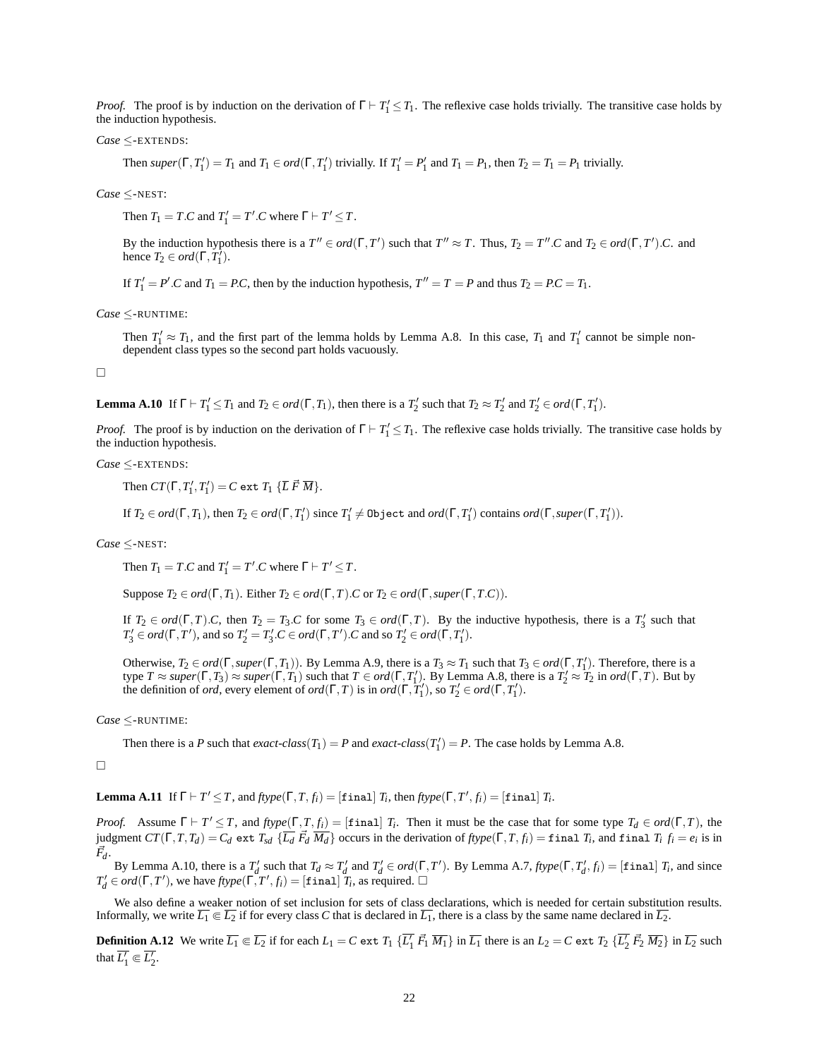*Proof.* The proof is by induction on the derivation of  $\Gamma \vdash T_1' \leq T_1$ . The reflexive case holds trivially. The transitive case holds by the induction hypothesis.

*Case* ≤-EXTENDS:

Then  $super(\Gamma, T'_1) = T_1$  and  $T_1 \in ord(\Gamma, T'_1)$  trivially. If  $T'_1 = P'_1$  and  $T_1 = P_1$ , then  $T_2 = T_1 = P_1$  trivially.

*Case* ≤-NEST:

Then  $T_1 = T.C$  and  $T_1' = T'.C$  where  $\Gamma \vdash T' \leq T$ .

By the induction hypothesis there is a  $T'' \in ord(\Gamma, T')$  such that  $T'' \approx T$ . Thus,  $T_2 = T''$ . C and  $T_2 \in ord(\Gamma, T')$ . C. and hence  $T_2 \in ord(\Gamma, T_1^7)$ .

If  $T'_1 = P'$ . *C* and  $T_1 = P.C$ , then by the induction hypothesis,  $T'' = T = P$  and thus  $T_2 = P.C = T_1$ .

*Case* ≤-RUNTIME:

Then  $T_1' \approx T_1$ , and the first part of the lemma holds by Lemma A.8. In this case,  $T_1$  and  $T_1'$  cannot be simple nondependent class types so the second part holds vacuously.

 $\Box$ 

**Lemma A.10** If  $\Gamma \vdash T'_1 \leq T_1$  and  $T_2 \in ord(\Gamma, T_1)$ , then there is a  $T'_2$  such that  $T_2 \approx T'_2$  and  $T'_2 \in ord(\Gamma, T'_1)$ .

*Proof.* The proof is by induction on the derivation of  $\Gamma \vdash T'_1 \leq T_1$ . The reflexive case holds trivially. The transitive case holds by the induction hypothesis.

*Case* ≤-EXTENDS:

Then  $CT(\Gamma, T_1', T_1') = C$  ext  $T_1 \{ \overline{L} \vec{F} \ \overline{M} \}.$ 

If  $T_2 \in ord(\Gamma, T_1)$ , then  $T_2 \in ord(\Gamma, T'_1)$  since  $T'_1 \neq 0$ bject and  $ord(\Gamma, T'_1)$  contains  $ord(\Gamma, super(\Gamma, T'_1))$ .

*Case* ≤-NEST:

Then  $T_1 = T.C$  and  $T_1' = T'.C$  where  $\Gamma \vdash T' \leq T$ .

Suppose  $T_2 \in ord(\Gamma, T_1)$ . Either  $T_2 \in ord(\Gamma, T)$ .*C* or  $T_2 \in ord(\Gamma, super(\Gamma, T.C))$ .

If  $T_2 \in ord(\Gamma, T)$ .*C*, then  $T_2 = T_3$ .*C* for some  $T_3 \in ord(\Gamma, T)$ . By the inductive hypothesis, there is a  $T'_3$  such that  $T_3' \in ord(\Gamma, T')$ , and so  $T_2' = T_3'.C \in ord(\Gamma, T')$ . *C* and so  $T_2' \in ord(\Gamma, T_1')$ .

Otherwise,  $T_2 \in ord(\Gamma, super(\Gamma, T_1))$ . By Lemma A.9, there is a  $T_3 \approx T_1$  such that  $T_3 \in ord(\Gamma, T_1')$ . Therefore, there is a type  $T \approx super(\Gamma, T_3) \approx super(\Gamma, T_1)$  such that  $T \in ord(\Gamma, T_1')$ . By Lemma A.8, there is a  $T_2' \approx T_2$  in  $ord(\Gamma, T)$ . But by the definition of *ord*, every element of  $ord(\Gamma, T)$  is in  $ord(\Gamma, T_1')$ , so  $T_2' \in ord(\Gamma, T_1')$ .

*Case* ≤-RUNTIME:

Then there is a *P* such that  $\text{exact-class}(T_1) = P$  and  $\text{exact-class}(T_1') = P$ . The case holds by Lemma A.8.

 $\Box$ 

**Lemma A.11** If  $\Gamma \vdash T' \leq T$ , and  $ftype(\Gamma, T, f_i) = [\text{final}]\ T_i$ , then  $ftype(\Gamma, T', f_i) = [\text{final}]\ T_i$ .

*Proof.* Assume  $\Gamma \vdash T' \leq T$ , and  $ftype(\Gamma, T, f_i) = [\text{final}]T_i$ . Then it must be the case that for some type  $T_d \in ord(\Gamma, T)$ , the judgment  $CT(\Gamma, T, T_d) = C_d$  ext  $T_{sd}$   $\{\overline{L_d} \ \vec{F_d} \ \overline{M_d}\}$  occurs in the derivation of  $\textit{ftype}(\Gamma, T, f_i) = \texttt{final } T_i$ , and final  $T_i$   $f_i = e_i$  is in  $\vec{F_d}$ .

By Lemma A.10, there is a  $T'_d$  such that  $T_d \approx T'_d$  and  $T'_d \in ord(\Gamma, T')$ . By Lemma A.7,  $ftype(\Gamma, T'_d, f_i) = [\text{final}]T_i$ , and since  $T'_d \in ord(\Gamma, T')$ , we have *ftype* $(\Gamma, T', f_i) = [\text{final} \ T_i]$ , as required.  $\Box$ 

We also define a weaker notion of set inclusion for sets of class declarations, which is needed for certain substitution results. Informally, we write  $\overline{L_1} \subseteq \overline{L_2}$  if for every class *C* that is declared in  $\overline{L_1}$ , there is a class by the same name declared in  $\overline{L_2}$ .

**Definition A.12** We write  $\overline{L_1} \in \overline{L_2}$  if for each  $L_1 = C$  ext  $T_1$   $\{\overline{L'_1} \ \vec{F}_1 \ \overline{M_1}\}$  in  $\overline{L_1}$  there is an  $L_2 = C$  ext  $T_2$   $\{\overline{L'_2} \ \vec{F}_2 \ \overline{M_2}\}$  in  $\overline{L_2}$  such that  $\overline{L'_1} \Subset \overline{L'_2}$ .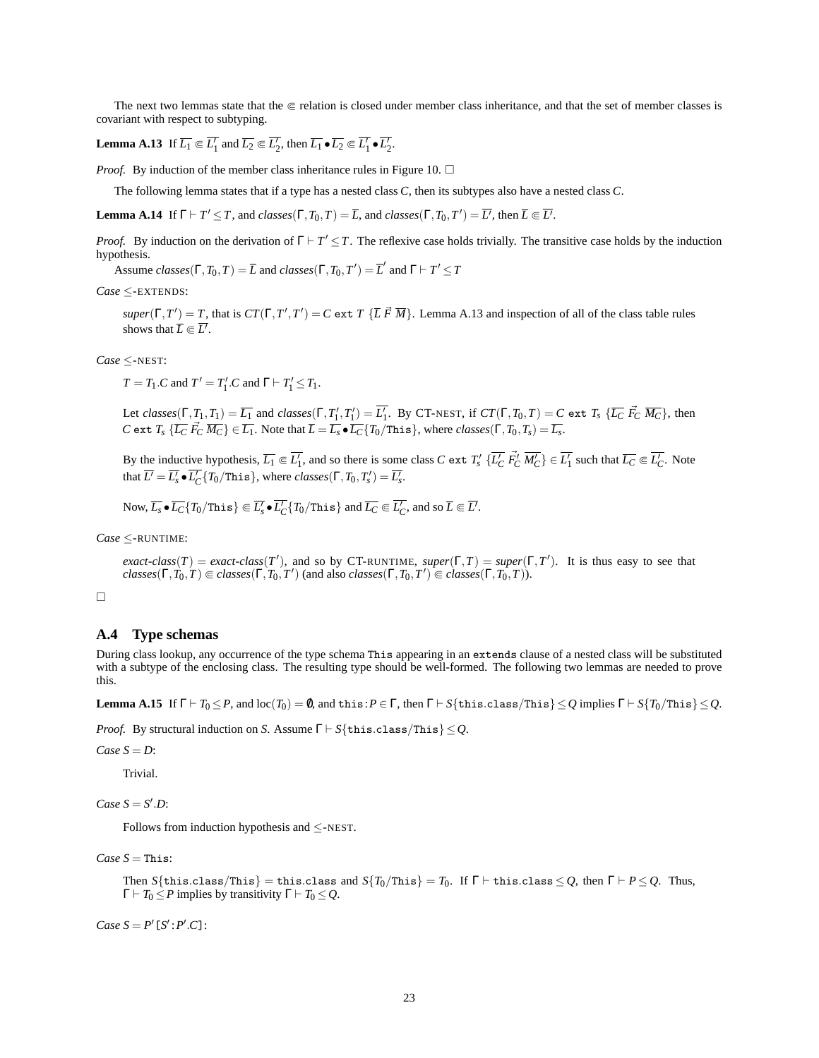The next two lemmas state that the  $\in$  relation is closed under member class inheritance, and that the set of member classes is covariant with respect to subtyping.

**Lemma A.13** If  $\overline{L_1} \subseteq \overline{L'_1}$  and  $\overline{L_2} \subseteq \overline{L'_2}$ , then  $\overline{L_1} \bullet \overline{L_2} \subseteq \overline{L'_1} \bullet \overline{L'_2}$ .

*Proof.* By induction of the member class inheritance rules in Figure 10.  $\Box$ 

The following lemma states that if a type has a nested class *C*, then its subtypes also have a nested class *C*.

**Lemma A.14** If  $\Gamma \vdash T' \leq T$ , and *classes*( $\Gamma, T_0, T$ ) =  $\overline{L}$ , and *classes*( $\Gamma, T_0, T'$ ) =  $\overline{L'}$ , then  $\overline{L} \Subset \overline{L'}$ .

*Proof.* By induction on the derivation of  $\Gamma \vdash T' \leq T$ . The reflexive case holds trivially. The transitive case holds by the induction hypothesis.

Assume *classes*( $\Gamma$ ,  $T_0$ ,  $T$ ) =  $\overline{L}$  and *classes*( $\Gamma$ ,  $T_0$ ,  $T'$ ) =  $\overline{L}'$  and  $\Gamma$   $\vdash$   $T' \leq T$ 

*Case* ≤-EXTENDS:

 $super(\Gamma, T') = T$ , that is  $CT(\Gamma, T', T') = C$  ext  $T \{ \overline{L} \vec{F} \ \overline{M} \}$ . Lemma A.13 and inspection of all of the class table rules shows that  $\overline{L} \Subset \overline{L'}$ .

*Case* ≤-NEST:

 $T = T_1.C$  and  $T' = T_1'.C$  and  $\Gamma \vdash T_1' \le T_1.$ 

Let classes( $\Gamma, T_1, T_1$ ) =  $\overline{L_1}$  and classes( $\Gamma, T_1', T_1'$ ) =  $\overline{L_1'}$ . By CT-NEST, if  $CT(\Gamma, T_0, T) = C$  ext  $T_s$  { $\overline{L_C}$   $\overline{F_C}$   $\overline{M_C}$ }, then C ext  $T_s \{\overline{L_C} \ \vec{F_C} \ \overline{M_C}\} \in \overline{L_1}$ . Note that  $\overline{L} = \overline{L_s} \bullet \overline{L_C} \{T_0 / \text{This}\}$ , where classes  $(\Gamma, T_0, T_s) = \overline{L_s}$ .

By the inductive hypothesis,  $\overline{L_1} \in \overline{L'_1}$ , and so there is some class C ext  $T'_s \{ \overline{L'_C} \ \overline{F'_C} \ \overline{M'_C} \} \in \overline{L'_1}$  such that  $\overline{L_C} \in \overline{L'_C}$ . Note that  $\overline{L'} = \overline{L'_s} \bullet \overline{L'_C} \{ T_0 / \text{This} \},$  where  $classes(\Gamma, T_0, T'_s) = \overline{L'_s}$ .

Now,  $\overline{L_s} \bullet \overline{L_C} \{ T_0 / \text{This} \} \Subset \overline{L_s'} \bullet \overline{L_C'} \{ T_0 / \text{This} \}$  and  $\overline{L_C} \Subset \overline{L_C'}$ , and so  $\overline{L} \Subset \overline{L'}$ .

*Case* ≤-RUNTIME:

 $\textit{exact-class}(T) = \textit{exact-class}(T')$ , and so by CT-RUNTIME,  $\textit{super}(\Gamma, T) = \textit{super}(\Gamma, T')$ . It is thus easy to see that  $classes(\Gamma, T_0, T) \subseteq classes(\Gamma, T_0, T')$  (and also *classes*( $\Gamma, T_0, T') \subseteq classes(\Gamma, T_0, T)$ ).

 $\Box$ 

# **A.4 Type schemas**

During class lookup, any occurrence of the type schema This appearing in an extends clause of a nested class will be substituted with a subtype of the enclosing class. The resulting type should be well-formed. The following two lemmas are needed to prove this.

**Lemma A.15** If  $\Gamma \vdash T_0 \leq P$ , and loc(*T*<sub>0</sub>) = 0, and this:  $P \in \Gamma$ , then  $\Gamma \vdash S$ {this.class/This}  $\leq Q$  implies  $\Gamma \vdash S$ {*T*<sub>0</sub>/This}  $\leq Q$ .

*Proof.* By structural induction on *S*. Assume  $\Gamma \vdash S\{\text{this.class}/\text{This}\} \leq Q$ .

 $Case S = D$ :

Trivial.

 $Case S = S'.D:$ 

Follows from induction hypothesis and ≤-NEST.

 $Case S = This$ :

Then  $S\{\text{this.class/This}\} = \text{this.class}$  and  $S\{T_0/\text{This}\} = T_0$ . If  $\Gamma \vdash \text{this.class} \leq Q$ , then  $\Gamma \vdash P \leq Q$ . Thus,  $\Gamma \vdash T_0 \leq P$  implies by transitivity  $\Gamma \vdash T_0 \leq Q$ .

*Case*  $S = P'[S':P'.C]$ :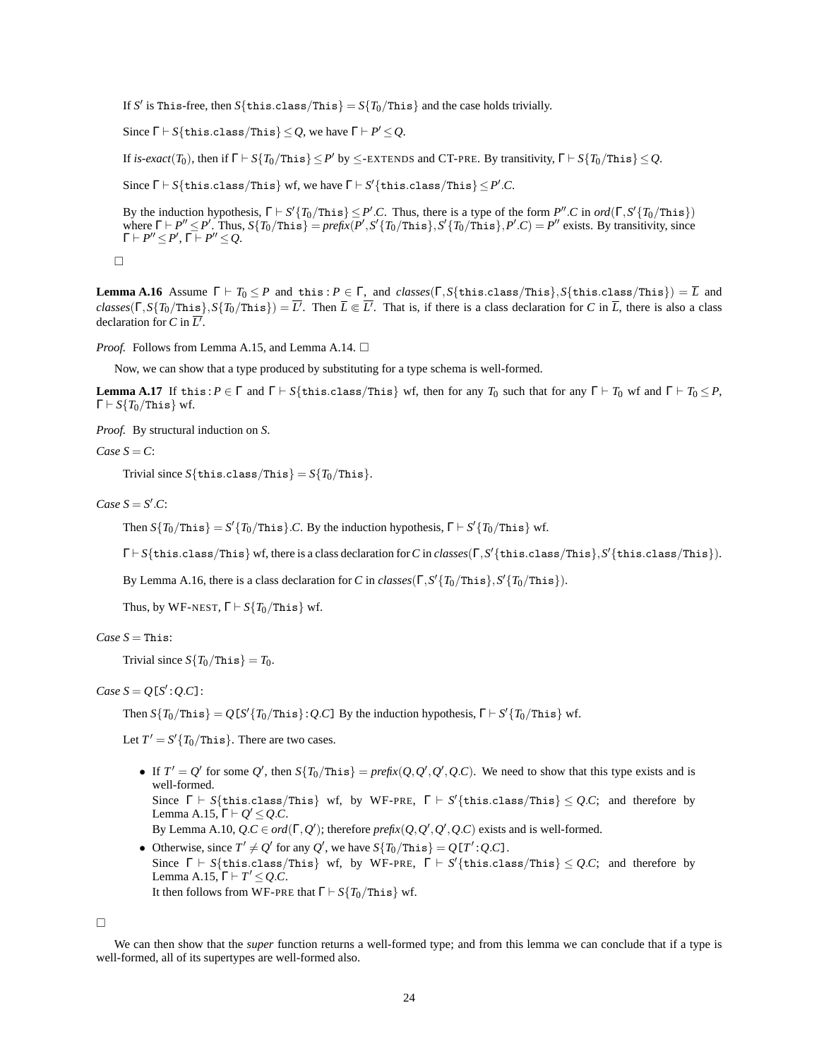If *S'* is This-free, then *S*{this.class/This} =  $S\{T_0/T$ his} and the case holds trivially.

Since  $\Gamma \vdash S\{\texttt{this.class}/\texttt{This}\} \leq Q$ , we have  $\Gamma \vdash P' \leq Q$ .

If *is-exact*(*T*<sub>0</sub>), then if  $\Gamma \vdash S\{T_0/\text{This}\} \leq P'$  by  $\leq$ -EXTENDS and CT-PRE. By transitivity,  $\Gamma \vdash S\{T_0/\text{This}\} \leq Q$ .

Since  $\Gamma \vdash S\{\texttt{this.class}/\texttt{This}\}$  wf, we have  $\Gamma \vdash S'\{\texttt{this.class}/\texttt{This}\} \leq P'.C.$ 

By the induction hypothesis,  $\Gamma \vdash S' \{ T_0 / \text{This} \} \le P' . C$ . Thus, there is a type of the form  $P'' . C$  in  $ord(\Gamma, S' \{ T_0 / \text{This} \})$ where  $\Gamma \vdash P'' \le P'$ . Thus,  $S\{T_0/\text{This}\} = prefix(P', S'\{T_0/\text{This}\}, S'\{T_0/\text{This}\}, P'.C) = P''$  exists. By transitivity, since  $\Gamma \vdash P'' \leq P', \, \Gamma \vdash P'' \leq Q.$ 

 $\Box$ 

**Lemma A.16** Assume  $\Gamma \vdash T_0 \leq P$  and this :  $P \in \Gamma$ , and *classes*( $\Gamma$ ,  $S$ {this.class/This}, $S$ {this.class/This}) =  $\overline{L}$  and  $classes(\Gamma, S\{T_0/\text{This}\}, S\{T_0/\text{This}\}) = \overline{L'}$ . Then  $\overline{L} \in \overline{L'}$ . That is, if there is a class declaration for *C* in  $\overline{L}$ , there is also a class declaration for *C* in  $\overline{L'}$ .

*Proof.* Follows from Lemma A.15, and Lemma A.14.  $\Box$ 

Now, we can show that a type produced by substituting for a type schema is well-formed.

**Lemma A.17** If this :  $P \in \Gamma$  and  $\Gamma \vdash S$ {this.class/This} wf, then for any  $T_0$  such that for any  $\Gamma \vdash T_0$  wf and  $\Gamma \vdash T_0 \leq P$ ,  $\Gamma \vdash S\{T_0/\text{This}\}$  wf.

*Proof.* By structural induction on *S*.

 $Case S = C$ 

Trivial since  $S\{\text{this.class}/\text{This}\} = S\{T_0/\text{This}\}.$ 

 $Case S = S'.C:$ 

Then  $S\{T_0/\text{This}\} = S'\{T_0/\text{This}\}\$ *.C*. By the induction hypothesis,  $\Gamma \vdash S'\{T_0/\text{This}\}$  wf.

 $Γ ⊢ S{this.class/This}$  wf, there is a class declaration for *C* in *classes*(Γ,  $S{$  {this.class/This},  $S{$  {this.class/This}).

By Lemma A.16, there is a class declaration for *C* in  $classes(\Gamma, S'\{T_0/\text{This}\}, S'\{T_0/\text{This}\}).$ 

Thus, by WF-NEST,  $\Gamma \vdash S\{T_0/\text{This}\}$  wf.

 $Case S = This:$ 

Trivial since  $S\{T_0/\text{This}\} = T_0$ .

 $Case S = Q[S':Q.C]:$ 

Then  $S\{T_0/\text{This}\} = Q[S'\{T_0/\text{This}\} : Q.C]$  By the induction hypothesis,  $\Gamma \vdash S'\{T_0/\text{This}\}$  wf.

Let  $T' = S'\{T_0/\text{This}\}$ . There are two cases.

If  $T' = Q'$  for some  $Q'$ , then  $S{T_0/\text{This}} = prefix(Q, Q', Q', Q, C)$ . We need to show that this type exists and is well-formed. Since  $\Gamma \vdash S\{\texttt{this.class}/\texttt{This}\}$  wf, by WF-PRE,  $\Gamma \vdash S'\{\texttt{this.class}/\texttt{This}\} \leq \mathcal{Q}.\mathcal{C}$ ; and therefore by

Lemma A.15,  $\Gamma \vdash Q' \leq Q.C$ .

By Lemma A.10,  $Q.C \in ord(\Gamma, Q')$ ; therefore *prefix*( $Q, Q', Q', Q.C$ ) exists and is well-formed.

• Otherwise, since  $T' \neq Q'$  for any  $Q'$ , we have  $S\{T_0/T\text{his}\} = Q[T':Q.C]$ . Since  $\Gamma \vdash S\{\texttt{this.class}/\texttt{This}\}$  wf, by WF-PRE,  $\Gamma \vdash S'\{\texttt{this.class}/\texttt{This}\} \leq \mathcal{Q}.\mathcal{C}$ ; and therefore by Lemma A.15,  $\Gamma \vdash T' \leq Q.C$ . It then follows from WF-PRE that  $\Gamma \vdash S \{T_0 / \text{This}\}$  wf.

 $\Box$ 

We can then show that the *super* function returns a well-formed type; and from this lemma we can conclude that if a type is well-formed, all of its supertypes are well-formed also.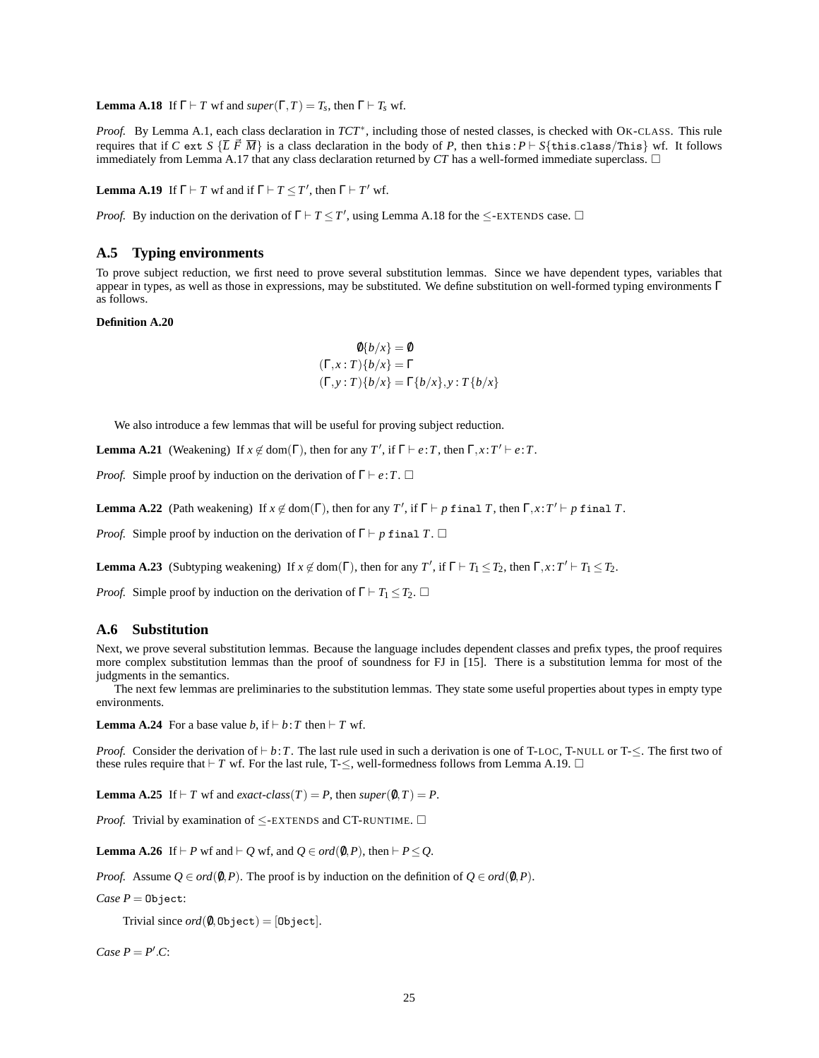**Lemma A.18** If  $\Gamma \vdash T$  wf and *super*( $\Gamma, T$ ) =  $T_s$ , then  $\Gamma \vdash T_s$  wf.

*Proof.* By Lemma A.1, each class declaration in *TCT*<sup>∗</sup>, including those of nested classes, is checked with OK-CLASS. This rule requires that if *C* ext *S* { $\overline{L}$   $\overline{F}$   $\overline{M}$ } is a class declaration in the body of *P*, then this:  $P \vdash S$ {this.class/This} wf. It follows immediately from Lemma A.17 that any class declaration returned by  $CT$  has a well-formed immediate superclass.  $\Box$ 

**Lemma A.19** If  $\Gamma \vdash T$  wf and if  $\Gamma \vdash T \leq T'$ , then  $\Gamma \vdash T'$  wf.

*Proof.* By induction on the derivation of  $\Gamma \vdash T \leq T'$ , using Lemma A.18 for the  $\leq$ -EXTENDS case.  $\Box$ 

## **A.5 Typing environments**

To prove subject reduction, we first need to prove several substitution lemmas. Since we have dependent types, variables that appear in types, as well as those in expressions, may be substituted. We define substitution on well-formed typing environments Γ as follows.

## **Definition A.20**

$$
\emptyset\{b/x\} = \emptyset
$$
  
( $\Gamma, x : T$ ){ $b/x$ } =  $\Gamma$   
( $\Gamma, y : T$ ){ $b/x$ } =  $\Gamma$ { $b/x$ },  $y : T$ { $b/x$ }

We also introduce a few lemmas that will be useful for proving subject reduction.

**Lemma A.21** (Weakening) If  $x \notin \text{dom}(\Gamma)$ , then for any  $T'$ , if  $\Gamma \vdash e : T$ , then  $\Gamma, x : T' \vdash e : T$ .

*Proof.* Simple proof by induction on the derivation of  $\Gamma \vdash e : T$ .  $\Box$ 

**Lemma A.22** (Path weakening) If  $x \notin \text{dom}(\Gamma)$ , then for any  $T'$ , if  $\Gamma \vdash p$  final *T*, then  $\Gamma, x : T' \vdash p$  final *T*.

*Proof.* Simple proof by induction on the derivation of  $\Gamma \vdash p$  final  $T \square$ 

**Lemma A.23** (Subtyping weakening) If  $x \notin dom(\Gamma)$ , then for any  $T'$ , if  $\Gamma \vdash T_1 \leq T_2$ , then  $\Gamma, x : T' \vdash T_1 \leq T_2$ .

*Proof.* Simple proof by induction on the derivation of  $\Gamma \vdash T_1 \leq T_2$ .  $\Box$ 

## **A.6 Substitution**

Next, we prove several substitution lemmas. Because the language includes dependent classes and prefix types, the proof requires more complex substitution lemmas than the proof of soundness for FJ in [15]. There is a substitution lemma for most of the judgments in the semantics.

The next few lemmas are preliminaries to the substitution lemmas. They state some useful properties about types in empty type environments.

**Lemma A.24** For a base value *b*, if  $\vdash$  *b*: *T* then  $\vdash$  *T* wf.

*Proof.* Consider the derivation of  $\vdash b$ : *T*. The last rule used in such a derivation is one of T-LOC, T-NULL or T- $\leq$ . The first two of these rules require that  $\vdash T$  wf. For the last rule, T- $\leq$ , well-formedness follows from Lemma A.19.  $\Box$ 

**Lemma A.25** If  $\vdash$  *T* wf and *exact-class*(*T*) = *P*, then *super*(0,*T*) = *P*.

*Proof.* Trivial by examination of  $\leq$ -EXTENDS and CT-RUNTIME.  $\Box$ 

**Lemma A.26** If  $\vdash P$  wf and  $\vdash Q$  wf, and  $Q \in ord(0, P)$ , then  $\vdash P \leq Q$ .

*Proof.* Assume  $O \in ord(\mathbf{0}, P)$ . The proof is by induction on the definition of  $O \in ord(\mathbf{0}, P)$ .

*Case*  $P = 0$ *bject:* 

Trivial since  $ord(0, \text{Object}) = [\text{Object}]$ .

*Case*  $P = P'$ .*C*: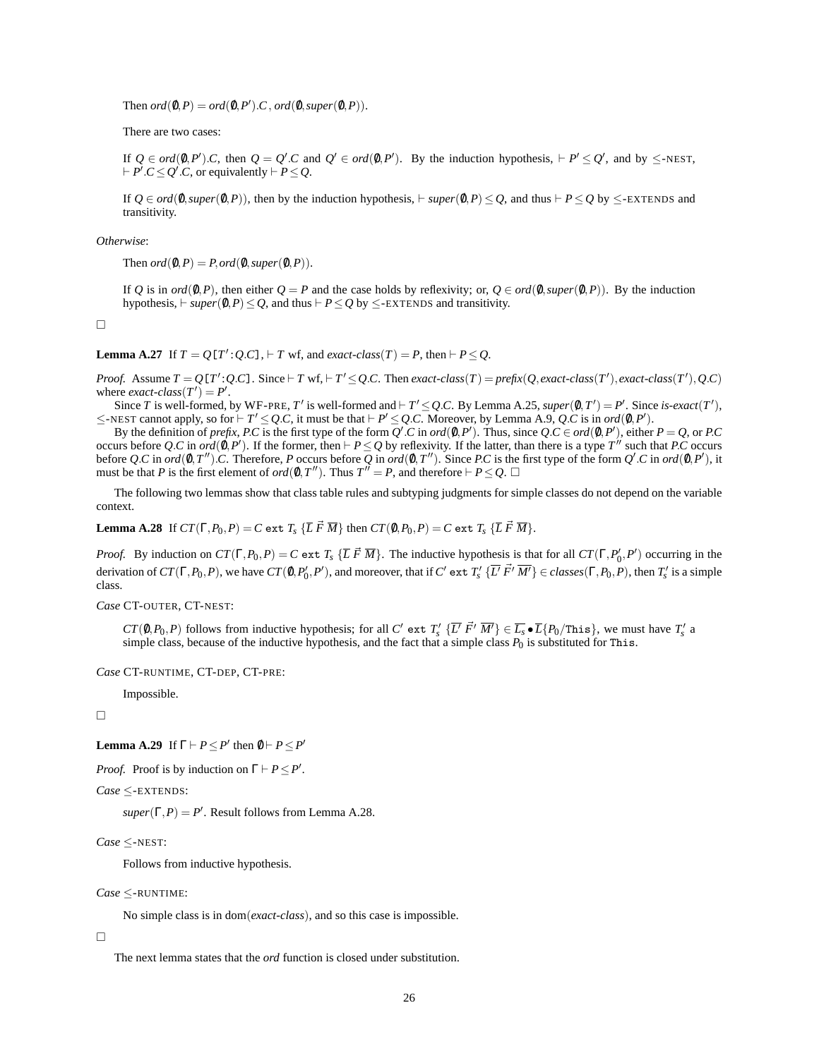Then  $ord(\emptyset, P) = ord(\emptyset, P') \cdot C$ ,  $ord(\emptyset, super(\emptyset, P))$ .

There are two cases:

If  $Q \in ord(0, P')$ .C, then  $Q = Q'$ .C and  $Q' \in ord(0, P')$ . By the induction hypothesis,  $\vdash P' \leq Q'$ , and by  $\leq$ -NEST,  $\vdash \widetilde{P}$ .  $C \leq Q$ .  $C$ , or equivalently  $\vdash \widetilde{P} \leq Q$ .

If  $Q \in ord(0, super(0, P))$ , then by the induction hypothesis,  $\vdash super(0, P) \leq Q$ , and thus  $\vdash P \leq Q$  by  $\leq$ -EXTENDS and transitivity.

*Otherwise*:

Then  $ord(\emptyset, P) = P$ ,  $ord(\emptyset, super(\emptyset, P))$ .

If *Q* is in *ord*(0,*P*), then either  $Q = P$  and the case holds by reflexivity; or,  $Q \in ord(0, super(0,P))$ . By the induction hypothesis,  $\vdash super(0, P) \leq Q$ , and thus  $\vdash P \leq Q$  by  $\leq$ -EXTENDS and transitivity.

 $\Box$ 

**Lemma A.27** If  $T = Q[T':Q.C]$ ,  $\vdash T$  wf, and *exact-class* $(T) = P$ , then  $\vdash P \leq Q$ .

*Proof.* Assume  $T = Q[T':Q.C]$ . Since  $\vdash T$  wf,  $\vdash T' \leq Q.C$ . Then exact-class(T) = prefix(Q, exact-class(T'), exact-class(T'), Q.C) where *exact-class* $(T^{\prime}) = P^{\prime}$ .

Since *T* is well-formed, by WF-PRE, *T'* is well-formed and  $\vdash T' \leq Q.C$ . By Lemma A.25, *super*(0,*T'*) = *P'*. Since *is-exact*(*T'*), ≤-NEST cannot apply, so for  $\vdash T' \leq Q.C$ , it must be that  $\vdash P' \leq Q.C$ . Moreover, by Lemma A.9,  $Q.C$  is in *ord*(0,*P'*).

By the definition of prefix, P.C is the first type of the form  $Q'$ .C in ord $(0, P')$ . Thus, since  $Q$ .C  $\in \text{ord}(0, P')$ , either  $P = Q$ , or P.C occurs before Q.*C* in  $ord(\emptyset, P')$ . If the former, then  $\vdash P \leq Q$  by reflexivity. If the latter, than there is a type  $T''$  such that *P.C* occurs before Q.C in  $ord(0, T'')$ .C. Therefore, P occurs before  $\overline{Q}$  in  $ord(0, T'')$ . Since P.C is the first type of the form  $Q'$ .C in  $ord(0, P')$ , it must be that *P* is the first element of *ord*(0,*T*<sup>*n*</sup>). Thus  $T^{\widetilde{n}} = P$ , and therefore  $\vdash P \leq Q$ .  $\Box$ 

The following two lemmas show that class table rules and subtyping judgments for simple classes do not depend on the variable context.

**Lemma A.28** If  $CT(\Gamma, P_0, P) = C$  ext  $T_s \{ \overline{L} \overline{F} \overline{M} \}$  then  $CT(\emptyset, P_0, P) = C$  ext  $T_s \{ \overline{L} \overline{F} \overline{M} \}$ .

*Proof.* By induction on  $CT(\Gamma, P_0, P) = C$  ext  $T_s \{ \overline{L} \overline{F} \ \overline{M} \}$ . The inductive hypothesis is that for all  $CT(\Gamma, P'_0, P')$  occurring in the derivation of  $CT(\Gamma, P_0, P)$ , we have  $CT(\emptyset, P'_0, P')$ , and moreover, that if  $C'$  ext  $T'_s \{ \overline{L'} \overline{F'} \overline{M'} \} \in classes(\Gamma, P_0, P)$ , then  $T'_s$  is a simple class.

*Case* CT-OUTER, CT-NEST:

 $CT(\emptyset, P_0, P)$  follows from inductive hypothesis; for all C' ext  $T_s' \{ \overline{L'} \overline{F'} \overline{M'} \} \in \overline{L_s} \bullet \overline{L} \{ P_0 / \text{This} \}$ , we must have  $T_s'$  a simple class, because of the inductive hypothesis, and the fact that a simple class  $P_0$  is substituted for This.

*Case* CT-RUNTIME, CT-DEP, CT-PRE:

Impossible.

 $\Box$ 

**Lemma A.29** If  $\Gamma \vdash P \leq P'$  then  $\emptyset \vdash P \leq P'$ 

*Proof.* Proof is by induction on  $\Gamma \vdash P \leq P'$ .

*Case* ≤-EXTENDS:

 $super(\Gamma, P) = P'$ . Result follows from Lemma A.28.

*Case* ≤-NEST:

Follows from inductive hypothesis.

*Case* ≤-RUNTIME:

No simple class is in dom(*exact*-*class*), and so this case is impossible.

 $\Box$ 

The next lemma states that the *ord* function is closed under substitution.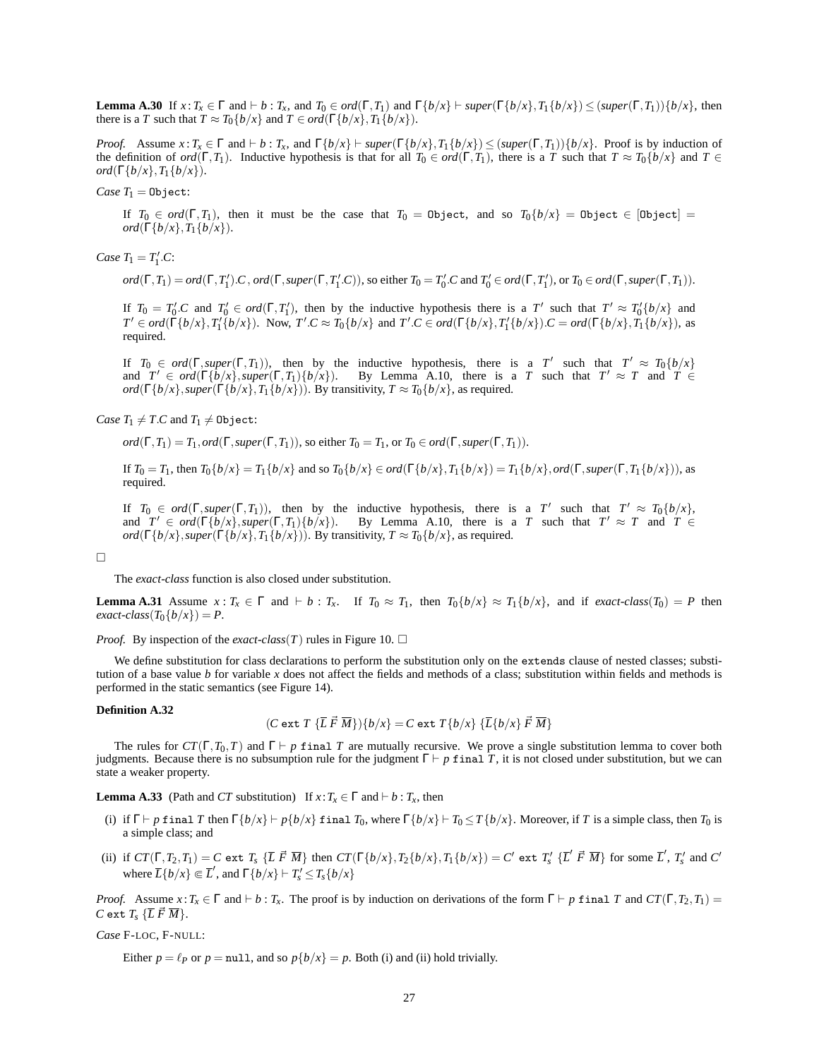**Lemma A.30** If  $x: T_x \in \Gamma$  and  $\vdash b: T_x$ , and  $T_0 \in ord(\Gamma, T_1)$  and  $\Gamma\{b/x\} \vdash super(\Gamma\{b/x\}, T_1\{b/x\}) \leq (super(\Gamma, T_1))\{b/x\}$ , then there is a *T* such that  $T \approx T_0 \{b/x\}$  and  $T \in ord(\Gamma \{b/x\}, T_1 \{b/x\})$ .

*Proof.* Assume  $x: T_x \in \Gamma$  and  $\vdash b: T_x$ , and  $\Gamma\{b/x\} \vdash super(\Gamma\{b/x\}, T_1\{b/x\}) \leq (super(\Gamma, T_1))\{b/x\}$ . Proof is by induction of the definition of *ord*(Γ,*T*<sub>1</sub>). Inductive hypothesis is that for all  $T_0 \in ord(\Gamma, T_1)$ , there is a *T* such that  $T \approx T_0 \{b/x\}$  and  $T \in$ *ord*( $\Gamma\{b/x\}$ ,  $T_1\{b/x\}$ ).

*Case*  $T_1 = 0$ bject:

If  $T_0 \in \text{ord}(\Gamma, T_1)$ , then it must be the case that  $T_0 = 0$ bject, and so  $T_0\{b/x\} = 0$ bject ∈ [Object] = *ord*( $\Gamma\{b/x\}$ ,  $T_1\{b/x\}$ ).

*Case*  $T_1 = T'_1.C$ :

 $ord(\Gamma, T_1) = ord(\Gamma, T_1').C$ ,  $ord(\Gamma, super(\Gamma, T_1'.C))$ , so either  $T_0 = T_0'.C$  and  $T_0' \in ord(\Gamma, T_1'),$  or  $T_0 \in ord(\Gamma, super(\Gamma, T_1)).$ 

If  $T_0 = T'_0$  *C* and  $T'_0 \in ord(\Gamma, T'_1)$ , then by the inductive hypothesis there is a *T*' such that  $T' \approx T'_0 \{b/x\}$  and  $T' \in ord(\Gamma\{b/x\}, T'_1\{b/x\})$ . Now,  $T'.C \approx T_0\{b/x\}$  and  $T'.C \in ord(\Gamma\{b/x\}, T'_1\{b/x\})$ .  $C = ord(\Gamma\{b/x\}, T'_1\{b/x\})$ , as required.

If  $T_0 \in ord(\Gamma, super(\Gamma, T_1))$ , then by the inductive hypothesis, there is a *T'* such that  $T' \approx T_0\{b/x\}$ and  $T' \in ord(\Gamma\{b/x\}, super(\Gamma, T_1)\{b/x\})$ . By Lemma A.10, there is a *T* such that  $T' \approx T$  and  $T \in$ *ord*(Γ{*b*/*x*}, *super*(Γ{*b*/*x*}, *T*<sub>1</sub>{*b*/*x*})). By transitivity, *T* ≈ *T*<sub>0</sub>{*b*/*x*}, as required.

*Case*  $T_1 \neq T.C$  and  $T_1 \neq 0$ bject:

 $ord(\Gamma, T_1) = T_1$ *, ord* $(\Gamma, super(\Gamma, T_1))$ *, so either*  $T_0 = T_1$ *, or*  $T_0 \in ord(\Gamma, super(\Gamma, T_1))$ .

If  $T_0 = T_1$ , then  $T_0\{b/x\} = T_1\{b/x\}$  and so  $T_0\{b/x\} \in ord(\Gamma\{b/x\}, T_1\{b/x\}) = T_1\{b/x\}$ ,  $ord(\Gamma, super(\Gamma, T_1\{b/x\}))$ , as required.

If  $T_0 \in ord(\Gamma, super(\Gamma, T_1))$ , then by the inductive hypothesis, there is a *T*' such that  $T' \approx T_0\{b/x\}$ , and  $T' \in ord(\Gamma\{b/x\}, super(\Gamma, T_1)\{b/x\})$ . By Lemma A.10, there is a *T* such that  $T' \approx T$  and  $T \in$ *ord*(Γ{*b*/*x*}, *super*(Γ{*b*/*x*}, *T*<sub>1</sub>{*b*/*x*})). By transitivity,  $T \approx T_0$ {*b*/*x*}, as required.

 $\Box$ 

The *exact*-*class* function is also closed under substitution.

**Lemma A.31** Assume  $x: T_x \in \Gamma$  and  $\vdash b: T_x$ . If  $T_0 \approx T_1$ , then  $T_0\{b/x\} \approx T_1\{b/x\}$ , and if exact-class( $T_0 = P$  then  $\text{exact-class}(T_0\{b/x\}) = P.$ 

*Proof.* By inspection of the *exact-class* $(T)$  rules in Figure 10.  $\Box$ 

We define substitution for class declarations to perform the substitution only on the extends clause of nested classes; substitution of a base value *b* for variable *x* does not affect the fields and methods of a class; substitution within fields and methods is performed in the static semantics (see Figure 14).

#### **Definition A.32**

 $(C \text{ ext } T \{ \overline{L} \overline{F} \overline{M} \} \} \{ b/x \} = C \text{ ext } T \{ b/x \} \{ \overline{L} \{ b/x \} \overline{F} \overline{M} \}$ 

The rules for  $CT(\Gamma, T_0, T)$  and  $\Gamma \vdash p$  final *T* are mutually recursive. We prove a single substitution lemma to cover both judgments. Because there is no subsumption rule for the judgment  $\Gamma \vdash p$  final *T*, it is not closed under substitution, but we can state a weaker property.

**Lemma A.33** (Path and *CT* substitution) If  $x: T_x \in \Gamma$  and  $\vdash b: T_x$ , then

- (i) if  $\Gamma \vdash p$  final T then  $\Gamma\{b/x\} \vdash p\{b/x\}$  final  $T_0$ , where  $\Gamma\{b/x\} \vdash T_0 \leq T\{b/x\}$ . Moreover, if T is a simple class, then  $T_0$  is a simple class; and
- (ii) if  $CT(\Gamma, T_2, T_1) = C$  ext  $T_s \{ \overline{L} \ \overline{F} \ \overline{M} \}$  then  $CT(\Gamma\{b/x\}, T_2\{b/x\}, T_1\{b/x\}) = C'$  ext  $T_s' \{ \overline{L}' \ \overline{F} \ \overline{M} \}$  for some  $\overline{L}', T_s'$  and  $C'$ where  $\overline{L}\{b/x\} \Subset \overline{L}'$ , and  $\Gamma\{b/x\} \vdash T'_s \leq T_s\{b/x\}$

*Proof.* Assume  $x: T_x \in \Gamma$  and  $\nvdash b: T_x$ . The proof is by induction on derivations of the form  $\Gamma \vdash p$  final *T* and  $CT(\Gamma, T_2, T_1)$  = *C* ext  $T_s \{\overline{L} \vec{F} \ \overline{M}\}.$ 

*Case* F-LOC, F-NULL:

Either  $p = \ell_p$  or  $p = \text{null}$ , and so  $p\{b/x\} = p$ . Both (i) and (ii) hold trivially.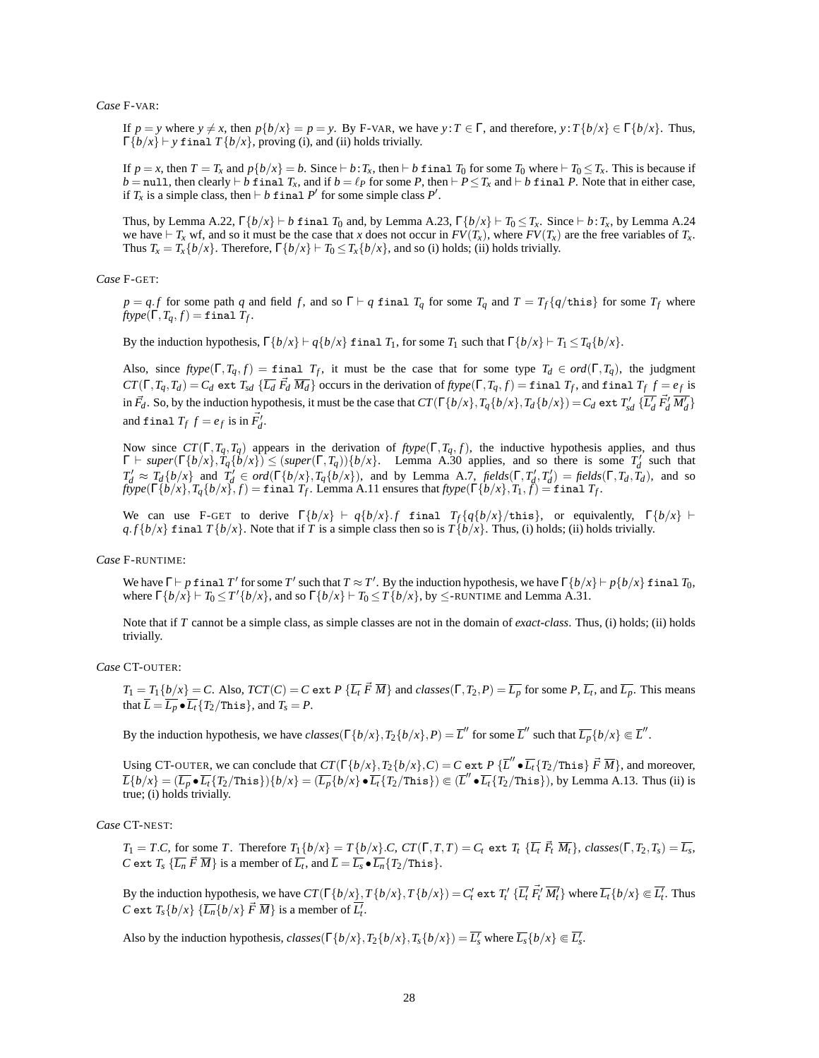*Case* F-VAR:

If  $p = y$  where  $y \neq x$ , then  $p\{b/x\} = p = y$ . By F-VAR, we have  $y: T \in \Gamma$ , and therefore,  $y: T\{b/x\} \in \Gamma\{b/x\}$ . Thus,  $\Gamma\{b/x\} \vdash y$  final  $T\{b/x\}$ , proving (i), and (ii) holds trivially.

If  $p = x$ , then  $T = T_x$  and  $p\{b/x\} = b$ . Since  $b \in T_x$ , then  $b \in T_y$  final  $T_0$  for some  $T_0$  where  $b \in T_y \subseteq T_x$ . This is because if *b* = null, then clearly  $\vdash$  *b* final *T<sub>x</sub>*, and if *b* =  $\ell_P$  for some *P*, then  $\vdash$  *P*  $\leq$  *T<sub>x</sub>* and  $\vdash$  *b* final *P*. Note that in either case, if  $T_x$  is a simple class, then  $\vdash b$  final  $P'$  for some simple class  $P'$ .

Thus, by Lemma A.22,  $\Gamma\{b/x\} \vdash b$  final  $T_0$  and, by Lemma A.23,  $\Gamma\{b/x\} \vdash T_0 \leq T_x$ . Since  $\vdash b : T_x$ , by Lemma A.24 we have  $\vdash T_x$  wf, and so it must be the case that *x* does not occur in  $FV(T_x)$ , where  $FV(T_x)$  are the free variables of  $T_x$ . Thus  $T_x = T_x{b/x}$ . Therefore,  $\Gamma{b/x}$   $\vdash T_0 \le T_x{b/x}$ , and so (i) holds; (ii) holds trivially.

*Case* F-GET:

 $p = q.f$  for some path *q* and field *f*, and so  $\Gamma \vdash q$  final  $T_q$  for some  $T_q$  and  $T = T_f\{q/\text{this}\}\$  for some  $T_f$  where  $ftype(\Gamma, T_q, f) = \texttt{final } T_f.$ 

By the induction hypothesis,  $\Gamma\{b/x\} \vdash q\{b/x\}$  final  $T_1$ , for some  $T_1$  such that  $\Gamma\{b/x\} \vdash T_1 \leq T_q\{b/x\}$ .

Also, since  $ftype(\Gamma, T_q, f) = \text{final } T_f$ , it must be the case that for some type  $T_d \in ord(\Gamma, T_q)$ , the judgment  $CT(\Gamma, T_q, T_d) = C_d$  ext  $T_{sd}$   $\{\overline{L_d} \ \vec{F_d} \ \overline{M_d}\}$  occurs in the derivation of  $ftype(\Gamma, T_q, f) = \texttt{final } T_f$ , and final  $T_f$   $f = e_f$  is in  $\vec{F_d}$ . So, by the induction hypothesis, it must be the case that  $CT(\Gamma\{b/x\}, T_q\{b/x\}, T_d\{b/x\}) = C_d$  ext  $T_{sd}' \{\overline{L_d'} \vec{F_d'} \overline{M_d'}\}$ and final  $T_f$   $f = e_f$  is in  $\vec{F'_d}$ .

Now since  $CT(\Gamma, T_q, T_q)$  appears in the derivation of  $ftype(\Gamma, T_q, f)$ , the inductive hypothesis applies, and thus  $\Gamma \vdash super(\Gamma\{b/x\}, T_q\{b/x\}) \leq (super(\Gamma, T_q))\{b/x\}.$  Lemma A.30 applies, and so there is some  $T'_d$  such that  $T'_d \approx T_d\{b/x\}$  and  $T'_d \in ord(\Gamma\{b/x\}, T_q\{b/x\})$ , and by Lemma A.7, fields $(\Gamma, T'_d, T'_d) = \text{fields}(\Gamma, T_d, T_d)$ , and so  $f$ *ftype* $(\Gamma\{b/x\}, T_q\{b/x\}, f) =$  final  $T_f$ . Lemma A.11 ensures that  $f$ *type* $(\Gamma\{b/x\}, T_1, f) =$  final  $T_f$ .

We can use F-GET to derive  $\Gamma\{b/x\} \vdash q\{b/x\} \cdot f$  final  $T_f\{q\{b/x\} / \text{this}\}\$ , or equivalently,  $\Gamma\{b/x\} \vdash$  $q.f{b/x}$  final  $T{b/x}$ . Note that if *T* is a simple class then so is  $T{b/x}$ . Thus, (i) holds; (ii) holds trivially.

*Case* F-RUNTIME:

We have  $\Gamma \vdash p$  final  $T'$  for some  $T'$  such that  $T \approx T'$ . By the induction hypothesis, we have  $\Gamma\{b/x\} \vdash p\{b/x\}$  final  $T_0$ , where  $\Gamma\{b/x\} \vdash T_0 \leq T'\{b/x\}$ , and so  $\Gamma\{b/x\} \vdash T_0 \leq T\{b/x\}$ , by  $\leq$ -RUNTIME and Lemma A.31.

Note that if *T* cannot be a simple class, as simple classes are not in the domain of *exact*-*class*. Thus, (i) holds; (ii) holds trivially.

*Case* CT-OUTER:

 $T_1 = T_1\{b/x\} = C$ . Also,  $TCT(C) = C$  ext  $P\{\overline{L_i} \ \vec{F} \ \overline{M}\}$  and  $classes(\Gamma, T_2, P) = \overline{L_p}$  for some  $P, \overline{L_t}$ , and  $\overline{L_p}$ . This means that  $\overline{L} = \overline{L_p} \bullet \overline{L_f} \{ T_2 / \text{This} \},$  and  $T_s = P$ .

By the induction hypothesis, we have  $classes(\Gamma\{b/x\}, T_2\{b/x\}, P) = \overline{L}''$  for some  $\overline{L}''$  such that  $\overline{L_p}\{b/x\} \Subset \overline{L}''$ .

Using CT-OUTER, we can conclude that  $CT(\Gamma\{b/x\}, T_2\{b/x\}, C) = C$  ext  $P\{\overline{L}' \bullet \overline{L_i} \{T_2/\text{This}\} \vec{F} \ \overline{M} \}$ , and moreover,  $\overline{L}{b/x} = (\overline{L_p} \cdot \overline{L_f} \{T_2 / \text{This}\})\{b/x\} = (\overline{L_p}{b/x} \cdot \overline{L_f}\{\overline{T_2} / \text{This}\}) \in (\overline{L''} \cdot \overline{L_f}\{\overline{T_2} / \text{This}\})$ , by Lemma A.13. Thus (ii) is true; (i) holds trivially.

*Case* CT-NEST:

 $T_1 = T.C$ , for some T. Therefore  $T_1\{b/x\} = T\{b/x\}.C$ ,  $CT(\Gamma, T, T) = C_t$  ext  $T_t$   $\{\overline{L_t} \ \vec{F_t} \ \overline{M_t}\}$ ,  $classes(\Gamma, T_2, T_s) = \overline{L_s}$ , *C* ext  $T_s \{\overline{L_n} \ \vec{F} \ \overline{M}\}$  is a member of  $\overline{L_t}$ , and  $\overline{L} = \overline{L_s} \bullet \overline{L_n} \{T_2 / \text{This}\}.$ 

By the induction hypothesis, we have  $CT(\Gamma{b/x}, T{b/x}, T{b/x}) = C'_t$  ext  $T'_t \{\overline{L}'_t \vec{F}'_t \vec{M}'_t\}$  where  $\overline{L_t}{b/x} \in \overline{L'_t}$ . Thus *C* ext  $T_s \{b/x\}$   $\{\overline{L_n} \{b/x\} \ \vec{F} \ \overline{M}\}$  is a member of  $\overline{L_t'}$ .

Also by the induction hypothesis,  $classes(\Gamma\{b/x\}, T_2\{b/x\}, T_s\{b/x\}) = \overline{L_s'}$  where  $\overline{L_s}\{b/x\} \Subset \overline{L_s'}$ .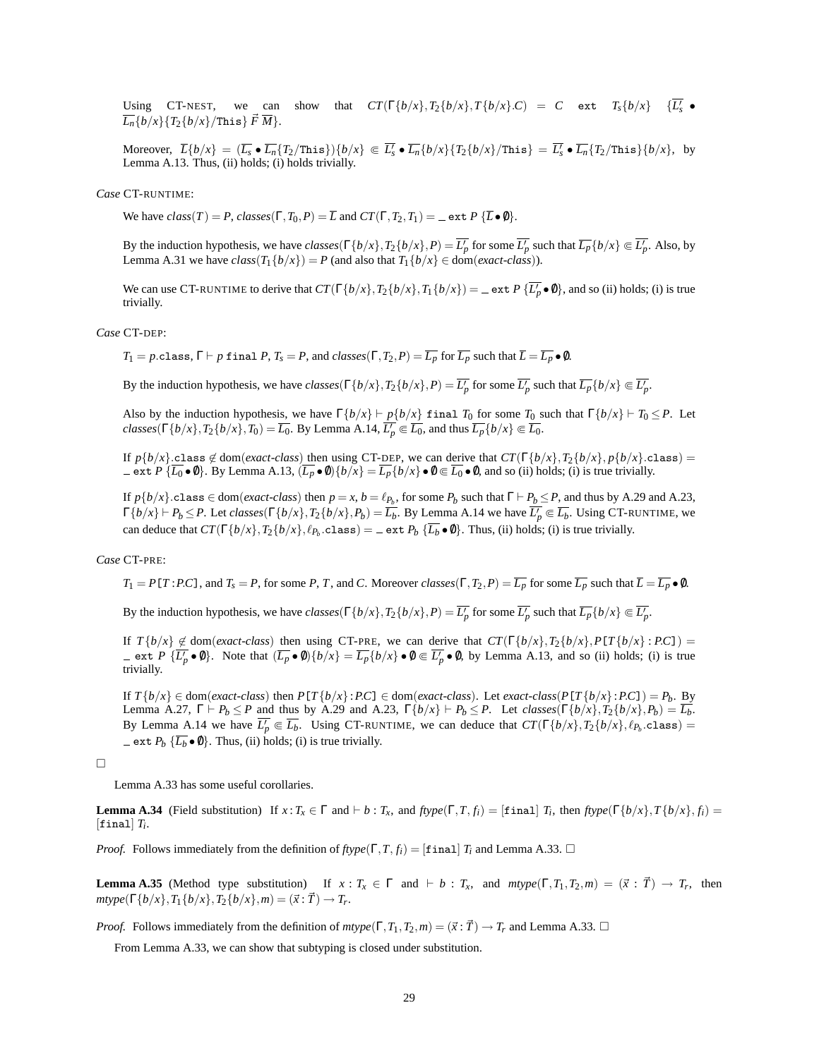Using CT-NEST, we can show that  $CT(\Gamma\{b/x\}, T_2\{b/x\}, T\{b/x\}, C) = C$  ext  $T_s\{b/x\}$   $\{\overline{L_s'}\bullet$  $\overline{L_n} \{b/x\} \{T_2 \{b/x\} / \text{This} \} \vec{F} \ \overline{M} \}.$ 

Moreover,  $\overline{L}{b/x} = (\overline{L_s} \bullet \overline{L_n}{T_2}/{\text{This}})\{b/x\} \Subset \overline{L_s} \bullet \overline{L_n}{b/x}\{T_2{b/x}\}/{\text{This}} = \overline{L_s'} \bullet \overline{L_n}{T_2}/{\text{This}}\{b/x\}, \text{ by }$ Lemma A.13. Thus, (ii) holds; (i) holds trivially.

*Case* CT-RUNTIME:

We have  $class(T) = P$ ,  $classes(\Gamma, T_0, P) = \overline{L}$  and  $CT(\Gamma, T_2, T_1) = \underline{\phantom{A}} \text{ext } P \{ \overline{L} \bullet \emptyset \}.$ 

By the induction hypothesis, we have classes( $\Gamma\{b/x\}$ ,  $T_2\{b/x\}$ ,  $P$ ) =  $\overline{L_p'}$  for some  $\overline{L_p'}$  such that  $\overline{L_p}\{b/x\} \Subset \overline{L_p'}$ . Also, by Lemma A.31 we have  $class(T_1{b/x}) = P$  (and also that  $T_1{b/x} \in dom(exact-class)$ ).

We can use CT-RUNTIME to derive that  $CT(\Gamma\{b/x\}, T_2\{b/x\}, T_1\{b/x\}) = \pm \exp\{\overline{L_p'} \bullet 0\}$ , and so (ii) holds; (i) is true trivially.

*Case* CT-DEP:

 $T_1 = p$ .class,  $\Gamma \vdash p$  final *P*,  $T_s = P$ , and  $classes(\Gamma, T_2, P) = \overline{L_p}$  for  $\overline{L_p}$  such that  $\overline{L} = \overline{L_p} \bullet \emptyset$ .

By the induction hypothesis, we have  $classes(\Gamma\{b/x\},T_2\{b/x\},P) = \overline{L_p'}$  for some  $\overline{L_p'}$  such that  $\overline{L_p}\{b/x\} \Subset \overline{L_p'}$ .

Also by the induction hypothesis, we have  $\Gamma\{b/x\} \vdash p\{b/x\}$  final  $T_0$  for some  $T_0$  such that  $\Gamma\{b/x\} \vdash T_0 \leq P$ . Let  $classes(\Gamma\{b/x\}, T_2\{b/x\}, T_0) = \overline{L_0}$ . By Lemma A.14,  $\overline{L'_p} \Subset \overline{L_0}$ , and thus  $\overline{L_p}\{b/x\} \Subset \overline{L_0}$ .

If  $p{b/x}$ .class  $\notin$  dom(*exact-class*) then using CT-DEP, we can derive that  $CT(\Gamma{b/x}, T_2{b/x}, p{b/x}$ .class) =  $=$  ext *P* { $\overline{L_0} \cdot \emptyset$ }. By Lemma A.13,  $(\overline{L_p} \cdot \emptyset)$ { $b/x$ } =  $\overline{L_p}$ { $b/x$ }  $\bullet \emptyset \in \overline{L_0} \cdot \emptyset$ , and so (ii) holds; (i) is true trivially.

If  $p\{b/x\}$ .class  $\in$  dom(*exact-class*) then  $p = x$ ,  $b = \ell_{P_b}$ , for some  $P_b$  such that  $\Gamma \vdash P_b \le P$ , and thus by A.29 and A.23,  $\Gamma\{b/x\} \vdash P_b \leq P$ . Let  $classes(\Gamma\{b/x\}, T_2\{b/x\}, P_b) = \overline{L_b}$ . By Lemma A.14 we have  $\overline{L'_p} \Subset \overline{L_b}$ . Using CT-RUNTIME, we can deduce that  $CT(\Gamma\{b/x\}, T_2\{b/x\}, \ell_{P_b}$ .class) = \_ ext  $P_b \{\overline{L_b} \bullet \emptyset\}$ . Thus, (ii) holds; (i) is true trivially.

*Case* CT-PRE:

 $T_1 = P[T : P.C]$ , and  $T_s = P$ , for some P, T, and C. Moreover classes  $(\Gamma, T_2, P) = \overline{L_p}$  for some  $\overline{L_p}$  such that  $\overline{L} = \overline{L_p} \bullet \emptyset$ .

By the induction hypothesis, we have  $classes(\Gamma\{b/x\},T_2\{b/x\},P) = \overline{L_p'}$  for some  $\overline{L_p'}$  such that  $\overline{L_p}\{b/x\} \Subset \overline{L_p'}$ .

If  $T\{b/x\} \notin \text{dom}(exact-class)$  then using CT-PRE, we can derive that  $CT(\Gamma\{b/x\}, T_2\{b/x\}, P\{T\{b/x\} : P\{C\}) =$ ext *P*  $\{\overline{L'_p} \bullet \emptyset\}$ . Note that  $(\overline{L_p} \bullet \emptyset) \{b/x\} = \overline{L_p} \{b/x\} \bullet \emptyset \in \overline{L'_p} \bullet \emptyset$ , by Lemma A.13, and so (ii) holds; (i) is true trivially.

If  $T\{b/x\} \in \text{dom}(exact-class)$  then  $P[T\{b/x\} : P.C] \in \text{dom}(exact-class)$ . Let exact-class $(P[T\{b/x\} : P.C]) = P_b$ . By Lemma A.27,  $\Gamma \vdash P_b \leq P$  and thus by A.29 and A.23,  $\Gamma\{b/x\} \vdash P_b \leq P$ . Let classes  $(\Gamma\{b/x\}, T_2\{b/x\}, P_b) = \overline{L_b}$ . By Lemma A.14 we have  $\overline{L'_p} \in \overline{L_b}$ . Using CT-RUNTIME, we can deduce that  $CT(\Gamma\{b/x\}, T_2\{b/x\}, \ell_{P_b}$ .class) =  $=$  ext  $P_b \{ \overline{L_b} \bullet \emptyset \}$ . Thus, (ii) holds; (i) is true trivially.

 $\Box$ 

Lemma A.33 has some useful corollaries.

**Lemma A.34** (Field substitution) If  $x: T_x \in \Gamma$  and  $\vdash b: T_x$ , and  $ftype(\Gamma, T, f_i) = [final]T_i$ , then  $ftype(\Gamma\{b/x\}, T\{b/x\}, f_i) =$  $[$ final $]$   $T_i$ .

*Proof.* Follows immediately from the definition of  $ftype(\Gamma, T, f_i) = [\text{final} \, T_i \text{ and Lemma A.33. } \Box$ 

**Lemma A.35** (Method type substitution) If  $x : T_x \in \Gamma$  and  $\vdash b : T_x$ , and  $mtype(\Gamma, T_1, T_2, m) = (\vec{x} : \vec{T}) \rightarrow T_r$ , then  $mtype(\Gamma\{b/x\}, T_1\{b/x\}, T_2\{b/x\}, m) = (\vec{x} : \vec{T}) \rightarrow T_r.$ 

*Proof.* Follows immediately from the definition of  $mtype(\Gamma, T_1, T_2, m) = (\vec{x} : \vec{T}) \rightarrow T_r$  and Lemma A.33.  $\Box$ 

From Lemma A.33, we can show that subtyping is closed under substitution.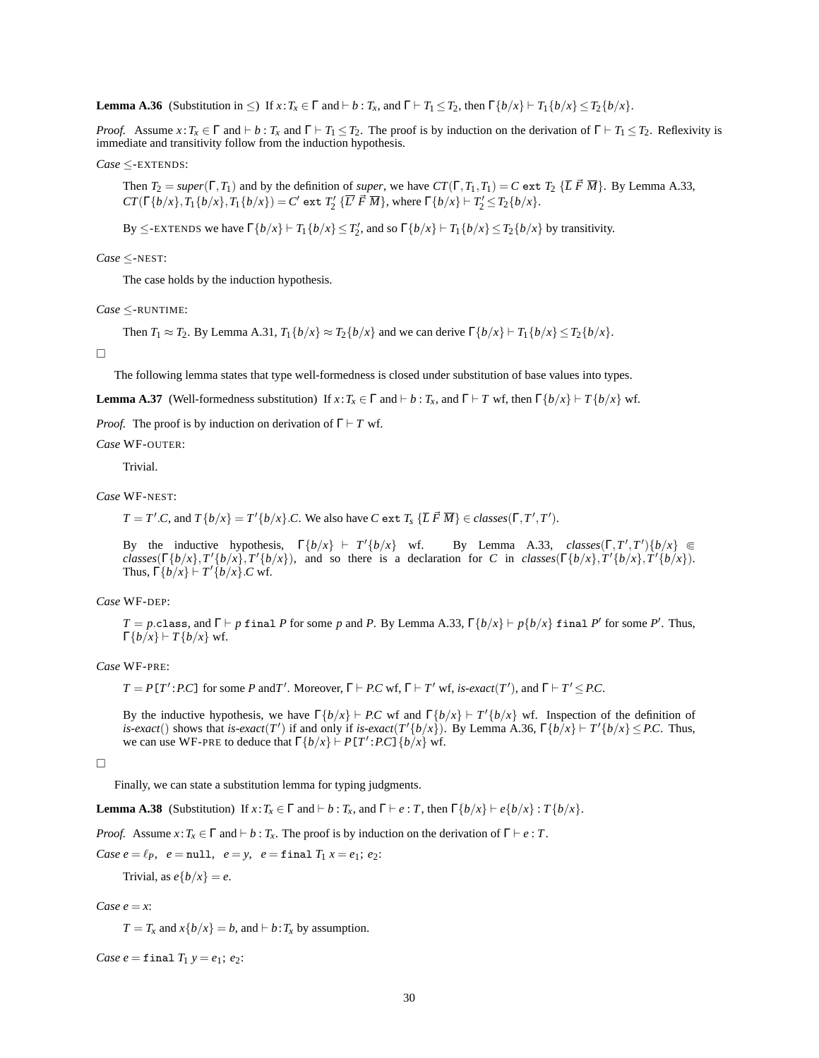**Lemma A.36** (Substitution in  $\leq$ ) If  $x: T_x \in \Gamma$  and  $\vdash b: T_x$ , and  $\Gamma \vdash T_1 \leq T_2$ , then  $\Gamma\{b/x\} \vdash T_1 \{b/x\} \leq T_2 \{b/x\}$ .

*Proof.* Assume  $x: T_x \in \Gamma$  and  $\nvdash b: T_x$  and  $\Gamma \vdash T_1 \leq T_2$ . The proof is by induction on the derivation of  $\Gamma \vdash T_1 \leq T_2$ . Reflexivity is immediate and transitivity follow from the induction hypothesis.

*Case* ≤-EXTENDS:

Then  $T_2 = super(\Gamma, T_1)$  and by the definition of *super*, we have  $CT(\Gamma, T_1, T_1) = C$  ext  $T_2 \{ \overline{L} \overline{F} \overline{M} \}$ . By Lemma A.33,  $CT(\Gamma\{b/x\},T_1\{b/x\},T_1\{b/x\}) = C'$  ext  $T_2' \{\overline{L'} \vec{F} \ \overline{M}\}$ , where  $\Gamma\{b/x\} \vdash T_2' \leq T_2\{b/x\}$ .

By  $\leq$ -EXTENDS we have  $\Gamma\{b/x\} \vdash T_1\{b/x\} \leq T_2'$ , and so  $\Gamma\{b/x\} \vdash T_1\{b/x\} \leq T_2\{b/x\}$  by transitivity.

*Case* ≤-NEST:

The case holds by the induction hypothesis.

*Case* ≤-RUNTIME:

Then  $T_1 \approx T_2$ . By Lemma A.31,  $T_1\{b/x\} \approx T_2\{b/x\}$  and we can derive  $\Gamma\{b/x\} \vdash T_1\{b/x\} \leq T_2\{b/x\}$ .

 $\Box$ 

The following lemma states that type well-formedness is closed under substitution of base values into types.

**Lemma A.37** (Well-formedness substitution) If  $x: T_x \in \Gamma$  and  $\vdash b: T_x$ , and  $\Gamma \vdash T$  wf, then  $\Gamma\{b/x\} \vdash T\{b/x\}$  wf.

*Proof.* The proof is by induction on derivation of  $\Gamma \vdash T$  wf.

*Case* WF-OUTER:

Trivial.

*Case* WF-NEST:

 $T = T'.C$ , and  $T\{b/x\} = T'\{b/x\}$ .C. We also have  $C$  ext  $T_s$   $\{\overline{L} \vec{F} \ \overline{M}\}\in \text{classes}(\Gamma, T', T').$ 

By the inductive hypothesis,  $\Gamma\{b/x\}$  +  $T'\{b/x\}$  wf.  $\mathcal{O}\left\{\frac{b}{x}\right\}$  wf. By Lemma A.33, *classes* $(\Gamma, T', T')\left\{ \frac{b}{x} \right\}$ classes( $\Gamma\{b/x\}$ ,  $T'\{b/x\}$ ,  $T'\{b/x\}$ ), and so there is a declaration for C in classes( $\Gamma\{b/x\}$ ,  $T'\{b/x\}$ ,  $T'\{b/x\}$ ). Thus,  $\Gamma\{b/x\} \vdash T'\{b/x\}$ .*C* wf.

*Case* WF-DEP:

*T* = *p*.class, and  $\Gamma \vdash p$  final *P* for some *p* and *P*. By Lemma A.33,  $\Gamma\{b/x\} \vdash p\{b/x\}$  final *P*<sup>*'*</sup> for some *P'*. Thus,  $\Gamma\{b/x\}$   $\vdash T\{b/x\}$  wf.

*Case* WF-PRE:

 $T = P[T':P.C]$  for some *P* and *T'*. Moreover,  $\Gamma \vdash P.C$  wf,  $\Gamma \vdash T'$  wf, *is-exact*(*T'*), and  $\Gamma \vdash T' \leq P.C$ .

By the inductive hypothesis, we have  $\Gamma\{b/x\} \vdash P.C$  wf and  $\Gamma\{b/x\} \vdash T'\{b/x\}$  wf. Inspection of the definition of *is-exact*() shows that *is-exact*(T') if and only if *is-exact*(T'{b/x}). By Lemma A.36,  $\Gamma\{b/x\} \vdash T'\{b/x\} \leq P.C$ . Thus, we can use WF-PRE to deduce that  $\Gamma\{b/x\} \vdash P[T':P.C]\{b/x\}$  wf.

 $\Box$ 

Finally, we can state a substitution lemma for typing judgments.

**Lemma A.38** (Substitution) If  $x: T_x \in \Gamma$  and  $\vdash b: T_x$ , and  $\Gamma \vdash e: T$ , then  $\Gamma \{b/x\} \vdash e \{b/x\} : T\{b/x\}$ .

*Proof.* Assume  $x: T_x \in \Gamma$  and  $\nvdash b: T_x$ . The proof is by induction on the derivation of  $\Gamma \vdash e: T$ .

*Case e* =  $\ell_P$ , *e* = null, *e* = *y*, *e* = final *T*<sub>1</sub> *x* = *e*<sub>1</sub>; *e*<sub>2</sub>:

Trivial, as  $e\{b/x\} = e$ .

*Case*  $e = x$ :

 $T = T_x$  and  $x{b/x} = b$ , and  $\vdash b: T_x$  by assumption.

*Case e* = final  $T_1$   $y = e_1$ ;  $e_2$ :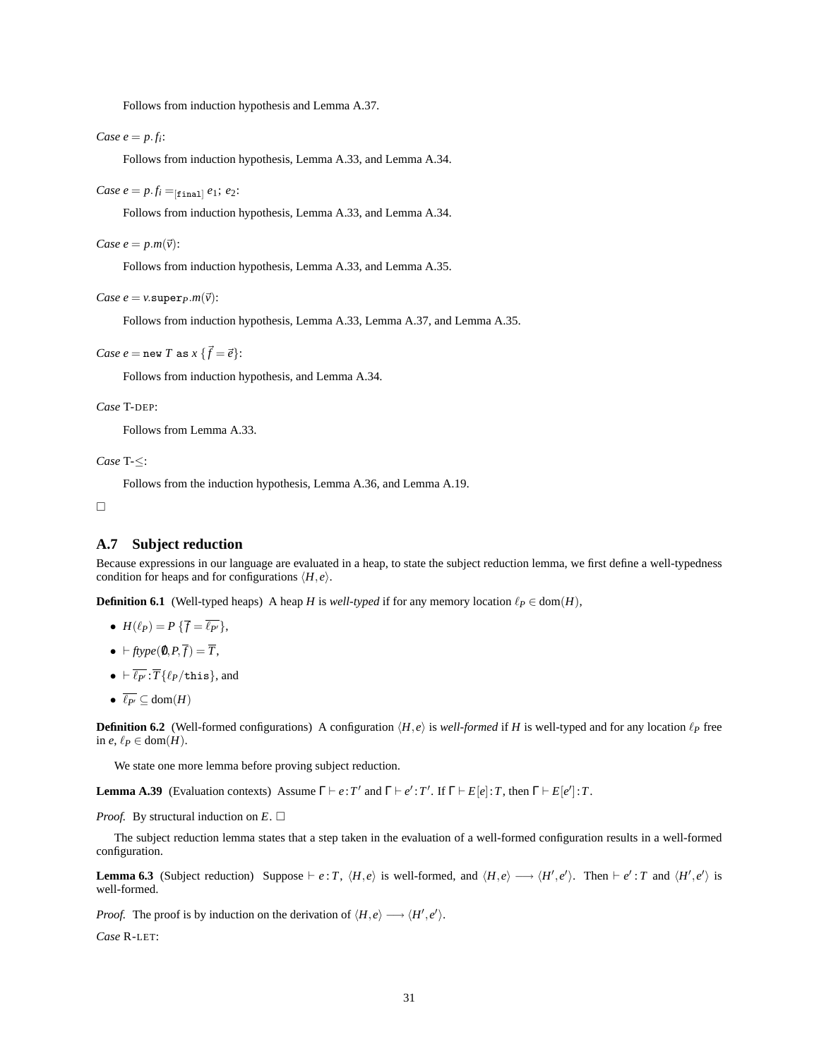Follows from induction hypothesis and Lemma A.37.

## *Case*  $e = p.f_i$ :

Follows from induction hypothesis, Lemma A.33, and Lemma A.34.

# *Case e* =  $p.f_i =$ [final]  $e_1$ ;  $e_2$ :

Follows from induction hypothesis, Lemma A.33, and Lemma A.34.

#### *Case e* =  $p.m(\vec{v})$ :

Follows from induction hypothesis, Lemma A.33, and Lemma A.35.

#### *Case e* = *v*.super*p*.*m*( $\vec{v}$ ):

Follows from induction hypothesis, Lemma A.33, Lemma A.37, and Lemma A.35.

*Case e* = new *T* as  $x \{ \vec{f} = \vec{e} \}$ :

Follows from induction hypothesis, and Lemma A.34.

#### *Case* T-DEP:

Follows from Lemma A.33.

## *Case* T-≤:

Follows from the induction hypothesis, Lemma A.36, and Lemma A.19.

 $\Box$ 

## **A.7 Subject reduction**

Because expressions in our language are evaluated in a heap, to state the subject reduction lemma, we first define a well-typedness condition for heaps and for configurations  $\langle H, e \rangle$ .

**Definition 6.1** (Well-typed heaps) A heap *H* is *well-typed* if for any memory location  $\ell_P \in \text{dom}(H)$ ,

- $H(\ell_P) = P \{ \overline{f} = \overline{\ell_{P'}} \},$
- $ftype(0, P, \overline{f}) = \overline{T}$ ,
- $\bullet \ \vdash \overline{\ell_{P'}} : \overline{T} {\{\ell_{P}/\texttt{this}\}}$ , and
- $\overline{\ell_{P'}} \subseteq \text{dom}(H)$

**Definition 6.2** (Well-formed configurations) A configuration  $\langle H, e \rangle$  is *well-formed* if *H* is well-typed and for any location  $\ell_P$  free in  $e, \ell_P \in \text{dom}(H)$ .

We state one more lemma before proving subject reduction.

**Lemma A.39** (Evaluation contexts) Assume  $\Gamma \vdash e : T'$  and  $\Gamma \vdash e' : T'$ . If  $\Gamma \vdash E[e] : T$ , then  $\Gamma \vdash E[e'] : T$ .

*Proof.* By structural induction on *E*. □

The subject reduction lemma states that a step taken in the evaluation of a well-formed configuration results in a well-formed configuration.

**Lemma 6.3** (Subject reduction) Suppose  $\vdash e : T$ ,  $\langle H, e \rangle$  is well-formed, and  $\langle H, e \rangle \longrightarrow \langle H', e' \rangle$ . Then  $\vdash e' : T$  and  $\langle H', e' \rangle$  is well-formed.

*Proof.* The proof is by induction on the derivation of  $\langle H, e \rangle \longrightarrow \langle H', e' \rangle$ .

*Case* R-LET: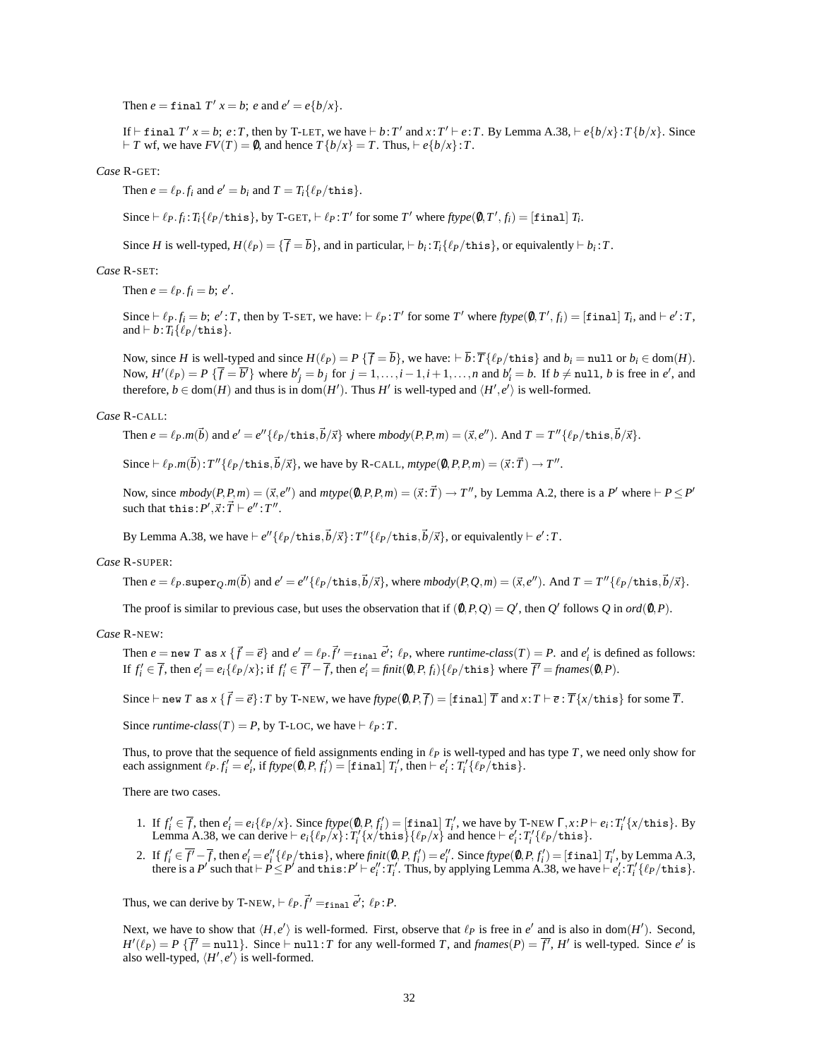Then  $e = \text{final } T'$   $x = b$ ;  $e$  and  $e' = e\{b/x\}$ .

If  $\vdash$  final  $T'$   $x = b$ ;  $e$ : T, then by T-LET, we have  $\vdash b$ : T' and  $x$ : T'  $\vdash e$ : T. By Lemma A.38,  $\vdash e\{b/x\}$ : T $\{b/x\}$ . Since  $T \text{ wt}$ , we have  $FV(T) = \emptyset$ , and hence  $T\{b/x\} = T$ . Thus,  $\vdash e\{b/x\}$ : *T*.

*Case* R-GET:

Then  $e = \ell_P . f_i$  and  $e' = b_i$  and  $T = T_i \{ \ell_P / \text{this} \}.$ 

Since  $\vdash \ell_P . f_i : T_i \{ \ell_P / \text{this} \}, \text{ by T-GET}, \vdash \ell_P : T' \text{ for some } T' \text{ where } \text{ftype}(0, T', f_i) = [\text{final}] T_i.$ 

Since *H* is well-typed,  $H(\ell_P) = {\{\overline{f} = \overline{b}\}}$ , and in particular,  $\vdash b_i : T_i {\{\ell_P/\text{this}\}}$ , or equivalently  $\vdash b_i : T$ .

*Case* R-SET:

Then  $e = \ell_P . f_i = b$ ; *e'*.

Since  $\vdash \ell_P . f_i = b$ ;  $e' : T$ , then by T-SET, we have:  $\vdash \ell_P : T'$  for some T' where  $ftype(0, T', f_i) = [\texttt{final}] T_i$ , and  $\vdash e' : T$ , and  $\vdash b$ :  $T_i$ { $\ell_P$ /this}.

Now, since *H* is well-typed and since  $H(\ell_P) = P \{ \overline{f} = \overline{b} \}$ , we have:  $\vdash \overline{b} : \overline{T} \{ \ell_P / \text{this} \}$  and  $b_i = \text{null}$  or  $b_i \in \text{dom}(H)$ . Now,  $H'(\ell_P) = P \{ \overline{f} = \overline{b'} \}$  where  $b'_j = b_j$  for  $j = 1, ..., i-1, i+1, ..., n$  and  $b'_i = b$ . If  $b \neq \text{null}$ , b is free in e', and therefore,  $b \in \text{dom}(H)$  and thus is in dom(*H*<sup>'</sup>). Thus *H*<sup>'</sup> is well-typed and  $\langle H', e' \rangle$  is well-formed.

*Case* R-CALL:

Then  $e = \ell_P.m(\vec{b})$  and  $e' = e''\{\ell_P/\text{this}, \vec{b}/\vec{x}\}\$ where  $mbody(P, P, m) = (\vec{x}, e'')$ . And  $T = T''\{\ell_P/\text{this}, \vec{b}/\vec{x}\}.$ 

Since  $\vdash \ell_P.m(\vec{b}): T''\{\ell_P/\text{this}, \vec{b}/\vec{x}\},$  we have by R-CALL,  $mtype(0, P, P, m) = (\vec{x} : \vec{T}) \rightarrow T''.$ 

Now, since  $mbody(P, P, m) = (\vec{x}, e'')$  and  $mtype(0, P, P, m) = (\vec{x} : \vec{T}) \rightarrow T''$ , by Lemma A.2, there is a P' where  $\vdash P \leq P'$ such that  $\text{this}: P', \vec{x}: \vec{T} \vdash e'' : T''.$ 

By Lemma A.38, we have  $\vdash e''\{\ell_P/\texttt{this}, \vec{b}/\vec{x}\}: T''\{\ell_P/\texttt{this}, \vec{b}/\vec{x}\}, \text{or equivalently} \vdash e': T$ .

*Case* R-SUPER:

Then  $e = \ell_P.\mathtt{super}_{Q}.m(\vec{b})$  and  $e' = e''\{\ell_P/\mathtt{this}, \vec{b}/\vec{x}\},$  where  $mbody(P,Q,m) = (\vec{x}, e'').$  And  $T = T''\{\ell_P/\mathtt{this}, \vec{b}/\vec{x}\}.$ 

The proof is similar to previous case, but uses the observation that if  $(0, P, Q) = Q'$ , then  $Q'$  follows  $Q$  in  $ord(0, P)$ .

*Case* R-NEW:

Then  $e = \text{new } T$  as  $x \{ \vec{f} = \vec{e} \}$  and  $e' = \ell_P \cdot \vec{f}' = \text{final } \vec{e'}$ ;  $\ell_P$ , where *runtime-class*(*T*) = *P*. and  $e'_i$  is defined as follows: If  $f'_i \in \overline{f}$ , then  $e'_i = e_i \{\ell_P/x\}$ ; if  $f'_i \in \overline{f'} - \overline{f}$ , then  $e'_i = \text{finit}(0, P, f_i) \{\ell_P/\text{this}\}\$ where  $\overline{f'} = \text{fnames}(0, P)$ .

Since  $\vdash$  new *T* as  $x \{ \vec{f} = \vec{e} \}$ :*T* by T-NEW, we have  $ftype(0, P, \overline{f}) = [\text{final}] \ \overline{T}$  and  $x : T \vdash \overline{e} : \overline{T} \{x/\text{this}\}$  for some  $\overline{T}$ .

Since *runtime-class*(*T*) = *P*, by T-LOC, we have  $\vdash \ell_P : T$ .

Thus, to prove that the sequence of field assignments ending in  $\ell_P$  is well-typed and has type  $T$ , we need only show for each assignment  $\ell_P$ ,  $f'_i = e'_i$ , if  $ftype(0, P, f'_i) = [\text{final}] T'_i$ , then  $\vdash e'_i : T'_i \{ \ell_P / \text{this} \}.$ 

There are two cases.

- 1. If  $f'_i \in \overline{f}$ , then  $e'_i = e_i \{\ell_P/x\}$ . Since  $ftype(0, P, f'_i) = [\text{final}] T'_i$ , we have by T-NEW  $\Gamma, x : P \vdash e_i : T'_i \{x/\text{this}\}$ . By Lemma A.38, we can derive  $\vdash e_i\{\ell_P/x\}:\frac{T_i}{x/\{\text{this}\}}\{\ell_P/x\}$  and hence  $\vdash e'_i:\frac{T_i}{x/\{\ell_P/\text{this}\}}$ .
- 2. If  $f_i' \in \overline{f'} \overline{f}$ , then  $e_i' = e_i'' \{ \ell_P / \text{this} \}$ , where finit $(0, P, f_i') = e_i''$ . Since ftype  $(0, P, f_i') = [\text{final}] T_i'$ , by Lemma A.3, there is a *P*<sup>*i*</sup> such that  $\vdash P \leq P'$  and this:  $P' \vdash e_i'' : T_i'$ . Thus, by applying Lemma A.38, we have  $\vdash e_i' : T_i' \{ \ell_P / \text{this} \}.$

Thus, we can derive by T-NEW,  $\vdash \ell_P \cdot \vec{f}' = \text{final } \vec{e}'$ ;  $\ell_P : P$ .

Next, we have to show that  $\langle H, e' \rangle$  is well-formed. First, observe that  $\ell_P$  is free in  $e'$  and is also in dom(*H'*). Second,  $H'(\ell_P) = P \{ \overline{f'} = \text{null} \}$ . Since  $\vdash \text{null} : T$  for any well-formed *T*, and *finames*(*P*) =  $\overline{f'}, H'$  is well-typed. Since *e'* is also well-typed,  $\langle H', e' \rangle$  is well-formed.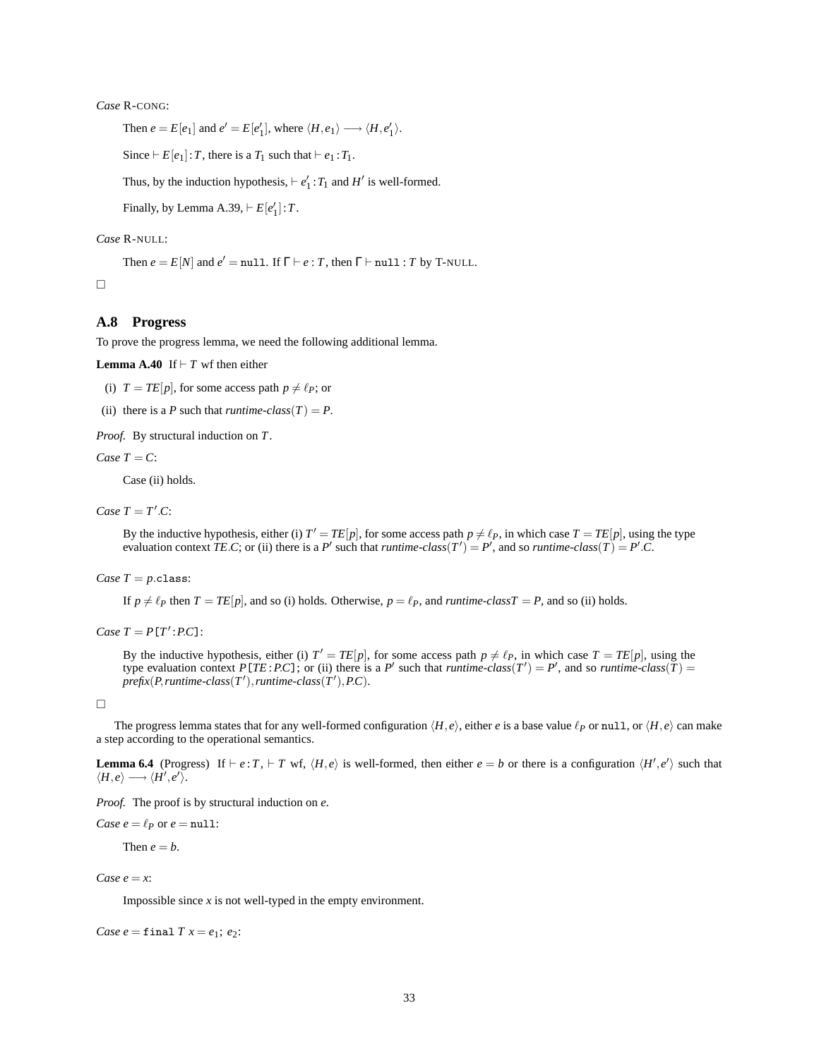*Case* R-CONG:

Then  $e = E[e_1]$  and  $e' = E[e'_1]$ , where  $\langle H, e_1 \rangle \longrightarrow \langle H, e'_1 \rangle$ .

Since  $\models E[e_1]:T$ , there is a  $T_1$  such that  $\models e_1:T_1$ .

Thus, by the induction hypothesis,  $\vdash e'_1$ :  $T_1$  and  $H'$  is well-formed.

Finally, by Lemma A.39,  $\vdash E[e'_1]$ : *T*.

*Case* R-NULL:

Then  $e = E[N]$  and  $e' = \text{null}$ . If  $\Gamma \vdash e : T$ , then  $\Gamma \vdash \text{null} : T$  by T-NULL.

 $\Box$ 

# **A.8 Progress**

To prove the progress lemma, we need the following additional lemma.

**Lemma A.40** If  $\vdash$  *T* wf then either

(i)  $T = TE[p]$ , for some access path  $p \neq \ell_P$ ; or

(ii) there is a *P* such that *runtime-class* $(T) = P$ .

*Proof.* By structural induction on *T*.

*Case*  $T = C$ :

Case (ii) holds.

*Case*  $T = T'.C$ :

By the inductive hypothesis, either (i)  $T' = TE[p]$ , for some access path  $p \neq \ell_P$ , in which case  $T = TE[p]$ , using the type evaluation context  $\hat{TE}$ .*C*; or (ii) there is a *P'* such that *runtime-class* $(T') = P'$ , and so *runtime-class* $(T) = P'$ .*C*.

*Case*  $T = p$ *.class:* 

If  $p \neq \ell_P$  then  $T = TE[p]$ , and so (i) holds. Otherwise,  $p = \ell_P$ , and *runtime-classT* = *P*, and so (ii) holds.

 $Case T = P[T':P.C]:$ 

By the inductive hypothesis, either (i)  $T' = TE[p]$ , for some access path  $p \neq \ell_P$ , in which case  $T = TE[p]$ , using the type evaluation context  $P[TE : P.C]$ ; or (ii) there is a  $P'$  such that *runtime-class* $(T') = P'$ , and so *runtime-class* $(T) =$ *prefix*(*P*,*runtime*-*class*(*T* 0 ),*runtime*-*class*(*T* 0 ),*P*.*C*).

 $\Box$ 

The progress lemma states that for any well-formed configuration  $\langle H, e \rangle$ , either *e* is a base value  $\ell_P$  or null, or  $\langle H, e \rangle$  can make a step according to the operational semantics.

**Lemma 6.4** (Progress) If  $\vdash e : T$ ,  $\vdash T$  wf,  $\langle H, e \rangle$  is well-formed, then either  $e = b$  or there is a configuration  $\langle H', e' \rangle$  such that  $\langle H, e \rangle \longrightarrow \langle H', e' \rangle.$ 

*Proof.* The proof is by structural induction on *e*.

*Case e* =  $\ell_P$  or *e* = null:

Then  $e = b$ .

*Case*  $e = x$ :

Impossible since  $x$  is not well-typed in the empty environment.

*Case e* = **f** inal *T*  $x = e_1$ ; *e*<sub>2</sub>: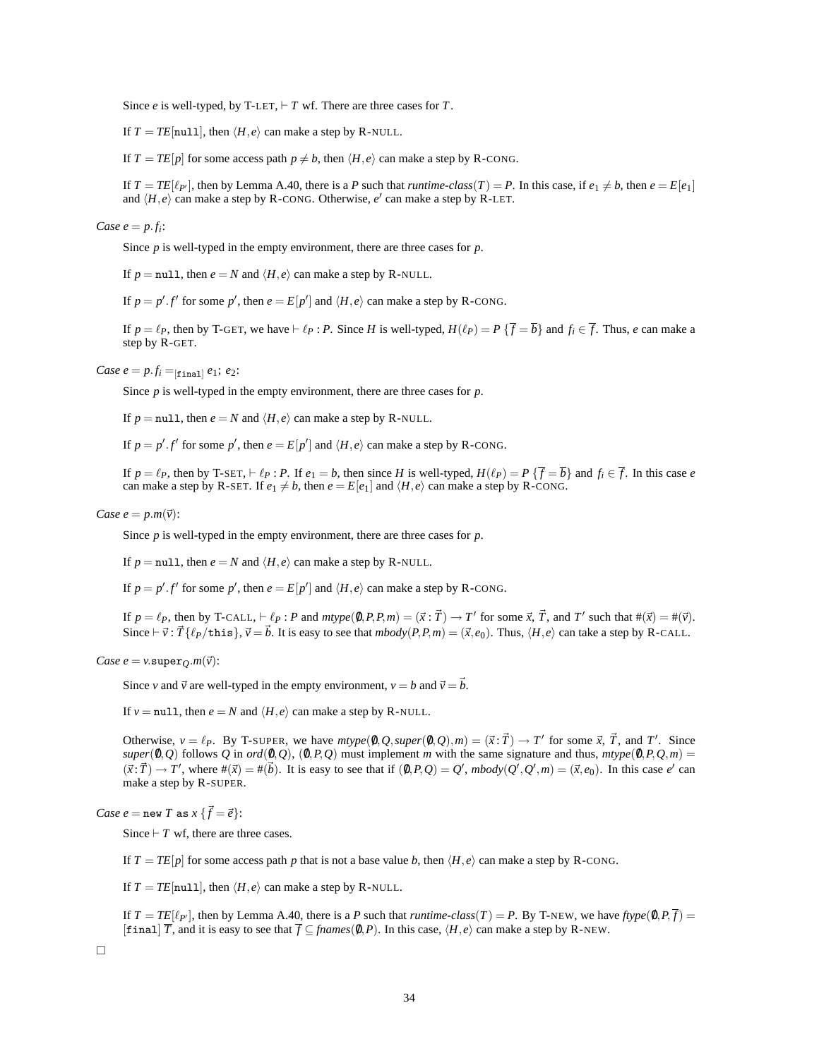Since *e* is well-typed, by T-LET,  $\vdash$  *T* wf. There are three cases for *T*.

If  $T = TE$ [null], then  $\langle H, e \rangle$  can make a step by R-NULL.

If  $T = TE[p]$  for some access path  $p \neq b$ , then  $\langle H, e \rangle$  can make a step by R-CONG.

If  $T = TE[\ell_{P'}]$ , then by Lemma A.40, there is a *P* such that *runtime-class*(*T*) = *P*. In this case, if  $e_1 \neq b$ , then  $e = E[e_1]$ and  $\langle H, e \rangle$  can make a step by R-CONG. Otherwise,  $e'$  can make a step by R-LET.

*Case*  $e = p.f_i$ :

Since *p* is well-typed in the empty environment, there are three cases for *p*.

If  $p = \text{null}$ , then  $e = N$  and  $\langle H, e \rangle$  can make a step by R-NULL.

If  $p = p'$ . *f'* for some *p'*, then  $e = E[p']$  and  $\langle H, e \rangle$  can make a step by R-CONG.

If  $p = \ell_p$ , then by T-GET, we have  $\vdash \ell_p : P$ . Since *H* is well-typed,  $H(\ell_p) = P\{\overline{f} = \overline{b}\}\$ and  $f_i \in \overline{f}$ . Thus, *e* can make a step by R-GET.

*Case e* =  $p.f_i =_{[final]} e_1; e_2$ :

Since *p* is well-typed in the empty environment, there are three cases for *p*.

If  $p = \text{null}$ , then  $e = N$  and  $\langle H, e \rangle$  can make a step by R-NULL.

If  $p = p'.f'$  for some  $p'$ , then  $e = E[p']$  and  $\langle H, e \rangle$  can make a step by R-CONG.

If  $p = \ell_P$ , then by T-SET,  $\vdash \ell_P : P$ . If  $e_1 = b$ , then since H is well-typed,  $H(\ell_P) = P \{ \overline{f} = \overline{b} \}$  and  $f_i \in \overline{f}$ . In this case e can make a step by R-SET. If  $e_1 \neq b$ , then  $e = E[e_1]$  and  $\langle H, e \rangle$  can make a step by R-CONG.

*Case e* =  $p.m(\vec{v})$ :

Since *p* is well-typed in the empty environment, there are three cases for *p*.

If  $p = \text{null}$ , then  $e = N$  and  $\langle H, e \rangle$  can make a step by R-NULL.

If  $p = p'.f'$  for some  $p'$ , then  $e = E[p']$  and  $\langle H, e \rangle$  can make a step by R-CONG.

If  $p = \ell_P$ , then by T-CALL,  $\vdash \ell_P : P$  and  $mtype(0, P, P, m) = (\vec{x} : \vec{T}) \rightarrow T'$  for some  $\vec{x}, \vec{T}$ , and T' such that  $\#(\vec{x}) = \#(\vec{v})$ . Since  $\vdash \vec{v}$ :  $\vec{T}$ { $\ell_P$ /this},  $\vec{v} = \vec{b}$ . It is easy to see that  $mbody(P, P, m) = (\vec{x}, e_0)$ . Thus,  $\langle H, e \rangle$  can take a step by R-CALL.

*Case e* = *v*.super<sub>*Q</sub>.m*( $\vec{v}$ ):</sub>

Since *v* and  $\vec{v}$  are well-typed in the empty environment,  $v = b$  and  $\vec{v} = \vec{b}$ .

If  $v = \text{null}$ , then  $e = N$  and  $\langle H, e \rangle$  can make a step by R-NULL.

Otherwise,  $v = \ell_P$ . By T-SUPER, we have  $mtype(\emptyset, Q, super(\emptyset, Q), m) = (\vec{x} : \vec{T}) \rightarrow T'$  for some  $\vec{x}$ ,  $\vec{T}$ , and  $T'$ . Since  $super(0, Q)$  follows *Q* in  $ord(0, Q)$ ,  $(0, P, Q)$  must implement *m* with the same signature and thus,  $mtype(0, P, Q, m)$  =  $(\vec{x}:\vec{T}) \to T'$ , where  $\#(\vec{x}) = \#(\vec{b})$ . It is easy to see that if  $(0, P, Q) = Q'$ ,  $mbody(Q', Q', m) = (\vec{x}, e_0)$ . In this case e' can make a step by R-SUPER.

*Case e* = new *T* as  $x \{ \vec{f} = \vec{e} \}$ :

Since  $\vdash T$  wf, there are three cases.

If  $T = TE[p]$  for some access path *p* that is not a base value *b*, then  $\langle H, e \rangle$  can make a step by R-CONG.

If  $T = TE$ [null], then  $\langle H, e \rangle$  can make a step by R-NULL.

If  $T = TE[\ell_{P'}]$ , then by Lemma A.40, there is a *P* such that *runtime-class*(*T*) = *P*. By T-NEW, we have  $ftype(0, P, \overline{f})$  = [final]  $\overline{T}$ , and it is easy to see that  $\overline{f} \subseteq \text{frames}(0, P)$ . In this case,  $\langle H, e \rangle$  can make a step by R-NEW.

 $\Box$